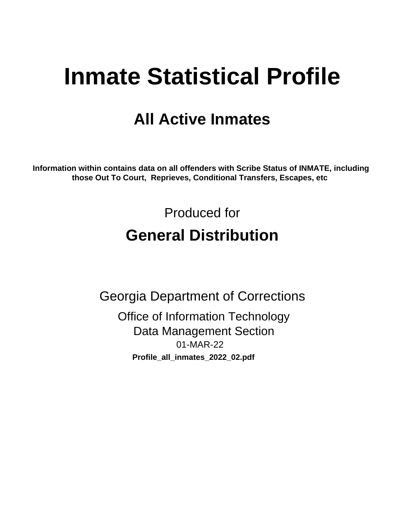# **Inmate Statistical Profile**

# **All Active Inmates**

Information within contains data on all offenders with Scribe Status of INMATE, including those Out To Court, Reprieves, Conditional Transfers, Escapes, etc

> Produced for **General Distribution**

**Georgia Department of Corrections Office of Information Technology Data Management Section** 01-MAR-22 Profile\_all\_inmates\_2022\_02.pdf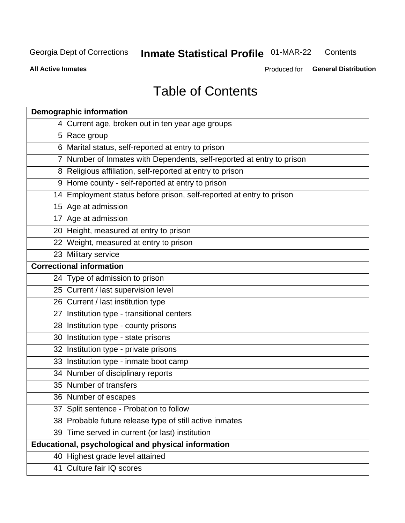#### **Inmate Statistical Profile 01-MAR-22** Contents

**All Active Inmates** 

Produced for General Distribution

# **Table of Contents**

| <b>Demographic information</b>                                        |
|-----------------------------------------------------------------------|
| 4 Current age, broken out in ten year age groups                      |
| 5 Race group                                                          |
| 6 Marital status, self-reported at entry to prison                    |
| 7 Number of Inmates with Dependents, self-reported at entry to prison |
| 8 Religious affiliation, self-reported at entry to prison             |
| 9 Home county - self-reported at entry to prison                      |
| 14 Employment status before prison, self-reported at entry to prison  |
| 15 Age at admission                                                   |
| 17 Age at admission                                                   |
| 20 Height, measured at entry to prison                                |
| 22 Weight, measured at entry to prison                                |
| 23 Military service                                                   |
| <b>Correctional information</b>                                       |
| 24 Type of admission to prison                                        |
| 25 Current / last supervision level                                   |
| 26 Current / last institution type                                    |
| 27 Institution type - transitional centers                            |
| 28 Institution type - county prisons                                  |
| 30 Institution type - state prisons                                   |
| 32 Institution type - private prisons                                 |
| 33 Institution type - inmate boot camp                                |
| 34 Number of disciplinary reports                                     |
| 35 Number of transfers                                                |
| 36 Number of escapes                                                  |
| 37 Split sentence - Probation to follow                               |
| 38 Probable future release type of still active inmates               |
| 39 Time served in current (or last) institution                       |
| Educational, psychological and physical information                   |
| 40 Highest grade level attained                                       |
| 41 Culture fair IQ scores                                             |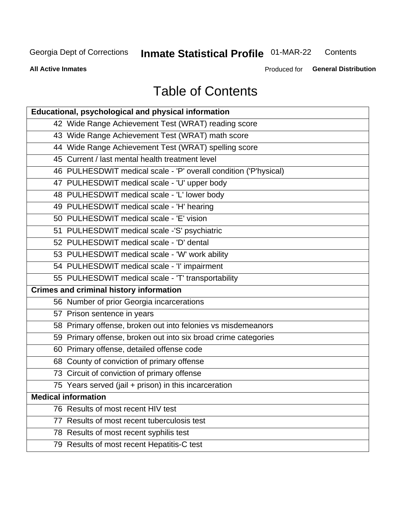# **Inmate Statistical Profile 01-MAR-22**

Contents

**All Active Inmates** 

Produced for General Distribution

# **Table of Contents**

| Educational, psychological and physical information              |
|------------------------------------------------------------------|
| 42 Wide Range Achievement Test (WRAT) reading score              |
| 43 Wide Range Achievement Test (WRAT) math score                 |
| 44 Wide Range Achievement Test (WRAT) spelling score             |
| 45 Current / last mental health treatment level                  |
| 46 PULHESDWIT medical scale - 'P' overall condition ('P'hysical) |
| 47 PULHESDWIT medical scale - 'U' upper body                     |
| 48 PULHESDWIT medical scale - 'L' lower body                     |
| 49 PULHESDWIT medical scale - 'H' hearing                        |
| 50 PULHESDWIT medical scale - 'E' vision                         |
| 51 PULHESDWIT medical scale -'S' psychiatric                     |
| 52 PULHESDWIT medical scale - 'D' dental                         |
| 53 PULHESDWIT medical scale - 'W' work ability                   |
| 54 PULHESDWIT medical scale - 'I' impairment                     |
| 55 PULHESDWIT medical scale - 'T' transportability               |
| <b>Crimes and criminal history information</b>                   |
| 56 Number of prior Georgia incarcerations                        |
| 57 Prison sentence in years                                      |
| 58 Primary offense, broken out into felonies vs misdemeanors     |
| 59 Primary offense, broken out into six broad crime categories   |
| 60 Primary offense, detailed offense code                        |
| 68 County of conviction of primary offense                       |
| 73 Circuit of conviction of primary offense                      |
| 75 Years served (jail + prison) in this incarceration            |
| <b>Medical information</b>                                       |
| 76 Results of most recent HIV test                               |
| 77 Results of most recent tuberculosis test                      |
| 78 Results of most recent syphilis test                          |
| 79 Results of most recent Hepatitis-C test                       |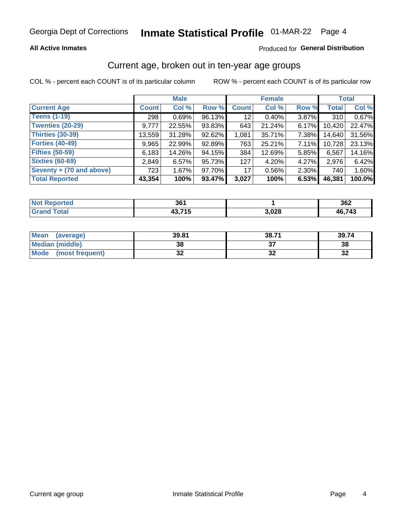#### **All Active Inmates**

#### Produced for General Distribution

### Current age, broken out in ten-year age groups

COL % - percent each COUNT is of its particular column

|                          |              | <b>Male</b> |        |              | <b>Female</b> |          |              | <b>Total</b> |
|--------------------------|--------------|-------------|--------|--------------|---------------|----------|--------------|--------------|
| <b>Current Age</b>       | <b>Count</b> | Col %       | Row %  | <b>Count</b> | Col %         | Row %    | <b>Total</b> | Col %        |
| <b>Teens (1-19)</b>      | 298          | 0.69%       | 96.13% | 12           | $0.40\%$      | 3.87%    | 310          | 0.67%        |
| <b>Twenties (20-29)</b>  | 9,777        | 22.55%      | 93.83% | 643          | 21.24%        | 6.17%    | 10,420       | 22.47%       |
| <b>Thirties (30-39)</b>  | 13,559       | 31.28%      | 92.62% | 1,081        | 35.71%        | 7.38%    | 14,640       | 31.56%       |
| <b>Forties (40-49)</b>   | 9,965        | 22.99%      | 92.89% | 763          | 25.21%        | 7.11%    | 10,728       | 23.13%       |
| <b>Fifties (50-59)</b>   | 6,183        | 14.26%      | 94.15% | 384          | 12.69%        | 5.85%    | 6,567        | 14.16%       |
| <b>Sixties (60-69)</b>   | 2,849        | 6.57%       | 95.73% | 127          | 4.20%         | 4.27%    | 2,976        | 6.42%        |
| Seventy + (70 and above) | 723          | 1.67%       | 97.70% | 17           | 0.56%         | $2.30\%$ | 740          | 1.60%        |
| <b>Total Reported</b>    | 43,354       | 100%        | 93.47% | 3,027        | 100%          | 6.53%    | 46,381       | 100.0%       |

| <b>Not</b>      | 20.4                |       | つなつ    |
|-----------------|---------------------|-------|--------|
| <b>Exported</b> | JU.                 |       | JUZ    |
| Total           | <b>74 E</b><br>-- - | 3,028 | 46,743 |

| <b>Mean</b><br>(average) | 39.81    | 38.71 | 39.74    |
|--------------------------|----------|-------|----------|
| Median (middle)          | 38       |       | 38       |
| Mode<br>(most frequent)  | n,<br>◡▴ | ◡▵    | 50<br>⊾ت |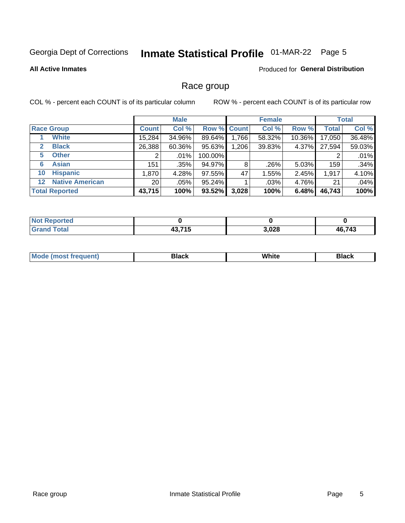# Inmate Statistical Profile 01-MAR-22 Page 5

#### **All Active Inmates**

#### **Produced for General Distribution**

### Race group

COL % - percent each COUNT is of its particular column

|              |                        |                 | <b>Male</b> |                    |       | <b>Female</b> |        |              | <b>Total</b> |
|--------------|------------------------|-----------------|-------------|--------------------|-------|---------------|--------|--------------|--------------|
|              | <b>Race Group</b>      | <b>Count</b>    | Col %       | <b>Row % Count</b> |       | Col %         | Row %  | <b>Total</b> | Col %        |
|              | <b>White</b>           | 15,284          | 34.96%      | 89.64%             | 1,766 | 58.32%        | 10.36% | 17,050       | 36.48%       |
| $\mathbf{2}$ | <b>Black</b>           | 26,388          | 60.36%      | 95.63%             | 1,206 | 39.83%        | 4.37%  | 27,594       | 59.03%       |
| 5.           | <b>Other</b>           |                 | $.01\%$     | 100.00%            |       |               |        | 2            | .01%         |
| 6            | <b>Asian</b>           | 151             | .35%        | 94.97%             | 8     | .26%          | 5.03%  | 159          | .34%         |
| 10           | <b>Hispanic</b>        | 1,870           | 4.28%       | 97.55%             | 47    | 1.55%         | 2.45%  | 1,917        | 4.10%        |
| $12 \,$      | <b>Native American</b> | 20 <sub>1</sub> | .05%        | 95.24%             |       | $.03\%$       | 4.76%  | 21           | .04%         |
|              | <b>Total Reported</b>  | 43,715          | 100%        | $93.52\%$          | 3,028 | 100%          | 6.48%  | 46,743       | 100%         |

| <b>No</b><br><b>Reported</b> |                      |       |        |
|------------------------------|----------------------|-------|--------|
| <b>Total</b><br><b>Grano</b> | 19 74 E<br>40. I I J | 3,028 | 46,743 |

|  | <b>Mc</b><br>uent) | 3lac l | סוווני<br>$\sim$ $\sim$ $\sim$ | зіаск |
|--|--------------------|--------|--------------------------------|-------|
|--|--------------------|--------|--------------------------------|-------|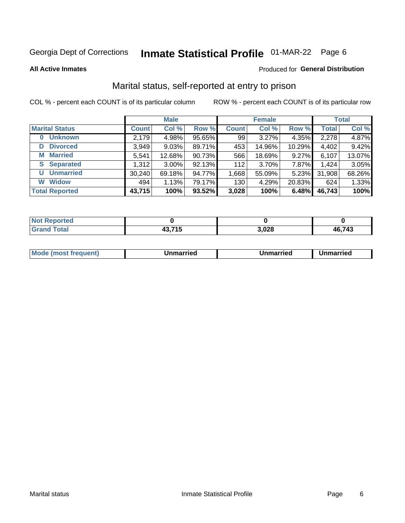# Inmate Statistical Profile 01-MAR-22 Page 6

**All Active Inmates** 

#### **Produced for General Distribution**

### Marital status, self-reported at entry to prison

COL % - percent each COUNT is of its particular column

|                            |              | <b>Male</b> |        |              | <b>Female</b> |        |              | <b>Total</b> |
|----------------------------|--------------|-------------|--------|--------------|---------------|--------|--------------|--------------|
| <b>Marital Status</b>      | <b>Count</b> | Col %       | Row %  | <b>Count</b> | Col %         | Row %  | <b>Total</b> | Col %        |
| <b>Unknown</b><br>$\bf{0}$ | 2,179        | 4.98%       | 95.65% | 99           | 3.27%         | 4.35%  | 2,278        | 4.87%        |
| <b>Divorced</b><br>D       | 3,949        | 9.03%       | 89.71% | 453          | 14.96%        | 10.29% | 4,402        | 9.42%        |
| <b>Married</b><br>М        | 5,541        | 12.68%      | 90.73% | 566          | 18.69%        | 9.27%  | 6,107        | 13.07%       |
| <b>Separated</b><br>S.     | 1,312        | $3.00\%$    | 92.13% | 112          | 3.70%         | 7.87%  | 1,424        | 3.05%        |
| <b>Unmarried</b><br>U      | 30,240       | 69.18%      | 94.77% | 1,668        | 55.09%        | 5.23%  | 31,908       | 68.26%       |
| <b>Widow</b><br>W          | 494          | 1.13%       | 79.17% | 130          | 4.29%         | 20.83% | 624          | 1.33%        |
| <b>Total Reported</b>      | 43,715       | 100%        | 93.52% | 3,028        | 100%          | 6.48%  | 46,743       | 100%         |

| <b>Not</b><br>orted |     |       |        |
|---------------------|-----|-------|--------|
| <b>Total</b><br>Crr | --- | 3,028 | 46,743 |

|--|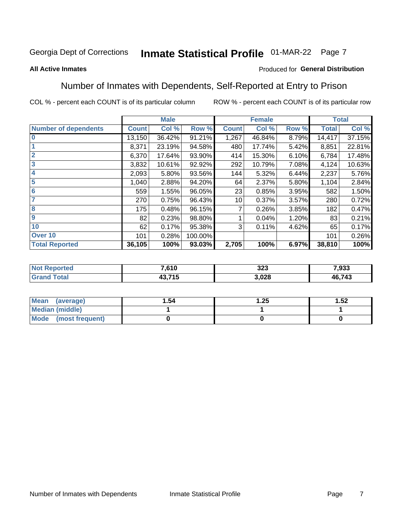# Inmate Statistical Profile 01-MAR-22 Page 7

#### **All Active Inmates**

#### Produced for General Distribution

### Number of Inmates with Dependents, Self-Reported at Entry to Prison

COL % - percent each COUNT is of its particular column

|                             |              | <b>Male</b> |         |              | <b>Female</b> |       |              | <b>Total</b> |
|-----------------------------|--------------|-------------|---------|--------------|---------------|-------|--------------|--------------|
| <b>Number of dependents</b> | <b>Count</b> | Col %       | Row %   | <b>Count</b> | Col %         | Row % | <b>Total</b> | Col %        |
| l 0                         | 13,150       | 36.42%      | 91.21%  | 1,267        | 46.84%        | 8.79% | 14,417       | 37.15%       |
|                             | 8,371        | 23.19%      | 94.58%  | 480          | 17.74%        | 5.42% | 8,851        | 22.81%       |
| $\overline{2}$              | 6,370        | 17.64%      | 93.90%  | 414          | 15.30%        | 6.10% | 6,784        | 17.48%       |
| $\overline{\mathbf{3}}$     | 3,832        | 10.61%      | 92.92%  | 292          | 10.79%        | 7.08% | 4,124        | 10.63%       |
| 4                           | 2,093        | 5.80%       | 93.56%  | 144          | 5.32%         | 6.44% | 2,237        | 5.76%        |
| 5                           | 1,040        | 2.88%       | 94.20%  | 64           | 2.37%         | 5.80% | 1,104        | 2.84%        |
| 6                           | 559          | 1.55%       | 96.05%  | 23           | 0.85%         | 3.95% | 582          | 1.50%        |
| 7                           | 270          | 0.75%       | 96.43%  | 10           | 0.37%         | 3.57% | 280          | 0.72%        |
| 8                           | 175          | 0.48%       | 96.15%  |              | 0.26%         | 3.85% | 182          | 0.47%        |
| 9                           | 82           | 0.23%       | 98.80%  |              | 0.04%         | 1.20% | 83           | 0.21%        |
| 10                          | 62           | 0.17%       | 95.38%  | 3            | 0.11%         | 4.62% | 65           | 0.17%        |
| Over 10                     | 101          | 0.28%       | 100.00% |              |               |       | 101          | 0.26%        |
| <b>Total Reported</b>       | 36,105       | 100%        | 93.03%  | 2,705        | 100%          | 6.97% | 38,810       | 100%         |

| Nt | 7,610  | 323  | 7.933      |
|----|--------|------|------------|
|    | 13,715 | ,028 | ,743<br>46 |

| Mean (average)         | l.54 | 1.25 | 1.52 |
|------------------------|------|------|------|
| <b>Median (middle)</b> |      |      |      |
| Mode (most frequent)   |      |      |      |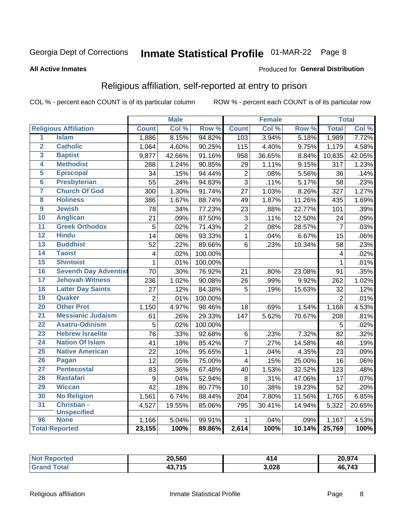# Inmate Statistical Profile 01-MAR-22 Page 8

#### **All Active Inmates**

#### Produced for General Distribution

### Religious affiliation, self-reported at entry to prison

COL % - percent each COUNT is of its particular column

|                         |                              |                         | <b>Male</b> |         |                           | <b>Female</b> |                  |                 | <b>Total</b> |
|-------------------------|------------------------------|-------------------------|-------------|---------|---------------------------|---------------|------------------|-----------------|--------------|
|                         | <b>Religious Affiliation</b> | <b>Count</b>            | Col %       | Row %   | <b>Count</b>              | Col %         | Row <sup>%</sup> | <b>Total</b>    | Col %        |
| $\overline{1}$          | <b>Islam</b>                 | 1,886                   | 8.15%       | 94.82%  | 103                       | 3.94%         | 5.18%            | 1,989           | 7.72%        |
| $\overline{\mathbf{2}}$ | <b>Catholic</b>              | 1,064                   | 4.60%       | 90.25%  | 115                       | 4.40%         | 9.75%            | 1,179           | 4.58%        |
| 3                       | <b>Baptist</b>               | 9,877                   | 42.66%      | 91.16%  | 958                       | 36.65%        | 8.84%            | 10,835          | 42.05%       |
| 4                       | <b>Methodist</b>             | 288                     | 1.24%       | 90.85%  | 29                        | 1.11%         | 9.15%            | 317             | 1.23%        |
| 5                       | <b>Episcopal</b>             | 34                      | .15%        | 94.44%  | $\overline{2}$            | .08%          | 5.56%            | 36              | .14%         |
| $\overline{\bf{6}}$     | <b>Presbyterian</b>          | $\overline{55}$         | .24%        | 94.83%  | $\overline{3}$            | .11%          | 5.17%            | 58              | .23%         |
| 7                       | <b>Church Of God</b>         | 300                     | 1.30%       | 91.74%  | 27                        | 1.03%         | 8.26%            | 327             | 1.27%        |
| $\overline{\mathbf{8}}$ | <b>Holiness</b>              | 386                     | 1.67%       | 88.74%  | 49                        | 1.87%         | 11.26%           | 435             | 1.69%        |
| $\overline{9}$          | <b>Jewish</b>                | 78                      | .34%        | 77.23%  | 23                        | .88%          | 22.77%           | 101             | .39%         |
| 10                      | <b>Anglican</b>              | 21                      | .09%        | 87.50%  | $\ensuremath{\mathsf{3}}$ | .11%          | 12.50%           | 24              | .09%         |
| $\overline{11}$         | <b>Greek Orthodox</b>        | 5                       | .02%        | 71.43%  | $\overline{2}$            | .08%          | 28.57%           | $\overline{7}$  | .03%         |
| 12                      | <b>Hindu</b>                 | 14                      | .06%        | 93.33%  | $\overline{1}$            | .04%          | 6.67%            | 15              | .06%         |
| 13                      | <b>Buddhist</b>              | 52                      | .22%        | 89.66%  | 6                         | .23%          | 10.34%           | 58              | .23%         |
| 14                      | <b>Taoist</b>                | $\overline{\mathbf{4}}$ | .02%        | 100.00% |                           |               |                  | 4               | .02%         |
| 15                      | <b>Shintoist</b>             | $\mathbf{1}$            | .01%        | 100.00% |                           |               |                  | 1               | .01%         |
| 16                      | <b>Seventh Day Adventist</b> | 70                      | .30%        | 76.92%  | 21                        | .80%          | 23.08%           | 91              | .35%         |
| 17                      | <b>Jehovah Witness</b>       | 236                     | 1.02%       | 90.08%  | 26                        | .99%          | 9.92%            | 262             | 1.02%        |
| 18                      | <b>Latter Day Saints</b>     | 27                      | .12%        | 84.38%  | $\overline{5}$            | .19%          | 15.63%           | 32              | .12%         |
| 19                      | Quaker                       | $\overline{2}$          | .01%        | 100.00% |                           |               |                  | $\overline{2}$  | .01%         |
| 20                      | <b>Other Prot</b>            | 1,150                   | 4.97%       | 98.46%  | 18                        | .69%          | 1.54%            | 1,168           | 4.53%        |
| 21                      | <b>Messianic Judaism</b>     | 61                      | .26%        | 29.33%  | 147                       | 5.62%         | 70.67%           | 208             | .81%         |
| 22                      | <b>Asatru-Odinism</b>        | 5                       | .02%        | 100.00% |                           |               |                  | 5               | .02%         |
| 23                      | <b>Hebrew Israelite</b>      | $\overline{76}$         | .33%        | 92.68%  | 6                         | .23%          | 7.32%            | 82              | .32%         |
| 24                      | <b>Nation Of Islam</b>       | 41                      | .18%        | 85.42%  | $\overline{7}$            | .27%          | 14.58%           | 48              | .19%         |
| 25                      | <b>Native American</b>       | $\overline{22}$         | .10%        | 95.65%  | $\mathbf{1}$              | .04%          | 4.35%            | $\overline{23}$ | .09%         |
| 26                      | Pagan                        | 12                      | .05%        | 75.00%  | $\overline{\mathbf{4}}$   | .15%          | 25.00%           | 16              | .06%         |
| 27                      | <b>Pentecostal</b>           | 83                      | .36%        | 67.48%  | 40                        | 1.53%         | 32.52%           | 123             | .48%         |
| 28                      | <b>Rastafari</b>             | $\overline{9}$          | .04%        | 52.94%  | 8                         | .31%          | 47.06%           | 17              | .07%         |
| 29                      | <b>Wiccan</b>                | 42                      | .18%        | 80.77%  | 10                        | .38%          | 19.23%           | 52              | .20%         |
| 30                      | <b>No Religion</b>           | 1,561                   | 6.74%       | 88.44%  | 204                       | 7.80%         | 11.56%           | 1,765           | 6.85%        |
| 31                      | Christian -                  | 4,527                   | 19.55%      | 85.06%  | 795                       | 30.41%        | 14.94%           | 5,322           | 20.65%       |
|                         | <b>Unspecified</b>           |                         |             |         |                           |               |                  |                 |              |
| 96                      | <b>None</b>                  | $\overline{1,166}$      | 5.04%       | 99.91%  | 1                         | .04%          | .09%             | 1,167           | 4.53%        |
|                         | <b>Total Reported</b>        | 23,155                  | 100%        | 89.86%  | 2,614                     | 100%          | 10.14%           | 25,769          | 100%         |

| rted<br>N | 20,560      | л Я   |        |  |  |
|-----------|-------------|-------|--------|--|--|
|           | 19 74 E<br> | 3,028 | 46.743 |  |  |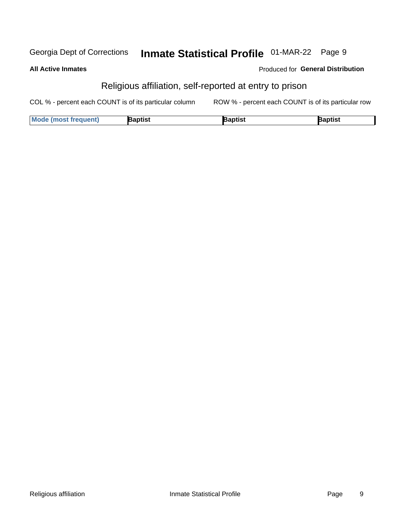#### Inmate Statistical Profile 01-MAR-22 Page 9 Georgia Dept of Corrections

**All Active Inmates** 

| <b>Produced for General Distribution</b> |  |  |
|------------------------------------------|--|--|
|------------------------------------------|--|--|

### Religious affiliation, self-reported at entry to prison

COL % - percent each COUNT is of its particular column ROW % - percent each COUNT is of its particular row

| <b>Mode (most frequent)</b> | Baptist | Japtist | Baptist |
|-----------------------------|---------|---------|---------|
|-----------------------------|---------|---------|---------|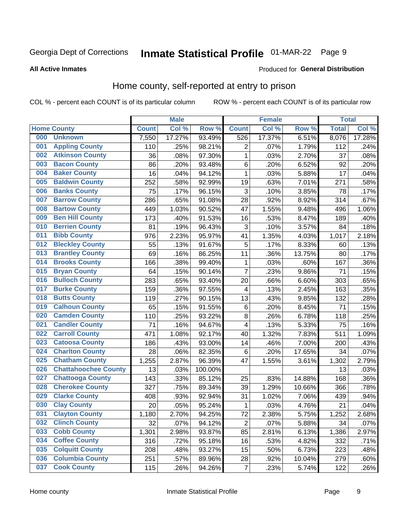# Inmate Statistical Profile 01-MAR-22 Page 9

#### **All Active Inmates**

#### Produced for General Distribution

### Home county, self-reported at entry to prison

COL % - percent each COUNT is of its particular column

|     |                             |              | <b>Male</b> |                  |                         | <b>Female</b> |        | <b>Total</b> |        |
|-----|-----------------------------|--------------|-------------|------------------|-------------------------|---------------|--------|--------------|--------|
|     | <b>Home County</b>          | <b>Count</b> | Col %       | Row <sup>%</sup> | <b>Count</b>            | Col %         | Row %  | <b>Total</b> | Col %  |
| 000 | <b>Unknown</b>              | 7,550        | 17.27%      | 93.49%           | 526                     | 17.37%        | 6.51%  | 8,076        | 17.28% |
| 001 | <b>Appling County</b>       | 110          | .25%        | 98.21%           | $\overline{2}$          | .07%          | 1.79%  | 112          | .24%   |
| 002 | <b>Atkinson County</b>      | 36           | .08%        | 97.30%           | 1                       | .03%          | 2.70%  | 37           | .08%   |
| 003 | <b>Bacon County</b>         | 86           | .20%        | 93.48%           | 6                       | .20%          | 6.52%  | 92           | .20%   |
| 004 | <b>Baker County</b>         | 16           | .04%        | 94.12%           | 1                       | .03%          | 5.88%  | 17           | .04%   |
| 005 | <b>Baldwin County</b>       | 252          | .58%        | 92.99%           | 19                      | .63%          | 7.01%  | 271          | .58%   |
| 006 | <b>Banks County</b>         | 75           | .17%        | 96.15%           | 3                       | .10%          | 3.85%  | 78           | .17%   |
| 007 | <b>Barrow County</b>        | 286          | .65%        | 91.08%           | 28                      | .92%          | 8.92%  | 314          | .67%   |
| 008 | <b>Bartow County</b>        | 449          | 1.03%       | 90.52%           | 47                      | 1.55%         | 9.48%  | 496          | 1.06%  |
| 009 | <b>Ben Hill County</b>      | 173          | .40%        | 91.53%           | 16                      | .53%          | 8.47%  | 189          | .40%   |
| 010 | <b>Berrien County</b>       | 81           | .19%        | 96.43%           | 3                       | .10%          | 3.57%  | 84           | .18%   |
| 011 | <b>Bibb County</b>          | 976          | 2.23%       | 95.97%           | 41                      | 1.35%         | 4.03%  | 1,017        | 2.18%  |
| 012 | <b>Bleckley County</b>      | 55           | .13%        | 91.67%           | 5                       | .17%          | 8.33%  | 60           | .13%   |
| 013 | <b>Brantley County</b>      | 69           | .16%        | 86.25%           | 11                      | .36%          | 13.75% | 80           | .17%   |
| 014 | <b>Brooks County</b>        | 166          | .38%        | 99.40%           | 1                       | .03%          | .60%   | 167          | .36%   |
| 015 | <b>Bryan County</b>         | 64           | .15%        | 90.14%           | $\overline{7}$          | .23%          | 9.86%  | 71           | .15%   |
| 016 | <b>Bulloch County</b>       | 283          | .65%        | 93.40%           | 20                      | .66%          | 6.60%  | 303          | .65%   |
| 017 | <b>Burke County</b>         | 159          | .36%        | 97.55%           | 4                       | .13%          | 2.45%  | 163          | .35%   |
| 018 | <b>Butts County</b>         | 119          | .27%        | 90.15%           | 13                      | .43%          | 9.85%  | 132          | .28%   |
| 019 | <b>Calhoun County</b>       | 65           | .15%        | 91.55%           | 6                       | .20%          | 8.45%  | 71           | .15%   |
| 020 | <b>Camden County</b>        | 110          | .25%        | 93.22%           | $\bf 8$                 | .26%          | 6.78%  | 118          | .25%   |
| 021 | <b>Candler County</b>       | 71           | .16%        | 94.67%           | $\overline{\mathbf{4}}$ | .13%          | 5.33%  | 75           | .16%   |
| 022 | <b>Carroll County</b>       | 471          | 1.08%       | 92.17%           | 40                      | 1.32%         | 7.83%  | 511          | 1.09%  |
| 023 | <b>Catoosa County</b>       | 186          | .43%        | 93.00%           | 14                      | .46%          | 7.00%  | 200          | .43%   |
| 024 | <b>Charlton County</b>      | 28           | .06%        | 82.35%           | 6                       | .20%          | 17.65% | 34           | .07%   |
| 025 | <b>Chatham County</b>       | 1,255        | 2.87%       | 96.39%           | 47                      | 1.55%         | 3.61%  | 1,302        | 2.79%  |
| 026 | <b>Chattahoochee County</b> | 13           | .03%        | 100.00%          |                         |               |        | 13           | .03%   |
| 027 | <b>Chattooga County</b>     | 143          | .33%        | 85.12%           | 25                      | .83%          | 14.88% | 168          | .36%   |
| 028 | <b>Cherokee County</b>      | 327          | .75%        | 89.34%           | 39                      | 1.29%         | 10.66% | 366          | .78%   |
| 029 | <b>Clarke County</b>        | 408          | .93%        | 92.94%           | 31                      | 1.02%         | 7.06%  | 439          | .94%   |
| 030 | <b>Clay County</b>          | 20           | .05%        | 95.24%           | 1                       | .03%          | 4.76%  | 21           | .04%   |
| 031 | <b>Clayton County</b>       | 1,180        | 2.70%       | 94.25%           | 72                      | 2.38%         | 5.75%  | 1,252        | 2.68%  |
| 032 | <b>Clinch County</b>        | 32           | .07%        | 94.12%           | $\overline{2}$          | .07%          | 5.88%  | 34           | .07%   |
| 033 | <b>Cobb County</b>          | 1,301        | 2.98%       | 93.87%           | 85                      | 2.81%         | 6.13%  | 1,386        | 2.97%  |
| 034 | <b>Coffee County</b>        | 316          | .72%        | 95.18%           | 16                      | .53%          | 4.82%  | 332          | .71%   |
| 035 | <b>Colquitt County</b>      | 208          | .48%        | 93.27%           | 15                      | .50%          | 6.73%  | 223          | .48%   |
| 036 | <b>Columbia County</b>      | 251          | .57%        | 89.96%           | 28                      | .92%          | 10.04% | 279          | .60%   |
| 037 | <b>Cook County</b>          | 115          | .26%        | 94.26%           | $\overline{7}$          | .23%          | 5.74%  | 122          | .26%   |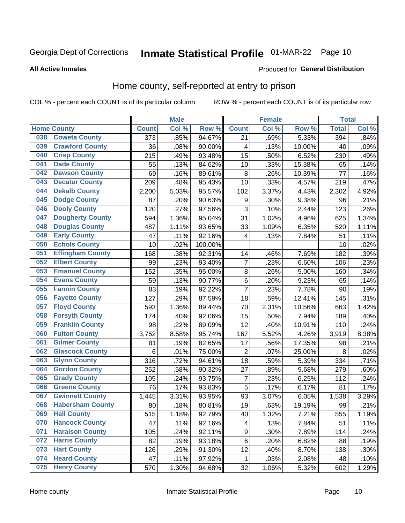# Inmate Statistical Profile 01-MAR-22 Page 10

**Produced for General Distribution** 

#### **All Active Inmates**

### Home county, self-reported at entry to prison

COL % - percent each COUNT is of its particular column

|     |                         |                  | <b>Male</b> |         |                  | <b>Female</b> |        | <b>Total</b> |       |
|-----|-------------------------|------------------|-------------|---------|------------------|---------------|--------|--------------|-------|
|     | <b>Home County</b>      | <b>Count</b>     | Col %       | Row %   | <b>Count</b>     | Col %         | Row %  | <b>Total</b> | Col % |
| 038 | <b>Coweta County</b>    | $\overline{373}$ | .85%        | 94.67%  | 21               | .69%          | 5.33%  | 394          | .84%  |
| 039 | <b>Crawford County</b>  | 36               | .08%        | 90.00%  | 4                | .13%          | 10.00% | 40           | .09%  |
| 040 | <b>Crisp County</b>     | 215              | .49%        | 93.48%  | 15               | .50%          | 6.52%  | 230          | .49%  |
| 041 | <b>Dade County</b>      | 55               | .13%        | 84.62%  | 10               | .33%          | 15.38% | 65           | .14%  |
| 042 | <b>Dawson County</b>    | 69               | .16%        | 89.61%  | 8                | .26%          | 10.39% | 77           | .16%  |
| 043 | <b>Decatur County</b>   | 209              | .48%        | 95.43%  | 10               | .33%          | 4.57%  | 219          | .47%  |
| 044 | <b>Dekalb County</b>    | 2,200            | 5.03%       | 95.57%  | 102              | 3.37%         | 4.43%  | 2,302        | 4.92% |
| 045 | <b>Dodge County</b>     | 87               | .20%        | 90.63%  | $\boldsymbol{9}$ | .30%          | 9.38%  | 96           | .21%  |
| 046 | <b>Dooly County</b>     | 120              | .27%        | 97.56%  | 3                | .10%          | 2.44%  | 123          | .26%  |
| 047 | <b>Dougherty County</b> | 594              | 1.36%       | 95.04%  | 31               | 1.02%         | 4.96%  | 625          | 1.34% |
| 048 | <b>Douglas County</b>   | 487              | 1.11%       | 93.65%  | 33               | 1.09%         | 6.35%  | 520          | 1.11% |
| 049 | <b>Early County</b>     | 47               | .11%        | 92.16%  | 4                | .13%          | 7.84%  | 51           | .11%  |
| 050 | <b>Echols County</b>    | 10               | .02%        | 100.00% |                  |               |        | 10           | .02%  |
| 051 | <b>Effingham County</b> | 168              | .38%        | 92.31%  | 14               | .46%          | 7.69%  | 182          | .39%  |
| 052 | <b>Elbert County</b>    | 99               | .23%        | 93.40%  | $\overline{7}$   | .23%          | 6.60%  | 106          | .23%  |
| 053 | <b>Emanuel County</b>   | 152              | .35%        | 95.00%  | 8                | .26%          | 5.00%  | 160          | .34%  |
| 054 | <b>Evans County</b>     | 59               | .13%        | 90.77%  | 6                | .20%          | 9.23%  | 65           | .14%  |
| 055 | <b>Fannin County</b>    | 83               | .19%        | 92.22%  | $\overline{7}$   | .23%          | 7.78%  | 90           | .19%  |
| 056 | <b>Fayette County</b>   | 127              | .29%        | 87.59%  | 18               | .59%          | 12.41% | 145          | .31%  |
| 057 | <b>Floyd County</b>     | 593              | 1.36%       | 89.44%  | 70               | 2.31%         | 10.56% | 663          | 1.42% |
| 058 | <b>Forsyth County</b>   | 174              | .40%        | 92.06%  | 15               | .50%          | 7.94%  | 189          | .40%  |
| 059 | <b>Franklin County</b>  | 98               | .22%        | 89.09%  | 12               | .40%          | 10.91% | 110          | .24%  |
| 060 | <b>Fulton County</b>    | 3,752            | 8.58%       | 95.74%  | 167              | 5.52%         | 4.26%  | 3,919        | 8.38% |
| 061 | <b>Gilmer County</b>    | 81               | .19%        | 82.65%  | 17               | .56%          | 17.35% | 98           | .21%  |
| 062 | <b>Glascock County</b>  | 6                | .01%        | 75.00%  | $\overline{2}$   | .07%          | 25.00% | 8            | .02%  |
| 063 | <b>Glynn County</b>     | 316              | .72%        | 94.61%  | 18               | .59%          | 5.39%  | 334          | .71%  |
| 064 | <b>Gordon County</b>    | 252              | .58%        | 90.32%  | 27               | .89%          | 9.68%  | 279          | .60%  |
| 065 | <b>Grady County</b>     | 105              | .24%        | 93.75%  | $\overline{7}$   | .23%          | 6.25%  | 112          | .24%  |
| 066 | <b>Greene County</b>    | 76               | .17%        | 93.83%  | 5                | .17%          | 6.17%  | 81           | .17%  |
| 067 | <b>Gwinnett County</b>  | 1,445            | 3.31%       | 93.95%  | 93               | 3.07%         | 6.05%  | 1,538        | 3.29% |
| 068 | <b>Habersham County</b> | 80               | .18%        | 80.81%  | 19               | .63%          | 19.19% | 99           | .21%  |
| 069 | <b>Hall County</b>      | 515              | 1.18%       | 92.79%  | 40               | 1.32%         | 7.21%  | 555          | 1.19% |
| 070 | <b>Hancock County</b>   | 47               | .11%        | 92.16%  | 4                | .13%          | 7.84%  | 51           | .11%  |
| 071 | <b>Haralson County</b>  | 105              | .24%        | 92.11%  | 9                | .30%          | 7.89%  | 114          | .24%  |
| 072 | <b>Harris County</b>    | 82               | .19%        | 93.18%  | 6                | .20%          | 6.82%  | 88           | .19%  |
| 073 | <b>Hart County</b>      | 126              | .29%        | 91.30%  | 12               | .40%          | 8.70%  | 138          | .30%  |
| 074 | <b>Heard County</b>     | 47               | .11%        | 97.92%  | 1                | .03%          | 2.08%  | 48           | .10%  |
| 075 | <b>Henry County</b>     | 570              | 1.30%       | 94.68%  | 32               | 1.06%         | 5.32%  | 602          | 1.29% |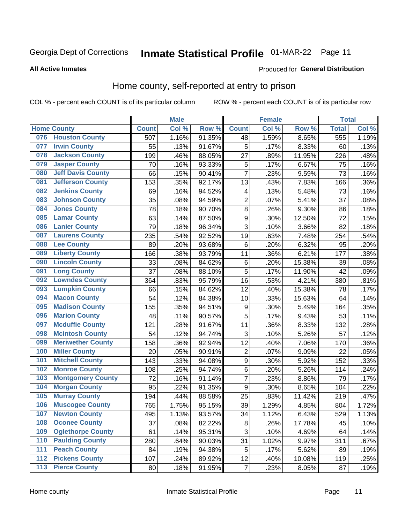# Inmate Statistical Profile 01-MAR-22 Page 11

#### **All Active Inmates**

#### Produced for General Distribution

### Home county, self-reported at entry to prison

COL % - percent each COUNT is of its particular column

|       |                          |              | <b>Male</b> |        |                  | <b>Female</b>     |        | <b>Total</b> |       |
|-------|--------------------------|--------------|-------------|--------|------------------|-------------------|--------|--------------|-------|
|       | <b>Home County</b>       | <b>Count</b> | Col %       | Row %  | <b>Count</b>     | Col %             | Row %  | <b>Total</b> | Col % |
| 076   | <b>Houston County</b>    | 507          | 1.16%       | 91.35% | 48               | 1.59%             | 8.65%  | 555          | 1.19% |
| 077   | <b>Irwin County</b>      | 55           | .13%        | 91.67% | 5                | .17%              | 8.33%  | 60           | .13%  |
| 078   | <b>Jackson County</b>    | 199          | .46%        | 88.05% | 27               | .89%              | 11.95% | 226          | .48%  |
| 079   | <b>Jasper County</b>     | 70           | .16%        | 93.33% | 5                | .17%              | 6.67%  | 75           | .16%  |
| 080   | <b>Jeff Davis County</b> | 66           | .15%        | 90.41% | $\overline{7}$   | $\overline{.}23%$ | 9.59%  | 73           | .16%  |
| 081   | <b>Jefferson County</b>  | 153          | .35%        | 92.17% | 13               | .43%              | 7.83%  | 166          | .36%  |
| 082   | <b>Jenkins County</b>    | 69           | .16%        | 94.52% | 4                | .13%              | 5.48%  | 73           | .16%  |
| 083   | <b>Johnson County</b>    | 35           | .08%        | 94.59% | $\overline{2}$   | .07%              | 5.41%  | 37           | .08%  |
| 084   | <b>Jones County</b>      | 78           | .18%        | 90.70% | 8                | .26%              | 9.30%  | 86           | .18%  |
| 085   | <b>Lamar County</b>      | 63           | .14%        | 87.50% | $\boldsymbol{9}$ | .30%              | 12.50% | 72           | .15%  |
| 086   | <b>Lanier County</b>     | 79           | .18%        | 96.34% | 3                | .10%              | 3.66%  | 82           | .18%  |
| 087   | <b>Laurens County</b>    | 235          | .54%        | 92.52% | 19               | .63%              | 7.48%  | 254          | .54%  |
| 088   | <b>Lee County</b>        | 89           | .20%        | 93.68% | 6                | .20%              | 6.32%  | 95           | .20%  |
| 089   | <b>Liberty County</b>    | 166          | .38%        | 93.79% | 11               | .36%              | 6.21%  | 177          | .38%  |
| 090   | <b>Lincoln County</b>    | 33           | .08%        | 84.62% | $\,6$            | .20%              | 15.38% | 39           | .08%  |
| 091   | <b>Long County</b>       | 37           | .08%        | 88.10% | 5                | .17%              | 11.90% | 42           | .09%  |
| 092   | <b>Lowndes County</b>    | 364          | .83%        | 95.79% | 16               | .53%              | 4.21%  | 380          | .81%  |
| 093   | <b>Lumpkin County</b>    | 66           | .15%        | 84.62% | 12               | .40%              | 15.38% | 78           | .17%  |
| 094   | <b>Macon County</b>      | 54           | .12%        | 84.38% | 10               | .33%              | 15.63% | 64           | .14%  |
| 095   | <b>Madison County</b>    | 155          | .35%        | 94.51% | $\boldsymbol{9}$ | .30%              | 5.49%  | 164          | .35%  |
| 096   | <b>Marion County</b>     | 48           | .11%        | 90.57% | 5                | .17%              | 9.43%  | 53           | .11%  |
| 097   | <b>Mcduffie County</b>   | 121          | .28%        | 91.67% | 11               | .36%              | 8.33%  | 132          | .28%  |
| 098   | <b>Mcintosh County</b>   | 54           | .12%        | 94.74% | 3                | .10%              | 5.26%  | 57           | .12%  |
| 099   | <b>Meriwether County</b> | 158          | .36%        | 92.94% | 12               | .40%              | 7.06%  | 170          | .36%  |
| 100   | <b>Miller County</b>     | 20           | .05%        | 90.91% | $\overline{2}$   | .07%              | 9.09%  | 22           | .05%  |
| 101   | <b>Mitchell County</b>   | 143          | .33%        | 94.08% | $\boldsymbol{9}$ | .30%              | 5.92%  | 152          | .33%  |
| 102   | <b>Monroe County</b>     | 108          | .25%        | 94.74% | 6                | .20%              | 5.26%  | 114          | .24%  |
| 103   | <b>Montgomery County</b> | 72           | .16%        | 91.14% | 7                | .23%              | 8.86%  | 79           | .17%  |
| 104   | <b>Morgan County</b>     | 95           | .22%        | 91.35% | 9                | .30%              | 8.65%  | 104          | .22%  |
| 105   | <b>Murray County</b>     | 194          | .44%        | 88.58% | 25               | .83%              | 11.42% | 219          | .47%  |
| 106   | <b>Muscogee County</b>   | 765          | 1.75%       | 95.15% | 39               | 1.29%             | 4.85%  | 804          | 1.72% |
| 107   | <b>Newton County</b>     | 495          | 1.13%       | 93.57% | 34               | 1.12%             | 6.43%  | 529          | 1.13% |
| 108   | <b>Oconee County</b>     | 37           | .08%        | 82.22% | 8                | .26%              | 17.78% | 45           | .10%  |
| 109   | <b>Oglethorpe County</b> | 61           | .14%        | 95.31% | $\overline{3}$   | .10%              | 4.69%  | 64           | .14%  |
| 110   | <b>Paulding County</b>   | 280          | .64%        | 90.03% | 31               | 1.02%             | 9.97%  | 311          | .67%  |
| 111   | <b>Peach County</b>      | 84           | .19%        | 94.38% | 5                | .17%              | 5.62%  | 89           | .19%  |
| $112$ | <b>Pickens County</b>    | 107          | .24%        | 89.92% | 12               | .40%              | 10.08% | 119          | .25%  |
| 113   | <b>Pierce County</b>     | 80           | .18%        | 91.95% | $\overline{7}$   | .23%              | 8.05%  | 87           | .19%  |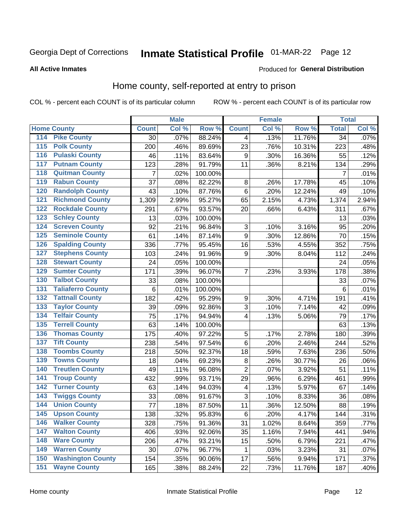# Inmate Statistical Profile 01-MAR-22 Page 12

#### **All Active Inmates**

#### Produced for General Distribution

### Home county, self-reported at entry to prison

COL % - percent each COUNT is of its particular column

|                    |                          |              | <b>Male</b> |                  |                  | <b>Female</b> |        | <b>Total</b>    |       |
|--------------------|--------------------------|--------------|-------------|------------------|------------------|---------------|--------|-----------------|-------|
| <b>Home County</b> |                          | <b>Count</b> | Col %       | Row <sup>%</sup> | <b>Count</b>     | Col %         | Row %  | <b>Total</b>    | Col % |
| 114                | <b>Pike County</b>       | 30           | .07%        | 88.24%           | 4                | .13%          | 11.76% | $\overline{34}$ | .07%  |
| 115                | <b>Polk County</b>       | 200          | .46%        | 89.69%           | 23               | .76%          | 10.31% | 223             | .48%  |
| 116                | <b>Pulaski County</b>    | 46           | .11%        | 83.64%           | 9                | .30%          | 16.36% | 55              | .12%  |
| 117                | <b>Putnam County</b>     | 123          | .28%        | 91.79%           | 11               | .36%          | 8.21%  | 134             | .29%  |
| 118                | <b>Quitman County</b>    | 7            | .02%        | 100.00%          |                  |               |        | $\overline{7}$  | .01%  |
| 119                | <b>Rabun County</b>      | 37           | .08%        | 82.22%           | 8                | .26%          | 17.78% | 45              | .10%  |
| 120                | <b>Randolph County</b>   | 43           | .10%        | 87.76%           | $\,6$            | .20%          | 12.24% | 49              | .10%  |
| 121                | <b>Richmond County</b>   | 1,309        | 2.99%       | 95.27%           | 65               | 2.15%         | 4.73%  | 1,374           | 2.94% |
| 122                | <b>Rockdale County</b>   | 291          | .67%        | 93.57%           | 20               | .66%          | 6.43%  | 311             | .67%  |
| 123                | <b>Schley County</b>     | 13           | .03%        | 100.00%          |                  |               |        | 13              | .03%  |
| 124                | <b>Screven County</b>    | 92           | .21%        | 96.84%           | $\sqrt{3}$       | .10%          | 3.16%  | 95              | .20%  |
| 125                | <b>Seminole County</b>   | 61           | .14%        | 87.14%           | 9                | .30%          | 12.86% | 70              | .15%  |
| 126                | <b>Spalding County</b>   | 336          | .77%        | 95.45%           | 16               | .53%          | 4.55%  | 352             | .75%  |
| 127                | <b>Stephens County</b>   | 103          | .24%        | 91.96%           | 9                | .30%          | 8.04%  | 112             | .24%  |
| 128                | <b>Stewart County</b>    | 24           | .05%        | 100.00%          |                  |               |        | 24              | .05%  |
| 129                | <b>Sumter County</b>     | 171          | .39%        | 96.07%           | 7                | .23%          | 3.93%  | 178             | .38%  |
| 130                | <b>Talbot County</b>     | 33           | .08%        | 100.00%          |                  |               |        | 33              | .07%  |
| 131                | <b>Taliaferro County</b> | 6            | .01%        | 100.00%          |                  |               |        | 6               | .01%  |
| 132                | <b>Tattnall County</b>   | 182          | .42%        | 95.29%           | $\boldsymbol{9}$ | .30%          | 4.71%  | 191             | .41%  |
| 133                | <b>Taylor County</b>     | 39           | .09%        | 92.86%           | 3                | .10%          | 7.14%  | 42              | .09%  |
| 134                | <b>Telfair County</b>    | 75           | .17%        | 94.94%           | 4                | .13%          | 5.06%  | 79              | .17%  |
| 135                | <b>Terrell County</b>    | 63           | .14%        | 100.00%          |                  |               |        | 63              | .13%  |
| 136                | <b>Thomas County</b>     | 175          | .40%        | 97.22%           | 5                | .17%          | 2.78%  | 180             | .39%  |
| 137                | <b>Tift County</b>       | 238          | .54%        | 97.54%           | 6                | .20%          | 2.46%  | 244             | .52%  |
| 138                | <b>Toombs County</b>     | 218          | .50%        | 92.37%           | 18               | .59%          | 7.63%  | 236             | .50%  |
| 139                | <b>Towns County</b>      | 18           | .04%        | 69.23%           | 8                | .26%          | 30.77% | 26              | .06%  |
| 140                | <b>Treutlen County</b>   | 49           | .11%        | 96.08%           | $\overline{2}$   | .07%          | 3.92%  | 51              | .11%  |
| 141                | <b>Troup County</b>      | 432          | .99%        | 93.71%           | 29               | .96%          | 6.29%  | 461             | .99%  |
| $\overline{142}$   | <b>Turner County</b>     | 63           | .14%        | 94.03%           | $\overline{4}$   | .13%          | 5.97%  | 67              | .14%  |
| 143                | <b>Twiggs County</b>     | 33           | .08%        | 91.67%           | 3                | .10%          | 8.33%  | 36              | .08%  |
| 144                | <b>Union County</b>      | 77           | .18%        | 87.50%           | 11               | .36%          | 12.50% | 88              | .19%  |
| 145                | <b>Upson County</b>      | 138          | .32%        | 95.83%           | $\,6$            | .20%          | 4.17%  | 144             | .31%  |
| 146                | <b>Walker County</b>     | 328          | .75%        | 91.36%           | 31               | 1.02%         | 8.64%  | 359             | .77%  |
| 147                | <b>Walton County</b>     | 406          | .93%        | 92.06%           | 35               | 1.16%         | 7.94%  | 441             | .94%  |
| 148                | <b>Ware County</b>       | 206          | .47%        | 93.21%           | 15               | .50%          | 6.79%  | 221             | .47%  |
| 149                | <b>Warren County</b>     | 30           | .07%        | 96.77%           | 1                | .03%          | 3.23%  | 31              | .07%  |
| 150                | <b>Washington County</b> | 154          | .35%        | 90.06%           | 17               | .56%          | 9.94%  | 171             | .37%  |
| 151                | <b>Wayne County</b>      | 165          | .38%        | 88.24%           | 22               | .73%          | 11.76% | 187             | .40%  |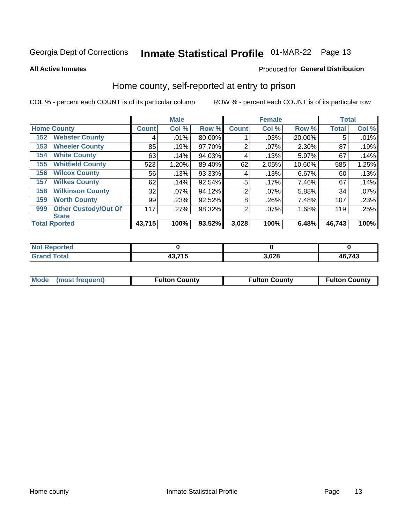# Inmate Statistical Profile 01-MAR-22 Page 13

**All Active Inmates** 

#### Produced for General Distribution

### Home county, self-reported at entry to prison

COL % - percent each COUNT is of its particular column

|     |                             |              | <b>Male</b> |        |                | <b>Female</b> |        | <b>Total</b> |       |
|-----|-----------------------------|--------------|-------------|--------|----------------|---------------|--------|--------------|-------|
|     | <b>Home County</b>          | <b>Count</b> | Col %       | Row %  | <b>Count</b>   | Col %         | Row %  | <b>Total</b> | Col % |
| 152 | <b>Webster County</b>       | 4            | .01%        | 80.00% |                | .03%          | 20.00% | 5            | .01%  |
| 153 | <b>Wheeler County</b>       | 85           | .19%        | 97.70% | 2              | $.07\%$       | 2.30%  | 87           | .19%  |
| 154 | <b>White County</b>         | 63           | .14%        | 94.03% | 4              | .13%          | 5.97%  | 67           | .14%  |
| 155 | <b>Whitfield County</b>     | 523          | 1.20%       | 89.40% | 62             | 2.05%         | 10.60% | 585          | 1.25% |
| 156 | <b>Wilcox County</b>        | 56           | .13%        | 93.33% | 4              | .13%          | 6.67%  | 60           | .13%  |
| 157 | <b>Wilkes County</b>        | 62           | .14%        | 92.54% | 5              | .17%          | 7.46%  | 67           | .14%  |
| 158 | <b>Wilkinson County</b>     | 32           | $.07\%$     | 94.12% | 2              | $.07\%$       | 5.88%  | 34           | .07%  |
| 159 | <b>Worth County</b>         | 99           | .23%        | 92.52% | 8              | .26%          | 7.48%  | 107          | .23%  |
| 999 | <b>Other Custody/Out Of</b> | 117          | .27%        | 98.32% | $\overline{2}$ | $.07\%$       | 1.68%  | 119          | .25%  |
|     | <b>State</b>                |              |             |        |                |               |        |              |       |
|     | <b>Total Rported</b>        | 43,715       | 100%        | 93.52% | 3,028          | 100%          | 6.48%  | 46,743       | 100%  |

| <b>Not</b><br><b>Reported</b> |                       |       |        |
|-------------------------------|-----------------------|-------|--------|
| <b>Total</b>                  | 12.71E<br>49,7<br>. ט | 3,028 | 46,743 |

|  | Mode (most frequent) | <b>Fulton County</b> | <b>Fulton County</b> | <b>Fulton County</b> |
|--|----------------------|----------------------|----------------------|----------------------|
|--|----------------------|----------------------|----------------------|----------------------|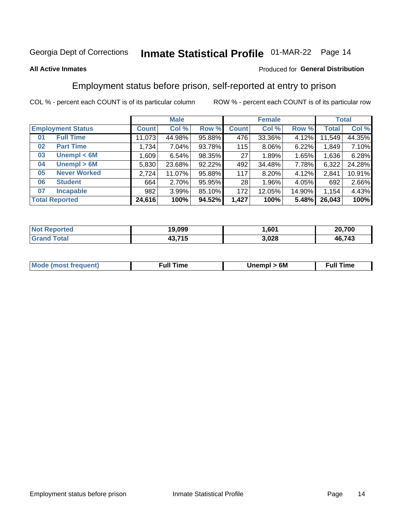# Inmate Statistical Profile 01-MAR-22 Page 14

#### **All Active Inmates**

#### Produced for General Distribution

### Employment status before prison, self-reported at entry to prison

COL % - percent each COUNT is of its particular column

|                           |         | <b>Male</b> |        |              | <b>Female</b> |        |        | <b>Total</b> |
|---------------------------|---------|-------------|--------|--------------|---------------|--------|--------|--------------|
| <b>Employment Status</b>  | Count l | Col %       | Row %  | <b>Count</b> | Col %         | Row %  | Total  | Col %        |
| <b>Full Time</b><br>01    | 11,073  | 44.98%      | 95.88% | 476          | 33.36%        | 4.12%  | 11,549 | 44.35%       |
| <b>Part Time</b><br>02    | 1,734   | 7.04%       | 93.78% | 115          | $8.06\%$      | 6.22%  | 1,849  | 7.10%        |
| Unempl $<$ 6M<br>03       | 1,609   | 6.54%       | 98.35% | 27           | 1.89%         | 1.65%  | 1,636  | 6.28%        |
| Unempl > 6M<br>04         | 5,830   | 23.68%      | 92.22% | 492          | 34.48%        | 7.78%  | 6,322  | 24.28%       |
| <b>Never Worked</b><br>05 | 2,724   | 11.07%      | 95.88% | 117          | $8.20\%$      | 4.12%  | 2,841  | 10.91%       |
| <b>Student</b><br>06      | 664     | 2.70%       | 95.95% | 28           | 1.96%         | 4.05%  | 692    | 2.66%        |
| <b>Incapable</b><br>07    | 982     | 3.99%       | 85.10% | 172          | 12.05%        | 14.90% | 1,154  | 4.43%        |
| <b>Total Reported</b>     | 24,616  | 100%        | 94.52% | 1,427        | 100%          | 5.48%  | 26,043 | 100%         |

| <b>Not Reported</b> | 19.099 | .601  | 20,700 |
|---------------------|--------|-------|--------|
| ™otal               | 13.715 | 3,028 | 46,743 |

| <b>Mode (most frequent)</b> | rull 1<br>the contract of the contract of the contract of the contract of the contract of the contract of the contract of | 6M | ïme<br>ιuι<br>the contract of the contract of the contract of the contract of the contract of the contract of the contract of |
|-----------------------------|---------------------------------------------------------------------------------------------------------------------------|----|-------------------------------------------------------------------------------------------------------------------------------|
|                             |                                                                                                                           |    |                                                                                                                               |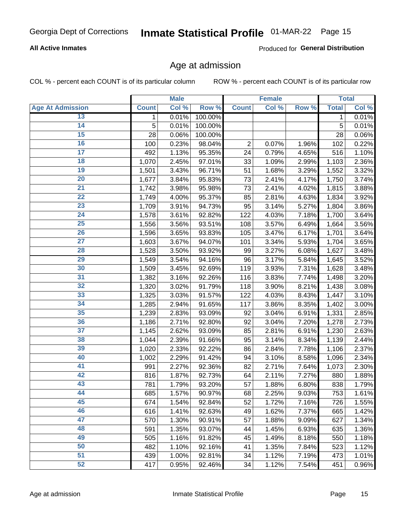#### **All Active Inmates**

Produced for General Distribution

### Age at admission

COL % - percent each COUNT is of its particular column

|                         |                    | <b>Male</b> |         |                | <b>Female</b> |       |              | <b>Total</b> |
|-------------------------|--------------------|-------------|---------|----------------|---------------|-------|--------------|--------------|
| <b>Age At Admission</b> | <b>Count</b>       | Col %       | Row %   | <b>Count</b>   | Col %         | Row % | <b>Total</b> | Col %        |
| 13                      | 1                  | 0.01%       | 100.00% |                |               |       | 1            | 0.01%        |
| 14                      | 5                  | 0.01%       | 100.00% |                |               |       | 5            | 0.01%        |
| 15                      | 28                 | 0.06%       | 100.00% |                |               |       | 28           | 0.06%        |
| 16                      | 100                | 0.23%       | 98.04%  | $\overline{2}$ | 0.07%         | 1.96% | 102          | 0.22%        |
| $\overline{17}$         | 492                | 1.13%       | 95.35%  | 24             | 0.79%         | 4.65% | 516          | 1.10%        |
| 18                      | 1,070              | 2.45%       | 97.01%  | 33             | 1.09%         | 2.99% | 1,103        | 2.36%        |
| 19                      | 1,501              | 3.43%       | 96.71%  | 51             | 1.68%         | 3.29% | 1,552        | 3.32%        |
| 20                      | 1,677              | 3.84%       | 95.83%  | 73             | 2.41%         | 4.17% | 1,750        | 3.74%        |
| $\overline{21}$         | $\overline{1,742}$ | 3.98%       | 95.98%  | 73             | 2.41%         | 4.02% | 1,815        | 3.88%        |
| $\overline{22}$         | 1,749              | 4.00%       | 95.37%  | 85             | 2.81%         | 4.63% | 1,834        | 3.92%        |
| 23                      | 1,709              | 3.91%       | 94.73%  | 95             | 3.14%         | 5.27% | 1,804        | 3.86%        |
| 24                      | 1,578              | 3.61%       | 92.82%  | 122            | 4.03%         | 7.18% | 1,700        | 3.64%        |
| $\overline{25}$         | 1,556              | 3.56%       | 93.51%  | 108            | 3.57%         | 6.49% | 1,664        | 3.56%        |
| 26                      | 1,596              | 3.65%       | 93.83%  | 105            | 3.47%         | 6.17% | 1,701        | 3.64%        |
| $\overline{27}$         | 1,603              | 3.67%       | 94.07%  | 101            | 3.34%         | 5.93% | 1,704        | 3.65%        |
| 28                      | 1,528              | 3.50%       | 93.92%  | 99             | 3.27%         | 6.08% | 1,627        | 3.48%        |
| 29                      | 1,549              | 3.54%       | 94.16%  | 96             | 3.17%         | 5.84% | 1,645        | 3.52%        |
| 30                      | 1,509              | 3.45%       | 92.69%  | 119            | 3.93%         | 7.31% | 1,628        | 3.48%        |
| 31                      | 1,382              | 3.16%       | 92.26%  | 116            | 3.83%         | 7.74% | 1,498        | 3.20%        |
| 32                      | 1,320              | 3.02%       | 91.79%  | 118            | 3.90%         | 8.21% | 1,438        | 3.08%        |
| 33                      | 1,325              | 3.03%       | 91.57%  | 122            | 4.03%         | 8.43% | 1,447        | 3.10%        |
| 34                      | 1,285              | 2.94%       | 91.65%  | 117            | 3.86%         | 8.35% | 1,402        | 3.00%        |
| 35                      | 1,239              | 2.83%       | 93.09%  | 92             | 3.04%         | 6.91% | 1,331        | 2.85%        |
| 36                      | 1,186              | 2.71%       | 92.80%  | 92             | 3.04%         | 7.20% | 1,278        | 2.73%        |
| $\overline{37}$         | 1,145              | 2.62%       | 93.09%  | 85             | 2.81%         | 6.91% | 1,230        | 2.63%        |
| 38                      | 1,044              | 2.39%       | 91.66%  | 95             | 3.14%         | 8.34% | 1,139        | 2.44%        |
| 39                      | 1,020              | 2.33%       | 92.22%  | 86             | 2.84%         | 7.78% | 1,106        | 2.37%        |
| 40                      | 1,002              | 2.29%       | 91.42%  | 94             | 3.10%         | 8.58% | 1,096        | 2.34%        |
| 41                      | 991                | 2.27%       | 92.36%  | 82             | 2.71%         | 7.64% | 1,073        | 2.30%        |
| 42                      | 816                | 1.87%       | 92.73%  | 64             | 2.11%         | 7.27% | 880          | 1.88%        |
| 43                      | 781                | 1.79%       | 93.20%  | 57             | 1.88%         | 6.80% | 838          | 1.79%        |
| 44                      | 685                | 1.57%       | 90.97%  | 68             | 2.25%         | 9.03% | 753          | 1.61%        |
| 45                      | 674                | 1.54%       | 92.84%  | 52             | 1.72%         | 7.16% | 726          | 1.55%        |
| 46                      | 616                | 1.41%       | 92.63%  | 49             | 1.62%         | 7.37% | 665          | 1.42%        |
| 47                      | 570                | 1.30%       | 90.91%  | 57             | 1.88%         | 9.09% | 627          | 1.34%        |
| 48                      | 591                | 1.35%       | 93.07%  | 44             | 1.45%         | 6.93% | 635          | 1.36%        |
| 49                      | 505                | 1.16%       | 91.82%  | 45             | 1.49%         | 8.18% | 550          | 1.18%        |
| 50                      | 482                | 1.10%       | 92.16%  | 41             | 1.35%         | 7.84% | 523          | 1.12%        |
| 51                      | 439                | 1.00%       | 92.81%  | 34             | 1.12%         | 7.19% | 473          | 1.01%        |
| 52                      | 417                | 0.95%       | 92.46%  | 34             | 1.12%         | 7.54% | 451          | 0.96%        |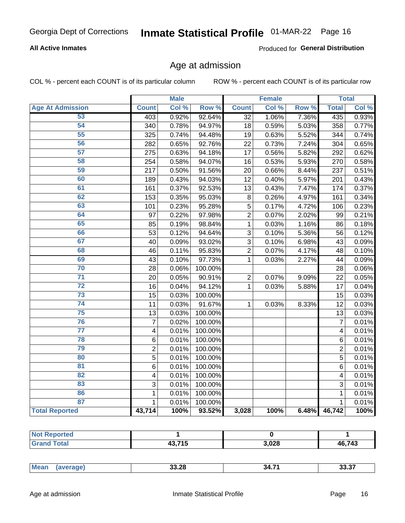#### **All Active Inmates**

Produced for General Distribution

### Age at admission

COL % - percent each COUNT is of its particular column

|                         |                         | <b>Male</b> |         |                 | <b>Female</b> |       |                | <b>Total</b> |
|-------------------------|-------------------------|-------------|---------|-----------------|---------------|-------|----------------|--------------|
| <b>Age At Admission</b> | <b>Count</b>            | Col %       | Row %   | <b>Count</b>    | Col %         | Row % | <b>Total</b>   | Col %        |
| 53                      | 403                     | 0.92%       | 92.64%  | $\overline{32}$ | 1.06%         | 7.36% | 435            | 0.93%        |
| 54                      | 340                     | 0.78%       | 94.97%  | 18              | 0.59%         | 5.03% | 358            | 0.77%        |
| 55                      | 325                     | 0.74%       | 94.48%  | 19              | 0.63%         | 5.52% | 344            | 0.74%        |
| 56                      | 282                     | 0.65%       | 92.76%  | 22              | 0.73%         | 7.24% | 304            | 0.65%        |
| 57                      | 275                     | 0.63%       | 94.18%  | 17              | 0.56%         | 5.82% | 292            | 0.62%        |
| 58                      | 254                     | 0.58%       | 94.07%  | 16              | 0.53%         | 5.93% | 270            | 0.58%        |
| 59                      | 217                     | 0.50%       | 91.56%  | 20              | 0.66%         | 8.44% | 237            | 0.51%        |
| 60                      | 189                     | 0.43%       | 94.03%  | 12              | 0.40%         | 5.97% | 201            | 0.43%        |
| 61                      | 161                     | 0.37%       | 92.53%  | $\overline{13}$ | 0.43%         | 7.47% | 174            | 0.37%        |
| 62                      | 153                     | 0.35%       | 95.03%  | 8               | 0.26%         | 4.97% | 161            | 0.34%        |
| 63                      | 101                     | 0.23%       | 95.28%  | 5               | 0.17%         | 4.72% | 106            | 0.23%        |
| 64                      | 97                      | 0.22%       | 97.98%  | $\overline{2}$  | 0.07%         | 2.02% | 99             | 0.21%        |
| 65                      | 85                      | 0.19%       | 98.84%  | $\mathbf 1$     | 0.03%         | 1.16% | 86             | 0.18%        |
| 66                      | 53                      | 0.12%       | 94.64%  | $\overline{3}$  | 0.10%         | 5.36% | 56             | 0.12%        |
| 67                      | 40                      | 0.09%       | 93.02%  | 3               | 0.10%         | 6.98% | 43             | 0.09%        |
| 68                      | 46                      | 0.11%       | 95.83%  | $\overline{2}$  | 0.07%         | 4.17% | 48             | 0.10%        |
| 69                      | 43                      | 0.10%       | 97.73%  | $\mathbf{1}$    | 0.03%         | 2.27% | 44             | 0.09%        |
| 70                      | 28                      | 0.06%       | 100.00% |                 |               |       | 28             | 0.06%        |
| $\overline{71}$         | 20                      | 0.05%       | 90.91%  | $\overline{2}$  | 0.07%         | 9.09% | 22             | 0.05%        |
| $\overline{72}$         | 16                      | 0.04%       | 94.12%  | $\mathbf{1}$    | 0.03%         | 5.88% | 17             | 0.04%        |
| $\overline{73}$         | 15                      | 0.03%       | 100.00% |                 |               |       | 15             | 0.03%        |
| $\overline{74}$         | 11                      | 0.03%       | 91.67%  | $\mathbf{1}$    | 0.03%         | 8.33% | 12             | 0.03%        |
| 75                      | 13                      | 0.03%       | 100.00% |                 |               |       | 13             | 0.03%        |
| 76                      | $\overline{7}$          | 0.02%       | 100.00% |                 |               |       | $\overline{7}$ | 0.01%        |
| $\overline{77}$         | $\overline{\mathbf{4}}$ | 0.01%       | 100.00% |                 |               |       | 4              | 0.01%        |
| 78                      | 6                       | 0.01%       | 100.00% |                 |               |       | 6              | 0.01%        |
| 79                      | $\overline{2}$          | 0.01%       | 100.00% |                 |               |       | $\overline{2}$ | 0.01%        |
| 80                      | $\overline{5}$          | 0.01%       | 100.00% |                 |               |       | $\overline{5}$ | 0.01%        |
| 81                      | 6                       | 0.01%       | 100.00% |                 |               |       | 6              | 0.01%        |
| $\overline{82}$         | 4                       | 0.01%       | 100.00% |                 |               |       | 4              | 0.01%        |
| 83                      | 3                       | 0.01%       | 100.00% |                 |               |       | 3              | 0.01%        |
| 86                      | $\mathbf{1}$            | 0.01%       | 100.00% |                 |               |       | 1              | 0.01%        |
| 87                      | $\mathbf{1}$            | 0.01%       | 100.00% |                 |               |       | $\mathbf{1}$   | 0.01%        |
| <b>Total Reported</b>   | 43,714                  | 100%        | 93.52%  | 3,028           | 100%          | 6.48% | 46,742         | 100%         |

| $AO$ $7AE$<br>. . | 3,028 | 46,743 |
|-------------------|-------|--------|

| .<br>. <b>.</b> . | Me:<br>ан | 33.28 | 34 | $ -$ |
|-------------------|-----------|-------|----|------|
|-------------------|-----------|-------|----|------|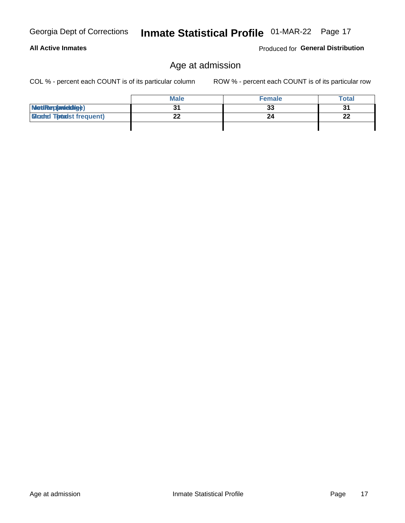#### **All Active Inmates**

Produced for General Distribution

# Age at admission

Inmate Statistical Profile 01-MAR-22 Page 17

COL % - percent each COUNT is of its particular column

|                                  | <b>Male</b> | <b>Female</b> | <b>Total</b> |
|----------------------------------|-------------|---------------|--------------|
| MetiRep(aniektig)                |             | 33            | 31           |
| <b>Gloaded Tomadst frequent)</b> | ^^          |               | 22           |
|                                  |             |               |              |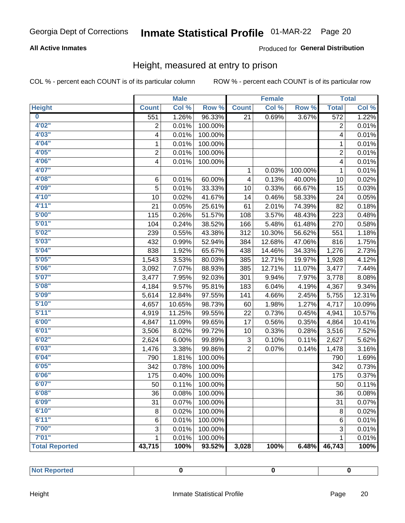#### **All Active Inmates**

#### Produced for General Distribution

### Height, measured at entry to prison

COL % - percent each COUNT is of its particular column

|                       |                | <b>Male</b> |         |                | <b>Female</b> |         |                | <b>Total</b> |
|-----------------------|----------------|-------------|---------|----------------|---------------|---------|----------------|--------------|
| <b>Height</b>         | <b>Count</b>   | Col %       | Row %   | <b>Count</b>   | Col %         | Row %   | <b>Total</b>   | Col %        |
| $\bf{0}$              | 551            | 1.26%       | 96.33%  | 21             | 0.69%         | 3.67%   | 572            | 1.22%        |
| 4'02''                | $\overline{2}$ | 0.01%       | 100.00% |                |               |         | 2              | 0.01%        |
| 4'03''                | 4              | 0.01%       | 100.00% |                |               |         | 4              | 0.01%        |
| 4'04"                 | 1              | 0.01%       | 100.00% |                |               |         | 1              | 0.01%        |
| 4'05"                 | $\overline{2}$ | 0.01%       | 100.00% |                |               |         | $\overline{2}$ | 0.01%        |
| 4'06"                 | 4              | 0.01%       | 100.00% |                |               |         | 4              | 0.01%        |
| 4'07"                 |                |             |         | 1              | 0.03%         | 100.00% | $\mathbf{1}$   | 0.01%        |
| 4'08"                 | 6              | 0.01%       | 60.00%  | 4              | 0.13%         | 40.00%  | 10             | 0.02%        |
| 4'09"                 | 5              | 0.01%       | 33.33%  | 10             | 0.33%         | 66.67%  | 15             | 0.03%        |
| 4'10"                 | 10             | 0.02%       | 41.67%  | 14             | 0.46%         | 58.33%  | 24             | 0.05%        |
| 4'11''                | 21             | 0.05%       | 25.61%  | 61             | 2.01%         | 74.39%  | 82             | 0.18%        |
| 5'00''                | 115            | 0.26%       | 51.57%  | 108            | 3.57%         | 48.43%  | 223            | 0.48%        |
| 5'01"                 | 104            | 0.24%       | 38.52%  | 166            | 5.48%         | 61.48%  | 270            | 0.58%        |
| 5'02"                 | 239            | 0.55%       | 43.38%  | 312            | 10.30%        | 56.62%  | 551            | 1.18%        |
| 5'03''                | 432            | 0.99%       | 52.94%  | 384            | 12.68%        | 47.06%  | 816            | 1.75%        |
| 5'04"                 | 838            | 1.92%       | 65.67%  | 438            | 14.46%        | 34.33%  | 1,276          | 2.73%        |
| 5'05"                 | 1,543          | 3.53%       | 80.03%  | 385            | 12.71%        | 19.97%  | 1,928          | 4.12%        |
| 5'06''                | 3,092          | 7.07%       | 88.93%  | 385            | 12.71%        | 11.07%  | 3,477          | 7.44%        |
| 5'07"                 | 3,477          | 7.95%       | 92.03%  | 301            | 9.94%         | 7.97%   | 3,778          | 8.08%        |
| 5'08''                | 4,184          | 9.57%       | 95.81%  | 183            | 6.04%         | 4.19%   | 4,367          | 9.34%        |
| 5'09''                | 5,614          | 12.84%      | 97.55%  | 141            | 4.66%         | 2.45%   | 5,755          | 12.31%       |
| 5'10''                | 4,657          | 10.65%      | 98.73%  | 60             | 1.98%         | 1.27%   | 4,717          | 10.09%       |
| 5'11''                | 4,919          | 11.25%      | 99.55%  | 22             | 0.73%         | 0.45%   | 4,941          | 10.57%       |
| 6'00''                | 4,847          | 11.09%      | 99.65%  | 17             | 0.56%         | 0.35%   | 4,864          | 10.41%       |
| 6'01''                | 3,506          | 8.02%       | 99.72%  | 10             | 0.33%         | 0.28%   | 3,516          | 7.52%        |
| 6'02"                 | 2,624          | 6.00%       | 99.89%  | 3              | 0.10%         | 0.11%   | 2,627          | 5.62%        |
| 6'03''                | 1,476          | 3.38%       | 99.86%  | $\overline{2}$ | 0.07%         | 0.14%   | 1,478          | 3.16%        |
| 6'04"                 | 790            | 1.81%       | 100.00% |                |               |         | 790            | 1.69%        |
| 6'05"                 | 342            | 0.78%       | 100.00% |                |               |         | 342            | 0.73%        |
| 6'06''                | 175            | 0.40%       | 100.00% |                |               |         | 175            | 0.37%        |
| 6'07''                | 50             | 0.11%       | 100.00% |                |               |         | 50             | 0.11%        |
| 6'08"                 | 36             | 0.08%       | 100.00% |                |               |         | 36             | 0.08%        |
| 6'09''                | 31             | 0.07%       | 100.00% |                |               |         | 31             | 0.07%        |
| 6'10''                | 8              | 0.02%       | 100.00% |                |               |         | 8              | 0.02%        |
| 6'11''                | 6              | 0.01%       | 100.00% |                |               |         | 6              | 0.01%        |
| 7'00"                 | 3              | 0.01%       | 100.00% |                |               |         | 3              | 0.01%        |
| 7'01''                | 1              | 0.01%       | 100.00% |                |               |         | 1              | 0.01%        |
| <b>Total Reported</b> | 43,715         | 100%        | 93.52%  | 3,028          | 100%          | 6.48%   | 46,743         | 100%         |

| n er<br>$\sim$<br>. |  |  |
|---------------------|--|--|
|                     |  |  |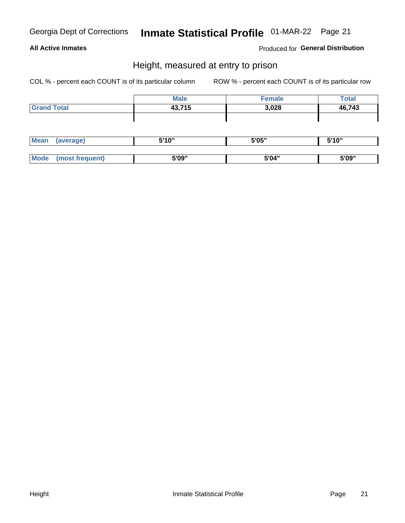#### **All Active Inmates**

#### Produced for General Distribution

### Height, measured at entry to prison

COL % - percent each COUNT is of its particular column

|                    | <b>Male</b> | <b>Female</b> | <b>Total</b> |
|--------------------|-------------|---------------|--------------|
| <b>Grand Total</b> | 43,715      | 3,028         | 46,743       |
|                    |             |               |              |
|                    |             |               |              |

| Mean       | erage) | 5'10" | 5'05" | 5'10" |
|------------|--------|-------|-------|-------|
|            |        |       |       |       |
| <b>Mod</b> |        | 5'09" | 5'04" | 5'09" |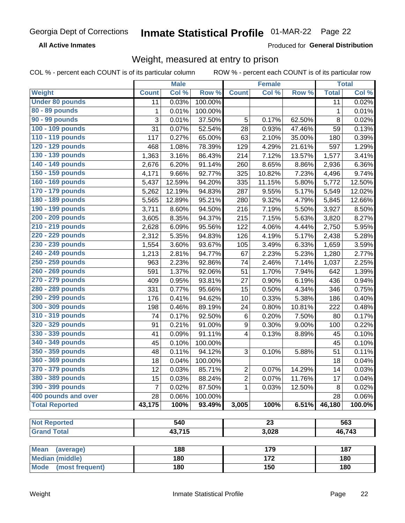**All Active Inmates** 

Produced for General Distribution

# Weight, measured at entry to prison

COL % - percent each COUNT is of its particular column

|                                     |              | <b>Male</b> |         |                  | <b>Female</b>    |                     |              | <b>Total</b> |
|-------------------------------------|--------------|-------------|---------|------------------|------------------|---------------------|--------------|--------------|
| Weight                              | <b>Count</b> | Col %       | Row %   | <b>Count</b>     | Col %            | Row %               | <b>Total</b> | Col %        |
| <b>Under 80 pounds</b>              | 11           | 0.03%       | 100.00% |                  |                  |                     | 11           | 0.02%        |
| 80 - 89 pounds                      | 1            | 0.01%       | 100.00% |                  |                  |                     | 1            | 0.01%        |
| 90 - 99 pounds                      | 3            | 0.01%       | 37.50%  | 5                | 0.17%            | 62.50%              | 8            | 0.02%        |
| 100 - 109 pounds                    | 31           | 0.07%       | 52.54%  | 28               | 0.93%            | 47.46%              | 59           | 0.13%        |
| 110 - 119 pounds                    | 117          | 0.27%       | 65.00%  | 63               | 2.10%            | 35.00%              | 180          | 0.39%        |
| 120 - 129 pounds                    | 468          | 1.08%       | 78.39%  | 129              | 4.29%            | 21.61%              | 597          | 1.29%        |
| 130 - 139 pounds                    | 1,363        | 3.16%       | 86.43%  | 214              | 7.12%            | 13.57%              | 1,577        | 3.41%        |
| 140 - 149 pounds                    | 2,676        | 6.20%       | 91.14%  | 260              | 8.65%            | 8.86%               | 2,936        | 6.36%        |
| 150 - 159 pounds                    | 4,171        | 9.66%       | 92.77%  | 325              | 10.82%           | 7.23%               | 4,496        | 9.74%        |
| 160 - 169 pounds                    | 5,437        | 12.59%      | 94.20%  | 335              | 11.15%           | 5.80%               | 5,772        | 12.50%       |
| 170 - 179 pounds                    | 5,262        | 12.19%      | 94.83%  | 287              | 9.55%            | 5.17%               | 5,549        | 12.02%       |
| 180 - 189 pounds                    | 5,565        | 12.89%      | 95.21%  | 280              | 9.32%            | 4.79%               | 5,845        | 12.66%       |
| 190 - 199 pounds                    | 3,711        | 8.60%       | 94.50%  | 216              | 7.19%            | 5.50%               | 3,927        | 8.50%        |
| 200 - 209 pounds                    | 3,605        | 8.35%       | 94.37%  | 215              | 7.15%            | 5.63%               | 3,820        | 8.27%        |
| 210 - 219 pounds                    | 2,628        | 6.09%       | 95.56%  | 122              | 4.06%            | 4.44%               | 2,750        | 5.95%        |
| 220 - 229 pounds                    | 2,312        | 5.35%       | 94.83%  | 126              | 4.19%            | $\overline{5.17\%}$ | 2,438        | 5.28%        |
| 230 - 239 pounds                    | 1,554        | 3.60%       | 93.67%  | 105              | 3.49%            | 6.33%               | 1,659        | 3.59%        |
| 240 - 249 pounds                    | 1,213        | 2.81%       | 94.77%  | 67               | 2.23%            | 5.23%               | 1,280        | 2.77%        |
| 250 - 259 pounds                    | 963          | 2.23%       | 92.86%  | 74               | 2.46%            | 7.14%               | 1,037        | 2.25%        |
| 260 - 269 pounds                    | 591          | 1.37%       | 92.06%  | 51               | 1.70%            | 7.94%               | 642          | 1.39%        |
| 270 - 279 pounds                    | 409          | 0.95%       | 93.81%  | 27               | 0.90%            | 6.19%               | 436          | 0.94%        |
| 280 - 289 pounds                    | 331          | 0.77%       | 95.66%  | 15               | 0.50%            | 4.34%               | 346          | 0.75%        |
| 290 - 299 pounds                    | 176          | 0.41%       | 94.62%  | 10               | 0.33%            | 5.38%               | 186          | 0.40%        |
| 300 - 309 pounds                    | 198          | 0.46%       | 89.19%  | 24               | 0.80%            | 10.81%              | 222          | 0.48%        |
| 310 - 319 pounds                    | 74           | 0.17%       | 92.50%  | 6                | 0.20%            | 7.50%               | 80           | 0.17%        |
| 320 - 329 pounds                    | 91           | 0.21%       | 91.00%  | $\boldsymbol{9}$ | 0.30%            | 9.00%               | 100          | 0.22%        |
| 330 - 339 pounds                    | 41           | 0.09%       | 91.11%  | 4                | 0.13%            | 8.89%               | 45           | 0.10%        |
| 340 - 349 pounds                    | 45           | 0.10%       | 100.00% |                  |                  |                     | 45           | 0.10%        |
| 350 - 359 pounds                    | 48           | 0.11%       | 94.12%  | 3                | 0.10%            | 5.88%               | 51           | 0.11%        |
| 360 - 369 pounds                    | 18           | 0.04%       | 100.00% |                  |                  |                     | 18           | 0.04%        |
| 370 - 379 pounds                    | 12           | 0.03%       | 85.71%  | $\overline{2}$   | 0.07%            | 14.29%              | 14           | 0.03%        |
| 380 - 389 pounds                    | 15           | 0.03%       | 88.24%  | $\mathbf 2$      | 0.07%            | 11.76%              | 17           | 0.04%        |
| 390 - 399 pounds                    | 7            | 0.02%       | 87.50%  | 1                | 0.03%            | 12.50%              | 8            | 0.02%        |
| 400 pounds and over                 | 28           | 0.06%       | 100.00% |                  |                  |                     | 28           | 0.06%        |
| <b>Total Reported</b>               | 43,175       | 100%        | 93.49%  | 3,005            | 100%             | 6.51%               | 46,180       | 100.0%       |
|                                     |              |             |         |                  |                  |                     |              |              |
| <b>Not Reported</b>                 |              | 540         |         |                  | $\overline{23}$  |                     |              | 563          |
| <b>Grand Total</b>                  |              | 43,715      |         |                  | 3,028            |                     |              | 46,743       |
| <b>Mean</b>                         |              | 188         |         |                  | 179              |                     |              | 187          |
| (average)<br><b>Median (middle)</b> |              | 180         |         |                  | $\overline{172}$ |                     |              | 180          |
| <b>Mode</b><br>(most frequent)      |              | 180         |         |                  | 150              |                     |              | 180          |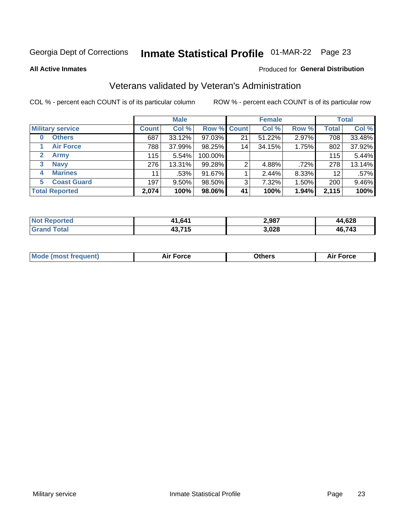# Inmate Statistical Profile 01-MAR-22 Page 23

**All Active Inmates** 

#### Produced for General Distribution

### Veterans validated by Veteran's Administration

COL % - percent each COUNT is of its particular column

|                             |              | <b>Male</b> |                    |    | <b>Female</b> |       |              | <b>Total</b> |
|-----------------------------|--------------|-------------|--------------------|----|---------------|-------|--------------|--------------|
| <b>Military service</b>     | <b>Count</b> | Col %       | <b>Row % Count</b> |    | Col %         | Row % | <b>Total</b> | Col %        |
| <b>Others</b><br>0          | 687          | 33.12%      | 97.03%             | 21 | 51.22%        | 2.97% | 708          | 33.48%       |
| <b>Air Force</b>            | 788          | 37.99%      | 98.25%             | 14 | 34.15%        | 1.75% | 802          | 37.92%       |
| <b>Army</b><br>$\mathbf{2}$ | 115          | 5.54%       | 100.00%            |    |               |       | 115          | 5.44%        |
| <b>Navy</b><br>3            | 276          | 13.31%      | 99.28%             | 2  | 4.88%         | .72%  | 278          | 13.14%       |
| <b>Marines</b><br>4         | 11           | .53%        | 91.67%             |    | 2.44%         | 8.33% | 12           | $.57\%$      |
| <b>Coast Guard</b><br>5.    | 197          | $9.50\%$    | 98.50%             | 3  | 7.32%         | 1.50% | 200          | 9.46%        |
| <b>Total Reported</b>       | 2,074        | 100%        | 98.06%             | 41 | 100%          | 1.94% | 2,115        | 100%         |

| <b>Not</b><br><b>Reported</b> | 41,641 | 2,987 | 4,628<br>ΔД.   |
|-------------------------------|--------|-------|----------------|
| <sup>-</sup> otal<br>' Grano  | 43,715 | 3,028 | 16,743<br>-46. |

|  |  | <b>Mode (most frequent)</b> | <b>Force</b><br>Aır | วthers | orce |
|--|--|-----------------------------|---------------------|--------|------|
|--|--|-----------------------------|---------------------|--------|------|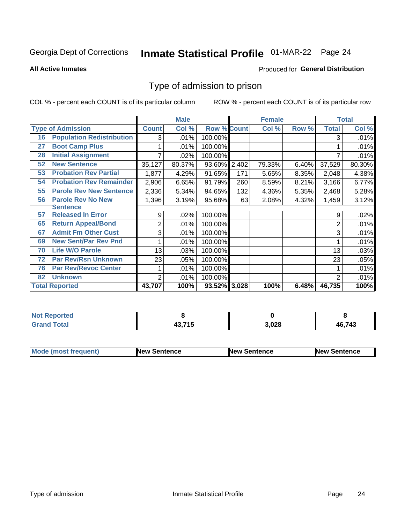# Inmate Statistical Profile 01-MAR-22 Page 24

**All Active Inmates** 

#### Produced for General Distribution

### Type of admission to prison

COL % - percent each COUNT is of its particular column

|    |                                  |              | <b>Male</b> |                    |       | <b>Female</b> |       |              | <b>Total</b> |
|----|----------------------------------|--------------|-------------|--------------------|-------|---------------|-------|--------------|--------------|
|    | <b>Type of Admission</b>         | <b>Count</b> | Col %       | <b>Row % Count</b> |       | Col %         | Row % | <b>Total</b> | Col %        |
| 16 | <b>Population Redistribution</b> | 3            | .01%        | 100.00%            |       |               |       | 3            | .01%         |
| 27 | <b>Boot Camp Plus</b>            |              | .01%        | 100.00%            |       |               |       |              | .01%         |
| 28 | <b>Initial Assignment</b>        |              | .02%        | 100.00%            |       |               |       |              | .01%         |
| 52 | <b>New Sentence</b>              | 35,127       | 80.37%      | 93.60% 2,402       |       | 79.33%        | 6.40% | 37,529       | 80.30%       |
| 53 | <b>Probation Rev Partial</b>     | 1,877        | 4.29%       | 91.65%             | 171   | 5.65%         | 8.35% | 2,048        | 4.38%        |
| 54 | <b>Probation Rev Remainder</b>   | 2,906        | 6.65%       | 91.79%             | 260   | 8.59%         | 8.21% | 3,166        | 6.77%        |
| 55 | <b>Parole Rev New Sentence</b>   | 2,336        | 5.34%       | 94.65%             | 132   | 4.36%         | 5.35% | 2,468        | 5.28%        |
| 56 | <b>Parole Rev No New</b>         | 1,396        | 3.19%       | 95.68%             | 63    | 2.08%         | 4.32% | 1,459        | 3.12%        |
|    | <b>Sentence</b>                  |              |             |                    |       |               |       |              |              |
| 57 | <b>Released In Error</b>         | 9            | .02%        | 100.00%            |       |               |       | 9            | .02%         |
| 65 | <b>Return Appeal/Bond</b>        | 2            | .01%        | 100.00%            |       |               |       | 2            | .01%         |
| 67 | <b>Admit Fm Other Cust</b>       | 3            | .01%        | 100.00%            |       |               |       | 3            | .01%         |
| 69 | <b>New Sent/Par Rev Pnd</b>      |              | .01%        | 100.00%            |       |               |       |              | .01%         |
| 70 | <b>Life W/O Parole</b>           | 13           | .03%        | 100.00%            |       |               |       | 13           | .03%         |
| 72 | <b>Par Rev/Rsn Unknown</b>       | 23           | .05%        | 100.00%            |       |               |       | 23           | .05%         |
| 76 | <b>Par Rev/Revoc Center</b>      |              | .01%        | 100.00%            |       |               |       |              | .01%         |
| 82 | <b>Unknown</b>                   | 2            | .01%        | 100.00%            |       |               |       | 2            | .01%         |
|    | <b>Total Reported</b>            | 43,707       | 100%        | 93.52%             | 3,028 | 100%          | 6.48% | 46,735       | 100%         |

| <b>Not Reported</b> |                     |       |        |
|---------------------|---------------------|-------|--------|
| Total<br>Grar       | 10 74 E<br>70.I I J | 3,028 | 46,743 |

| <b>Mode (most frequent)</b> | <b>New Sentence</b> | <b>New Sentence</b> | <b>New Sentence</b> |
|-----------------------------|---------------------|---------------------|---------------------|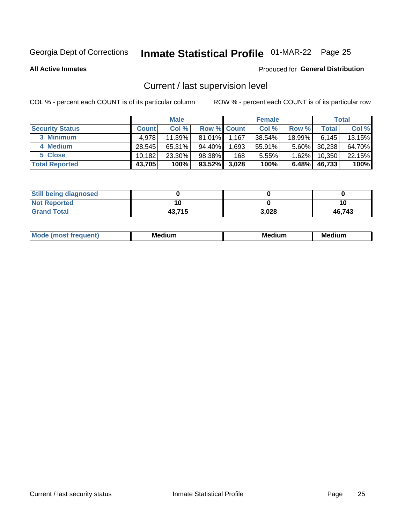# Inmate Statistical Profile 01-MAR-22 Page 25

**All Active Inmates** 

#### Produced for General Distribution

# Current / last supervision level

COL % - percent each COUNT is of its particular column

|                        |              | <b>Male</b> |             |       | <b>Female</b> |          |        | <b>Total</b> |
|------------------------|--------------|-------------|-------------|-------|---------------|----------|--------|--------------|
| <b>Security Status</b> | <b>Count</b> | Col %       | Row % Count |       | Col %         | Row %    | Total  | Col %        |
| 3 Minimum              | 4.978        | 11.39%      | 81.01%      | 1,167 | 38.54%        | 18.99%   | 6.145  | 13.15%       |
| 4 Medium               | 28,545       | $65.31\%$   | 94.40%      | .693  | $55.91\%$     | $5.60\%$ | 30,238 | 64.70%       |
| 5 Close                | 10,182       | 23.30%      | 98.38%      | 168   | 5.55%         | 1.62%    | 10,350 | 22.15%       |
| <b>Total Reported</b>  | 43,705       | 100%        | $93.52\%$   | 3,028 | 100%          | $6.48\%$ | 46,733 | 100%         |

| <b>Still being diagnosed</b> |        |       |        |
|------------------------------|--------|-------|--------|
| <b>Not Reported</b>          |        |       | 10     |
| <b>Grand Total</b>           | 43,715 | 3,028 | 46.743 |

| M | M | . . |
|---|---|-----|
|   |   |     |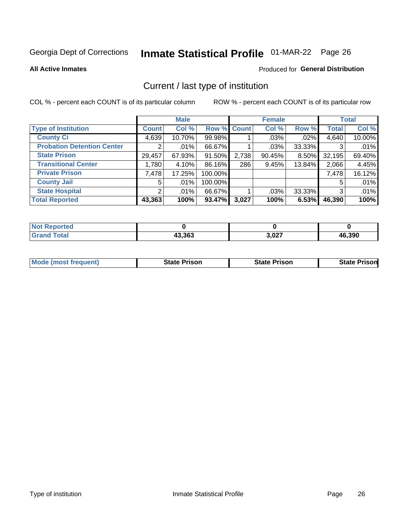# Inmate Statistical Profile 01-MAR-22 Page 26

**All Active Inmates** 

#### Produced for General Distribution

# Current / last type of institution

COL % - percent each COUNT is of its particular column

|                                   |                       | <b>Male</b> |             |       | <b>Female</b> |        |              | <b>Total</b> |
|-----------------------------------|-----------------------|-------------|-------------|-------|---------------|--------|--------------|--------------|
| <b>Type of Institution</b>        | <b>Count</b>          | Col %       | Row % Count |       | Col %         | Row %  | <b>Total</b> | Col %        |
| <b>County Ci</b>                  | 4,639                 | 10.70%      | 99.98%      |       | .03%          | .02%   | 4,640        | 10.00%       |
| <b>Probation Detention Center</b> | $\mathbf{2}^{\prime}$ | $.01\%$     | 66.67%      |       | .03%          | 33.33% | 3            | .01%         |
| <b>State Prison</b>               | 29,457                | 67.93%      | 91.50%      | 2,738 | 90.45%        | 8.50%  | 32,195       | 69.40%       |
| <b>Transitional Center</b>        | 1,780                 | 4.10%       | 86.16%      | 286   | 9.45%         | 13.84% | 2,066        | 4.45%        |
| <b>Private Prison</b>             | 7,478                 | 17.25%      | 100.00%     |       |               |        | 7,478        | 16.12%       |
| <b>County Jail</b>                | 5                     | $.01\%$     | 100.00%     |       |               |        | 5            | .01%         |
| <b>State Hospital</b>             | 2 <sub>1</sub>        | $.01\%$     | 66.67%      |       | .03%          | 33.33% | 3            | .01%         |
| <b>Total Reported</b>             | 43,363                | 100%        | 93.47%      | 3,027 | 100%          | 6.53%  | 46,390       | 100%         |

| oorted<br><b>NOT</b> |        |       |        |
|----------------------|--------|-------|--------|
| <b>otal</b>          | 43,363 | 3,027 | 46,390 |

| <b>Mode (most frequent)</b> | State Prison | <b>State Prison</b> | <b>State Prison</b> |
|-----------------------------|--------------|---------------------|---------------------|
|                             |              |                     |                     |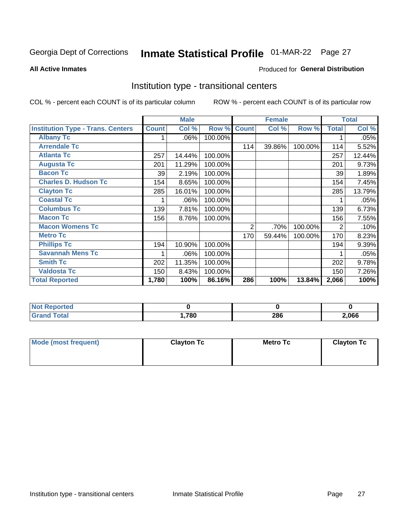# Inmate Statistical Profile 01-MAR-22 Page 27

#### **All Active Inmates**

#### Produced for General Distribution

### Institution type - transitional centers

COL % - percent each COUNT is of its particular column

|                                          |              | <b>Male</b> |         |              | <b>Female</b> |         |                | <b>Total</b> |
|------------------------------------------|--------------|-------------|---------|--------------|---------------|---------|----------------|--------------|
| <b>Institution Type - Trans. Centers</b> | <b>Count</b> | Col %       | Row %   | <b>Count</b> | Col %         | Row %   | <b>Total</b>   | Col %        |
| <b>Albany Tc</b>                         |              | $.06\%$     | 100.00% |              |               |         |                | .05%         |
| <b>Arrendale Tc</b>                      |              |             |         | 114          | 39.86%        | 100.00% | 114            | 5.52%        |
| <b>Atlanta Tc</b>                        | 257          | 14.44%      | 100.00% |              |               |         | 257            | 12.44%       |
| <b>Augusta Tc</b>                        | 201          | 11.29%      | 100.00% |              |               |         | 201            | 9.73%        |
| <b>Bacon Tc</b>                          | 39           | 2.19%       | 100.00% |              |               |         | 39             | 1.89%        |
| <b>Charles D. Hudson Tc</b>              | 154          | 8.65%       | 100.00% |              |               |         | 154            | 7.45%        |
| <b>Clayton Tc</b>                        | 285          | 16.01%      | 100.00% |              |               |         | 285            | 13.79%       |
| <b>Coastal Tc</b>                        |              | .06%        | 100.00% |              |               |         |                | .05%         |
| <b>Columbus Tc</b>                       | 139          | 7.81%       | 100.00% |              |               |         | 139            | 6.73%        |
| <b>Macon Tc</b>                          | 156          | 8.76%       | 100.00% |              |               |         | 156            | 7.55%        |
| <b>Macon Womens Tc</b>                   |              |             |         | 2            | .70%          | 100.00% | $\overline{2}$ | .10%         |
| <b>Metro Tc</b>                          |              |             |         | 170          | 59.44%        | 100.00% | 170            | 8.23%        |
| <b>Phillips Tc</b>                       | 194          | 10.90%      | 100.00% |              |               |         | 194            | 9.39%        |
| <b>Savannah Mens Tc</b>                  | 1            | .06%        | 100.00% |              |               |         |                | .05%         |
| <b>Smith Tc</b>                          | 202          | 11.35%      | 100.00% |              |               |         | 202            | 9.78%        |
| <b>Valdosta Tc</b>                       | 150          | 8.43%       | 100.00% |              |               |         | 150            | 7.26%        |
| <b>Total Reported</b>                    | 1,780        | 100%        | 86.16%  | 286          | 100%          | 13.84%  | 2,066          | 100%         |

| portea |      |     |      |
|--------|------|-----|------|
| Total  | .780 | 286 | ,066 |

| Mode (most frequent) | <b>Clayton Tc</b> | Metro Tc | <b>Clayton Tc</b> |
|----------------------|-------------------|----------|-------------------|
|                      |                   |          |                   |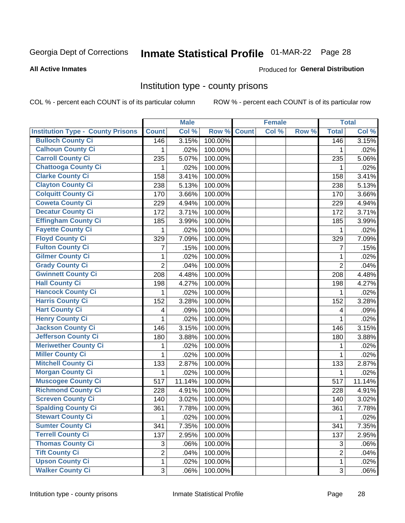# Inmate Statistical Profile 01-MAR-22 Page 28

#### **All Active Inmates**

#### Produced for General Distribution

### Institution type - county prisons

COL % - percent each COUNT is of its particular column

|                                          |                | <b>Male</b> |         |              | <b>Female</b> |       |                | <b>Total</b> |
|------------------------------------------|----------------|-------------|---------|--------------|---------------|-------|----------------|--------------|
| <b>Institution Type - County Prisons</b> | <b>Count</b>   | Col %       | Row %   | <b>Count</b> | Col %         | Row % | <b>Total</b>   | Col %        |
| <b>Bulloch County Ci</b>                 | 146            | 3.15%       | 100.00% |              |               |       | 146            | 3.15%        |
| <b>Calhoun County Ci</b>                 | 1              | .02%        | 100.00% |              |               |       | 1              | .02%         |
| <b>Carroll County Ci</b>                 | 235            | 5.07%       | 100.00% |              |               |       | 235            | 5.06%        |
| <b>Chattooga County Ci</b>               | 1              | .02%        | 100.00% |              |               |       | 1              | .02%         |
| <b>Clarke County Ci</b>                  | 158            | 3.41%       | 100.00% |              |               |       | 158            | 3.41%        |
| <b>Clayton County Ci</b>                 | 238            | 5.13%       | 100.00% |              |               |       | 238            | 5.13%        |
| <b>Colquitt County Ci</b>                | 170            | 3.66%       | 100.00% |              |               |       | 170            | 3.66%        |
| <b>Coweta County Ci</b>                  | 229            | 4.94%       | 100.00% |              |               |       | 229            | 4.94%        |
| <b>Decatur County Ci</b>                 | 172            | 3.71%       | 100.00% |              |               |       | 172            | 3.71%        |
| <b>Effingham County Ci</b>               | 185            | 3.99%       | 100.00% |              |               |       | 185            | 3.99%        |
| <b>Fayette County Ci</b>                 | 1              | .02%        | 100.00% |              |               |       | 1              | .02%         |
| <b>Floyd County Ci</b>                   | 329            | 7.09%       | 100.00% |              |               |       | 329            | 7.09%        |
| <b>Fulton County Ci</b>                  | $\overline{7}$ | .15%        | 100.00% |              |               |       | 7              | .15%         |
| <b>Gilmer County Ci</b>                  | $\mathbf 1$    | .02%        | 100.00% |              |               |       | 1              | .02%         |
| <b>Grady County Ci</b>                   | $\overline{2}$ | .04%        | 100.00% |              |               |       | $\overline{2}$ | .04%         |
| <b>Gwinnett County Ci</b>                | 208            | 4.48%       | 100.00% |              |               |       | 208            | 4.48%        |
| <b>Hall County Ci</b>                    | 198            | 4.27%       | 100.00% |              |               |       | 198            | 4.27%        |
| <b>Hancock County Ci</b>                 | 1              | .02%        | 100.00% |              |               |       | 1              | .02%         |
| <b>Harris County Ci</b>                  | 152            | 3.28%       | 100.00% |              |               |       | 152            | 3.28%        |
| <b>Hart County Ci</b>                    | 4              | .09%        | 100.00% |              |               |       | 4              | .09%         |
| <b>Henry County Ci</b>                   | 1              | .02%        | 100.00% |              |               |       | 1              | .02%         |
| <b>Jackson County Ci</b>                 | 146            | 3.15%       | 100.00% |              |               |       | 146            | 3.15%        |
| <b>Jefferson County Ci</b>               | 180            | 3.88%       | 100.00% |              |               |       | 180            | 3.88%        |
| <b>Meriwether County Ci</b>              | 1              | .02%        | 100.00% |              |               |       | 1              | .02%         |
| <b>Miller County Ci</b>                  | 1              | .02%        | 100.00% |              |               |       | 1              | .02%         |
| <b>Mitchell County Ci</b>                | 133            | 2.87%       | 100.00% |              |               |       | 133            | 2.87%        |
| <b>Morgan County Ci</b>                  | 1              | .02%        | 100.00% |              |               |       | 1              | .02%         |
| <b>Muscogee County Ci</b>                | 517            | 11.14%      | 100.00% |              |               |       | 517            | 11.14%       |
| <b>Richmond County Ci</b>                | 228            | 4.91%       | 100.00% |              |               |       | 228            | 4.91%        |
| <b>Screven County Ci</b>                 | 140            | 3.02%       | 100.00% |              |               |       | 140            | 3.02%        |
| <b>Spalding County Ci</b>                | 361            | 7.78%       | 100.00% |              |               |       | 361            | 7.78%        |
| <b>Stewart County Ci</b>                 | $\mathbf{1}$   | .02%        | 100.00% |              |               |       | 1              | .02%         |
| <b>Sumter County Ci</b>                  | 341            | 7.35%       | 100.00% |              |               |       | 341            | 7.35%        |
| <b>Terrell County Ci</b>                 | 137            | 2.95%       | 100.00% |              |               |       | 137            | 2.95%        |
| <b>Thomas County Ci</b>                  | 3              | .06%        | 100.00% |              |               |       | 3              | .06%         |
| <b>Tift County Ci</b>                    | $\overline{2}$ | .04%        | 100.00% |              |               |       | $\overline{2}$ | .04%         |
| <b>Upson County Ci</b>                   | 1              | .02%        | 100.00% |              |               |       | $\mathbf 1$    | .02%         |
| <b>Walker County Ci</b>                  | 3              | .06%        | 100.00% |              |               |       | $\sqrt{3}$     | .06%         |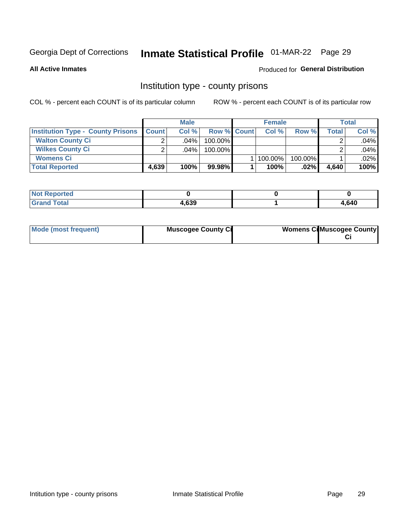# Inmate Statistical Profile 01-MAR-22 Page 29

**All Active Inmates** 

#### **Produced for General Distribution**

### Institution type - county prisons

COL % - percent each COUNT is of its particular column

|                                          |              | <b>Male</b> |                    | <b>Female</b> |         |       | <b>Total</b> |
|------------------------------------------|--------------|-------------|--------------------|---------------|---------|-------|--------------|
| <b>Institution Type - County Prisons</b> | <b>Count</b> | Col%        | <b>Row % Count</b> | Col%          | Row %   | Total | Col %        |
| <b>Walton County Ci</b>                  | ⌒            | $.04\%$     | 100.00%            |               |         |       | .04%         |
| <b>Wilkes County Ci</b>                  |              | $.04\%$     | 100.00%            |               |         |       | .04%         |
| <b>Womens Ci</b>                         |              |             |                    | 100.00%       | 100.00% |       | .02%         |
| <b>Total Reported</b>                    | 4,639        | 100%        | 99.98%             | 100%          | $.02\%$ | 4,640 | 100%         |

| <b>N</b><br>rtea |      |      |
|------------------|------|------|
| _____            | ,639 | ,640 |

| Mode (most frequent) | <b>Muscogee County Ci</b> | <b>Womens CilMuscogee County</b> |
|----------------------|---------------------------|----------------------------------|
|----------------------|---------------------------|----------------------------------|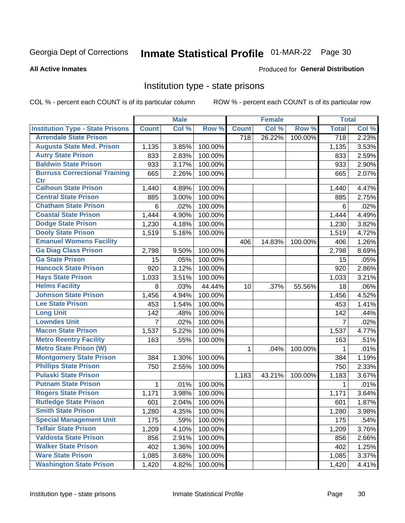# Inmate Statistical Profile 01-MAR-22 Page 30

#### **All Active Inmates**

#### Produced for General Distribution

### Institution type - state prisons

COL % - percent each COUNT is of its particular column

|                                         |                | <b>Male</b> |         |              | <b>Female</b> |         | <b>Total</b>     |       |
|-----------------------------------------|----------------|-------------|---------|--------------|---------------|---------|------------------|-------|
| <b>Institution Type - State Prisons</b> | <b>Count</b>   | Col %       | Row %   | <b>Count</b> | Col %         | Row %   | <b>Total</b>     | Col % |
| <b>Arrendale State Prison</b>           |                |             |         | 718          | 26.22%        | 100.00% | $\overline{718}$ | 2.23% |
| <b>Augusta State Med. Prison</b>        | 1,135          | 3.85%       | 100.00% |              |               |         | 1,135            | 3.53% |
| <b>Autry State Prison</b>               | 833            | 2.83%       | 100.00% |              |               |         | 833              | 2.59% |
| <b>Baldwin State Prison</b>             | 933            | 3.17%       | 100.00% |              |               |         | 933              | 2.90% |
| <b>Burruss Correctional Training</b>    | 665            | 2.26%       | 100.00% |              |               |         | 665              | 2.07% |
| <b>Ctr</b>                              |                |             |         |              |               |         |                  |       |
| <b>Calhoun State Prison</b>             | 1,440          | 4.89%       | 100.00% |              |               |         | 1,440            | 4.47% |
| <b>Central State Prison</b>             | 885            | 3.00%       | 100.00% |              |               |         | 885              | 2.75% |
| <b>Chatham State Prison</b>             | 6              | .02%        | 100.00% |              |               |         | 6                | .02%  |
| <b>Coastal State Prison</b>             | 1,444          | 4.90%       | 100.00% |              |               |         | 1,444            | 4.49% |
| <b>Dodge State Prison</b>               | 1,230          | 4.18%       | 100.00% |              |               |         | 1,230            | 3.82% |
| <b>Dooly State Prison</b>               | 1,519          | 5.16%       | 100.00% |              |               |         | 1,519            | 4.72% |
| <b>Emanuel Womens Facility</b>          |                |             |         | 406          | 14.83%        | 100.00% | 406              | 1.26% |
| <b>Ga Diag Class Prison</b>             | 2,798          | 9.50%       | 100.00% |              |               |         | 2,798            | 8.69% |
| <b>Ga State Prison</b>                  | 15             | .05%        | 100.00% |              |               |         | 15               | .05%  |
| <b>Hancock State Prison</b>             | 920            | 3.12%       | 100.00% |              |               |         | 920              | 2.86% |
| <b>Hays State Prison</b>                | 1,033          | 3.51%       | 100.00% |              |               |         | 1,033            | 3.21% |
| <b>Helms Facility</b>                   | 8              | .03%        | 44.44%  | 10           | .37%          | 55.56%  | 18               | .06%  |
| <b>Johnson State Prison</b>             | 1,456          | 4.94%       | 100.00% |              |               |         | 1,456            | 4.52% |
| <b>Lee State Prison</b>                 | 453            | 1.54%       | 100.00% |              |               |         | 453              | 1.41% |
| <b>Long Unit</b>                        | 142            | .48%        | 100.00% |              |               |         | 142              | .44%  |
| <b>Lowndes Unit</b>                     | $\overline{7}$ | .02%        | 100.00% |              |               |         | $\overline{7}$   | .02%  |
| <b>Macon State Prison</b>               | 1,537          | 5.22%       | 100.00% |              |               |         | 1,537            | 4.77% |
| <b>Metro Reentry Facility</b>           | 163            | .55%        | 100.00% |              |               |         | 163              | .51%  |
| <b>Metro State Prison (W)</b>           |                |             |         | $\mathbf 1$  | .04%          | 100.00% | 1                | .01%  |
| <b>Montgomery State Prison</b>          | 384            | 1.30%       | 100.00% |              |               |         | 384              | 1.19% |
| <b>Phillips State Prison</b>            | 750            | 2.55%       | 100.00% |              |               |         | 750              | 2.33% |
| <b>Pulaski State Prison</b>             |                |             |         | 1,183        | 43.21%        | 100.00% | 1,183            | 3.67% |
| <b>Putnam State Prison</b>              | $\mathbf{1}$   | .01%        | 100.00% |              |               |         | 1                | .01%  |
| <b>Rogers State Prison</b>              | 1,171          | 3.98%       | 100.00% |              |               |         | 1,171            | 3.64% |
| <b>Rutledge State Prison</b>            | 601            | 2.04%       | 100.00% |              |               |         | 601              | 1.87% |
| <b>Smith State Prison</b>               | 1,280          | 4.35%       | 100.00% |              |               |         | 1,280            | 3.98% |
| <b>Special Management Unit</b>          | 175            | .59%        | 100.00% |              |               |         | 175              | .54%  |
| <b>Telfair State Prison</b>             | 1,209          | 4.10%       | 100.00% |              |               |         | 1,209            | 3.76% |
| <b>Valdosta State Prison</b>            | 856            | 2.91%       | 100.00% |              |               |         | 856              | 2.66% |
| <b>Walker State Prison</b>              | 402            | 1.36%       | 100.00% |              |               |         | 402              | 1.25% |
| <b>Ware State Prison</b>                | 1,085          | 3.68%       | 100.00% |              |               |         | 1,085            | 3.37% |
| <b>Washington State Prison</b>          | 1,420          | 4.82%       | 100.00% |              |               |         | 1,420            | 4.41% |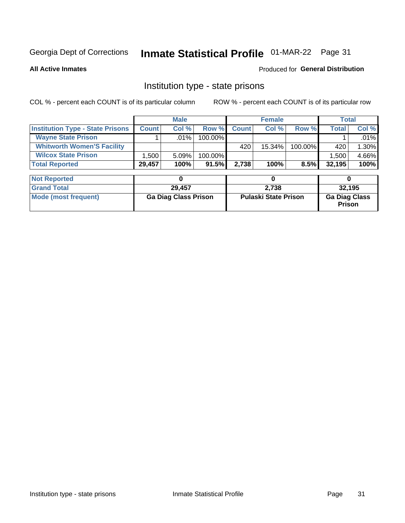# Inmate Statistical Profile 01-MAR-22 Page 31

**All Active Inmates** 

#### Produced for General Distribution

### Institution type - state prisons

COL % - percent each COUNT is of its particular column

|                                         |              | <b>Male</b> |            |              | <b>Female</b> |         |        | Total |
|-----------------------------------------|--------------|-------------|------------|--------------|---------------|---------|--------|-------|
| <b>Institution Type - State Prisons</b> | <b>Count</b> | Col %       | Row %      | <b>Count</b> | Col %         | Row %   | Total  | Col % |
| <b>Wayne State Prison</b>               |              | $.01\%$     | $100.00\%$ |              |               |         |        | .01%  |
| <b>Whitworth Women'S Facility</b>       |              |             |            | 420          | 15.34%        | 100.00% | 420    | 1.30% |
| <b>Wilcox State Prison</b>              | .500         | 5.09%       | 100.00%    |              |               |         | 1,500  | 4.66% |
| <b>Total Reported</b>                   | 29,457       | 100%        | 91.5%      | 2,738        | 100%          | 8.5%    | 32,195 | 100%  |

| <b>Not Reported</b>  |                             |                             |                                       |
|----------------------|-----------------------------|-----------------------------|---------------------------------------|
| <b>Grand Total</b>   | 29.457                      | 2.738                       | 32,195                                |
| Mode (most frequent) | <b>Ga Diag Class Prison</b> | <b>Pulaski State Prison</b> | <b>Ga Diag Class</b><br><b>Prison</b> |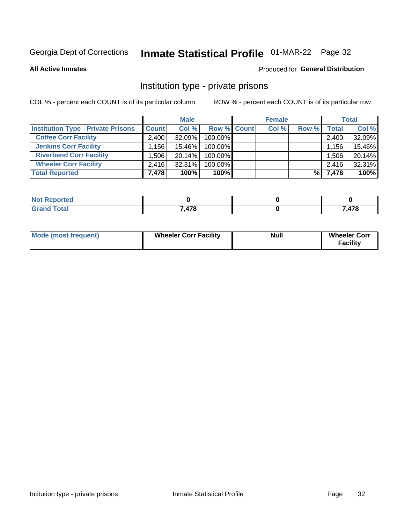# Inmate Statistical Profile 01-MAR-22 Page 32

**All Active Inmates** 

#### **Produced for General Distribution**

### Institution type - private prisons

COL % - percent each COUNT is of its particular column

|                                           |              | <b>Male</b> |                    | <b>Female</b> |       |                    | <b>Total</b> |
|-------------------------------------------|--------------|-------------|--------------------|---------------|-------|--------------------|--------------|
| <b>Institution Type - Private Prisons</b> | <b>Count</b> | Col %       | <b>Row % Count</b> | Col %         | Row % | Total <sub>1</sub> | Col %        |
| <b>Coffee Corr Facility</b>               | 2.400        | $32.09\%$   | 100.00%            |               |       | 2,400              | 32.09%       |
| <b>Jenkins Corr Facility</b>              | $.156+$      | 15.46%      | 100.00%            |               |       | 1,156              | 15.46%       |
| <b>Riverbend Corr Facility</b>            | .506         | 20.14%      | 100.00%            |               |       | 1,506              | 20.14%       |
| <b>Wheeler Corr Facility</b>              | 2.416        | 32.31%      | 100.00%            |               |       | 2,416              | 32.31%       |
| <b>Total Reported</b>                     | 7,478        | 100%        | 100%               |               | %     | 7,478              | 100%         |

| <b>Reported</b><br>' NO). |       |      |
|---------------------------|-------|------|
| <b>cotal</b>              | 7,478 | ,478 |

| <b>Mode (most frequent)</b> | <b>Wheeler Corr Facility</b> | <b>Null</b> | <b>Wheeler Corr</b><br><b>Facility</b> |
|-----------------------------|------------------------------|-------------|----------------------------------------|
|-----------------------------|------------------------------|-------------|----------------------------------------|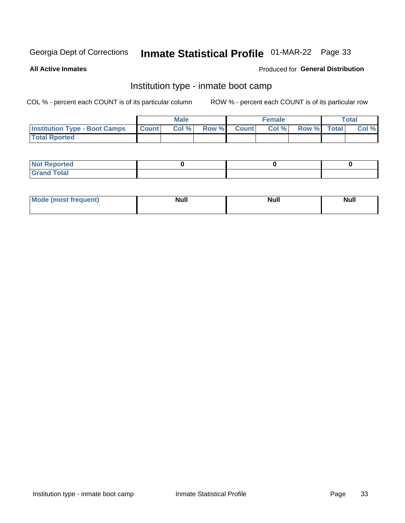# Inmate Statistical Profile 01-MAR-22 Page 33

**All Active Inmates** 

#### Produced for General Distribution

### Institution type - inmate boot camp

COL % - percent each COUNT is of its particular column

|                                            | <b>Male</b> |                    | <b>Female</b> |             | <b>Total</b> |
|--------------------------------------------|-------------|--------------------|---------------|-------------|--------------|
| <b>Institution Type - Boot Camps Count</b> | Col%        | <b>Row % Count</b> | Col%          | Row % Total | Col %        |
| <b>Total Rported</b>                       |             |                    |               |             |              |

| <b>Not Reported</b>            |  |  |
|--------------------------------|--|--|
| <b>Total</b><br>C <sub>r</sub> |  |  |

| Mod<br>uamo | Nul.<br>$- - - - - -$ | <b>Null</b> | . .<br>uu.<br>------ |
|-------------|-----------------------|-------------|----------------------|
|             |                       |             |                      |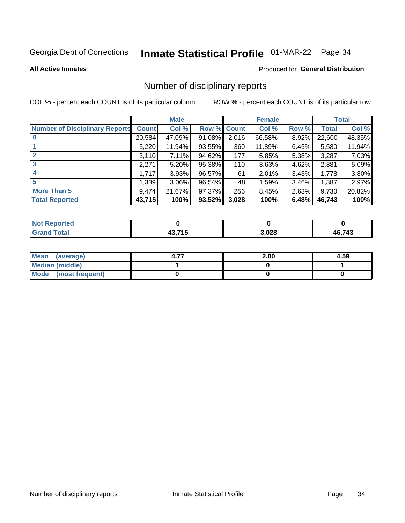# Inmate Statistical Profile 01-MAR-22 Page 34

**All Active Inmates** 

#### **Produced for General Distribution**

### Number of disciplinary reports

COL % - percent each COUNT is of its particular column

|                                       |              | <b>Male</b> |             |       | <b>Female</b> |          |        | <b>Total</b> |
|---------------------------------------|--------------|-------------|-------------|-------|---------------|----------|--------|--------------|
| <b>Number of Disciplinary Reports</b> | <b>Count</b> | Col %       | Row % Count |       | Col %         | Row %    | Total  | Col %        |
| $\bf{0}$                              | 20,584       | 47.09%      | 91.08%      | 2,016 | 66.58%        | 8.92%    | 22,600 | 48.35%       |
|                                       | 5,220        | 11.94%      | 93.55%      | 360   | 11.89%        | 6.45%    | 5,580  | 11.94%       |
| $\mathbf{2}$                          | 3,110        | 7.11%       | 94.62%      | 177   | 5.85%         | 5.38%    | 3,287  | 7.03%        |
| 3                                     | 2,271        | 5.20%       | 95.38%      | 110   | 3.63%         | 4.62%    | 2,381  | 5.09%        |
|                                       | 1,717        | 3.93%       | 96.57%      | 61    | 2.01%         | 3.43%    | 1,778  | 3.80%        |
| 5                                     | 1,339        | $3.06\%$    | 96.54%      | 48    | 1.59%         | $3.46\%$ | 1,387  | 2.97%        |
| <b>More Than 5</b>                    | 9,474        | 21.67%      | 97.37%      | 256   | 8.45%         | 2.63%    | 9,730  | 20.82%       |
| <b>Total Reported</b>                 | 43,715       | 100%        | 93.52%      | 3,028 | 100%          | 6.48%    | 46,743 | 100%         |

| <b>Not Reported</b> |            |       |        |
|---------------------|------------|-------|--------|
| Total               | 74E<br>. . | 3,028 | 46,743 |

| Mean (average)         | 2.00 | 4.59 |
|------------------------|------|------|
| <b>Median (middle)</b> |      |      |
| Mode (most frequent)   |      |      |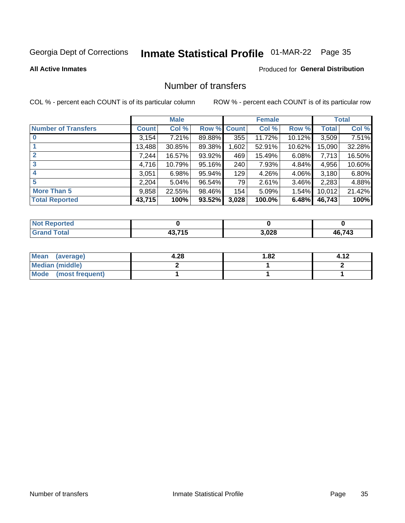# Inmate Statistical Profile 01-MAR-22 Page 35

#### **All Active Inmates**

#### **Produced for General Distribution**

### Number of transfers

COL % - percent each COUNT is of its particular column

|                            |         | <b>Male</b> |        |              | <b>Female</b> |           |              | <b>Total</b> |
|----------------------------|---------|-------------|--------|--------------|---------------|-----------|--------------|--------------|
| <b>Number of Transfers</b> | Count l | Col %       | Row %  | <b>Count</b> | Col %         | Row %     | <b>Total</b> | Col %        |
|                            | 3,154   | 7.21%       | 89.88% | 355          | 11.72%        | $10.12\%$ | 3,509        | 7.51%        |
|                            | 13,488  | 30.85%      | 89.38% | 1,602        | 52.91%        | $10.62\%$ | 15,090       | 32.28%       |
| $\mathbf{2}$               | 7,244   | 16.57%      | 93.92% | 469          | 15.49%        | 6.08%     | 7,713        | 16.50%       |
| 3                          | 4,716   | 10.79%      | 95.16% | 240          | 7.93%         | 4.84%     | 4,956        | 10.60%       |
|                            | 3,051   | 6.98%       | 95.94% | 129          | 4.26%         | $4.06\%$  | 3,180        | 6.80%        |
| 5                          | 2,204   | 5.04%       | 96.54% | 79           | 2.61%         | 3.46%     | 2,283        | 4.88%        |
| <b>More Than 5</b>         | 9,858   | 22.55%      | 98.46% | 154          | 5.09%         | 1.54%     | 10,012       | 21.42%       |
| <b>Total Reported</b>      | 43,715  | 100%        | 93.52% | 3,028        | 100.0%        | 6.48%     | 46,743       | 100%         |

| <b>Not Reported</b> |                |       |        |
|---------------------|----------------|-------|--------|
| <b>Total</b>        | 10 74 F<br>. . | 3,028 | 46,743 |

| Mean (average)         | 4.28 | l.82 | 4.12 |
|------------------------|------|------|------|
| <b>Median (middle)</b> |      |      |      |
| Mode (most frequent)   |      |      |      |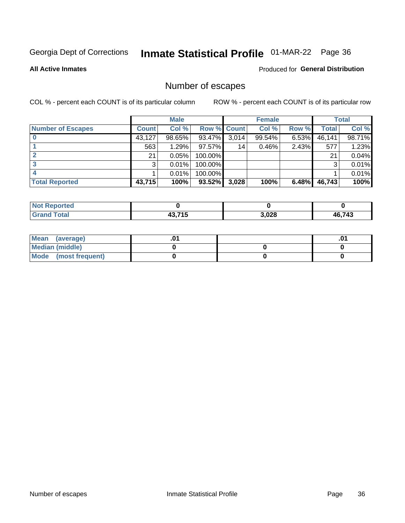# Inmate Statistical Profile 01-MAR-22 Page 36

#### **All Active Inmates**

#### Produced for General Distribution

# Number of escapes

COL % - percent each COUNT is of its particular column

|                          |              | <b>Male</b> |             |       | <b>Female</b> |       |        | <b>Total</b> |
|--------------------------|--------------|-------------|-------------|-------|---------------|-------|--------|--------------|
| <b>Number of Escapes</b> | <b>Count</b> | Col %       | Row % Count |       | Col %         | Row % | Total  | Col %        |
|                          | 43,127       | 98.65%      | 93.47%      | 3,014 | 99.54%        | 6.53% | 46,141 | 98.71%       |
|                          | 563          | 1.29%       | $97.57\%$   | 14    | 0.46%         | 2.43% | 577    | 1.23%        |
|                          | 21           | 0.05%       | 100.00%     |       |               |       | 21     | 0.04%        |
|                          | 3            | 0.01%       | 100.00%     |       |               |       | 3      | 0.01%        |
|                          |              | 0.01%       | 100.00%     |       |               |       |        | 0.01%        |
| <b>Total Reported</b>    | 43,715       | 100%        | $93.52\%$   | 3,028 | 100%          | 6.48% | 46,743 | 100%         |

| <b>Not Reported</b> |        |       |              |
|---------------------|--------|-------|--------------|
| <b>Grand Total</b>  | 43.715 | 3,028 | 6,743<br>2 г |

| Mean (average)         |  | .0 |
|------------------------|--|----|
| <b>Median (middle)</b> |  |    |
| Mode (most frequent)   |  |    |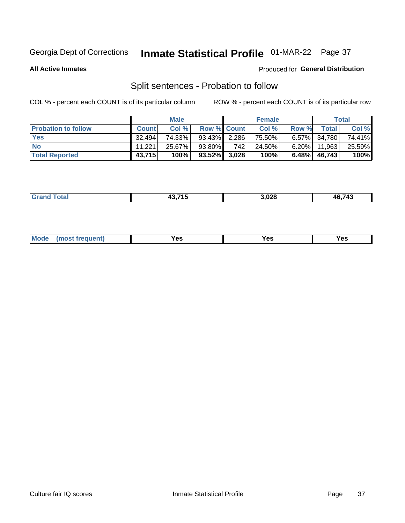# Inmate Statistical Profile 01-MAR-22 Page 37

**All Active Inmates** 

#### Produced for General Distribution

# Split sentences - Probation to follow

COL % - percent each COUNT is of its particular column

|                            |              | <b>Male</b> |                    |     | <b>Female</b> |       |                   | <b>Total</b> |
|----------------------------|--------------|-------------|--------------------|-----|---------------|-------|-------------------|--------------|
| <b>Probation to follow</b> | <b>Count</b> | Col%        | <b>Row % Count</b> |     | Col %         | Row % | Total             | Col %        |
| <b>Yes</b>                 | 32.494       | 74.33%      | 93.43% 2.286       |     | 75.50%        |       | 6.57% 34,780      | 74.41%       |
| <b>No</b>                  | 11.221       | 25.67%      | 93.80%             | 742 | 24.50%        |       | $6.20\%$   11,963 | 25.59%       |
| <b>Total Reported</b>      | 43,715       | 100%        | $93.52\%$ 3,028    |     | 100%          | 6.48% | 46.743            | 100%         |

| . .    | 19 74 E | .028 | 6 743 |
|--------|---------|------|-------|
| ______ |         | __   | Дŀ    |
|        |         |      |       |

| <b>Mode</b><br>reauent)<br>Yes<br>v.c<br>0٥<br>.<br>. .<br>$\sim$ |
|-------------------------------------------------------------------|
|-------------------------------------------------------------------|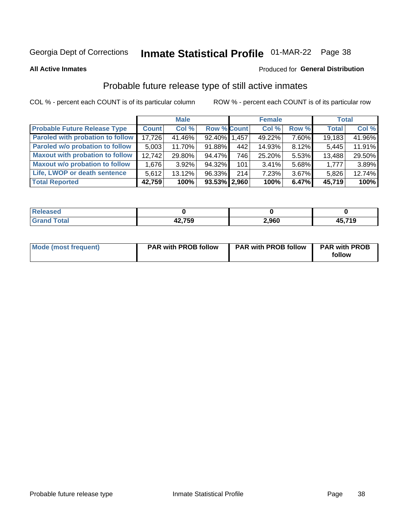# Inmate Statistical Profile 01-MAR-22 Page 38

**All Active Inmates** 

#### Produced for General Distribution

## Probable future release type of still active inmates

COL % - percent each COUNT is of its particular column

|                                         |              | <b>Male</b> |                    |       | <b>Female</b> |          | <b>Total</b> |        |
|-----------------------------------------|--------------|-------------|--------------------|-------|---------------|----------|--------------|--------|
| <b>Probable Future Release Type</b>     | <b>Count</b> | Col %       | <b>Row % Count</b> |       | Col %         | Row %    | <b>Total</b> | Col %  |
| <b>Paroled with probation to follow</b> | 17.726       | 41.46%      | 92.40% 1,457       |       | 49.22%        | 7.60%    | 19,183       | 41.96% |
| Paroled w/o probation to follow         | 5,003        | 11.70%      | 91.88%             | 442   | 14.93%        | 8.12%    | 5,445        | 11.91% |
| <b>Maxout with probation to follow</b>  | 12.742       | 29.80%      | 94.47%             | 746 l | 25.20%        | 5.53%    | 13,488       | 29.50% |
| <b>Maxout w/o probation to follow</b>   | 1,676        | $3.92\%$    | $94.32\%$          | 101   | 3.41%         | 5.68%    | 1,777        | 3.89%  |
| Life, LWOP or death sentence            | 5,612        | 13.12%      | 96.33%             | 214   | 7.23%         | $3.67\%$ | 5,826        | 12.74% |
| <b>Total Reported</b>                   | 42,759       | 100%        | $93.53\%$   2,960  |       | 100%          | 6.47%    | 45,719       | 100%   |

| eleased      |                   |       |            |
|--------------|-------------------|-------|------------|
| <b>cotal</b> | 10 7EN<br>74,1 JJ | 2,960 | ,719<br>45 |

| Mode (most frequent) | <b>PAR with PROB follow</b> | <b>PAR with PROB follow</b> | <b>PAR with PROB</b><br>follow |
|----------------------|-----------------------------|-----------------------------|--------------------------------|
|                      |                             |                             |                                |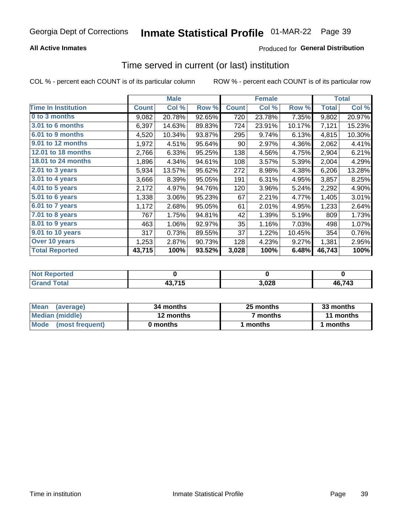### **All Active Inmates**

### Produced for General Distribution

## Time served in current (or last) institution

COL % - percent each COUNT is of its particular column

|                            | <b>Male</b>  |        |        | <b>Female</b> |        |        | <b>Total</b> |        |
|----------------------------|--------------|--------|--------|---------------|--------|--------|--------------|--------|
| <b>Time In Institution</b> | <b>Count</b> | Col %  | Row %  | <b>Count</b>  | Col %  | Row %  | <b>Total</b> | Col %  |
| 0 to 3 months              | 9,082        | 20.78% | 92.65% | 720           | 23.78% | 7.35%  | 9,802        | 20.97% |
| 3.01 to 6 months           | 6,397        | 14.63% | 89.83% | 724           | 23.91% | 10.17% | 7,121        | 15.23% |
| 6.01 to 9 months           | 4,520        | 10.34% | 93.87% | 295           | 9.74%  | 6.13%  | 4,815        | 10.30% |
| 9.01 to 12 months          | 1,972        | 4.51%  | 95.64% | 90            | 2.97%  | 4.36%  | 2,062        | 4.41%  |
| 12.01 to 18 months         | 2,766        | 6.33%  | 95.25% | 138           | 4.56%  | 4.75%  | 2,904        | 6.21%  |
| <b>18.01 to 24 months</b>  | 1,896        | 4.34%  | 94.61% | 108           | 3.57%  | 5.39%  | 2,004        | 4.29%  |
| 2.01 to 3 years            | 5,934        | 13.57% | 95.62% | 272           | 8.98%  | 4.38%  | 6,206        | 13.28% |
| $3.01$ to 4 years          | 3,666        | 8.39%  | 95.05% | 191           | 6.31%  | 4.95%  | 3,857        | 8.25%  |
| 4.01 to 5 years            | 2,172        | 4.97%  | 94.76% | 120           | 3.96%  | 5.24%  | 2,292        | 4.90%  |
| 5.01 to 6 years            | 1,338        | 3.06%  | 95.23% | 67            | 2.21%  | 4.77%  | 1,405        | 3.01%  |
| 6.01 to 7 years            | 1,172        | 2.68%  | 95.05% | 61            | 2.01%  | 4.95%  | 1,233        | 2.64%  |
| 7.01 to 8 years            | 767          | 1.75%  | 94.81% | 42            | 1.39%  | 5.19%  | 809          | 1.73%  |
| $8.01$ to 9 years          | 463          | 1.06%  | 92.97% | 35            | 1.16%  | 7.03%  | 498          | 1.07%  |
| 9.01 to 10 years           | 317          | 0.73%  | 89.55% | 37            | 1.22%  | 10.45% | 354          | 0.76%  |
| Over 10 years              | 1,253        | 2.87%  | 90.73% | 128           | 4.23%  | 9.27%  | 1,381        | 2.95%  |
| <b>Total Reported</b>      | 43,715       | 100%   | 93.52% | 3,028         | 100%   | 6.48%  | 46,743       | 100%   |

| <b>Not</b><br><b>Reported</b> |                       |      |               |
|-------------------------------|-----------------------|------|---------------|
| Total                         | 19 74 E<br>15<br>49,7 | ,028 | <b>AG 743</b> |

| <b>Mean</b><br>(average) | 34 months | 25 months           | 33 months |
|--------------------------|-----------|---------------------|-----------|
| Median (middle)          | 12 months | <sup>7</sup> months | 11 months |
| Mode<br>(most frequent)  | 0 months  | months              | ∖ months  |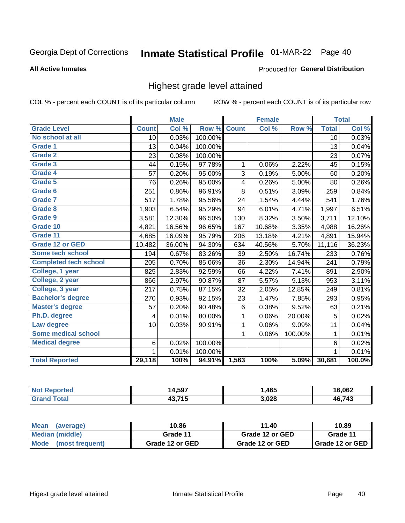# Inmate Statistical Profile 01-MAR-22 Page 40

**All Active Inmates** 

#### Produced for General Distribution

### Highest grade level attained

COL % - percent each COUNT is of its particular column

|                              |                 | <b>Male</b> |         |              | <b>Female</b> |         |                 | <b>Total</b> |
|------------------------------|-----------------|-------------|---------|--------------|---------------|---------|-----------------|--------------|
| <b>Grade Level</b>           | <b>Count</b>    | Col %       | Row %   | <b>Count</b> | Col %         | Row %   | <b>Total</b>    | Col %        |
| No school at all             | $\overline{10}$ | 0.03%       | 100.00% |              |               |         | $\overline{10}$ | 0.03%        |
| <b>Grade 1</b>               | 13              | 0.04%       | 100.00% |              |               |         | 13              | 0.04%        |
| <b>Grade 2</b>               | 23              | 0.08%       | 100.00% |              |               |         | 23              | 0.07%        |
| Grade 3                      | 44              | 0.15%       | 97.78%  | 1            | 0.06%         | 2.22%   | 45              | 0.15%        |
| <b>Grade 4</b>               | 57              | 0.20%       | 95.00%  | 3            | 0.19%         | 5.00%   | 60              | 0.20%        |
| Grade 5                      | 76              | 0.26%       | 95.00%  | 4            | 0.26%         | 5.00%   | 80              | 0.26%        |
| Grade 6                      | 251             | 0.86%       | 96.91%  | 8            | 0.51%         | 3.09%   | 259             | 0.84%        |
| Grade 7                      | 517             | 1.78%       | 95.56%  | 24           | 1.54%         | 4.44%   | 541             | 1.76%        |
| Grade 8                      | 1,903           | 6.54%       | 95.29%  | 94           | 6.01%         | 4.71%   | 1,997           | 6.51%        |
| Grade 9                      | 3,581           | 12.30%      | 96.50%  | 130          | 8.32%         | 3.50%   | 3,711           | 12.10%       |
| Grade 10                     | 4,821           | 16.56%      | 96.65%  | 167          | 10.68%        | 3.35%   | 4,988           | 16.26%       |
| Grade 11                     | 4,685           | 16.09%      | 95.79%  | 206          | 13.18%        | 4.21%   | 4,891           | 15.94%       |
| <b>Grade 12 or GED</b>       | 10,482          | 36.00%      | 94.30%  | 634          | 40.56%        | 5.70%   | 11,116          | 36.23%       |
| <b>Some tech school</b>      | 194             | 0.67%       | 83.26%  | 39           | 2.50%         | 16.74%  | 233             | 0.76%        |
| <b>Completed tech school</b> | 205             | 0.70%       | 85.06%  | 36           | 2.30%         | 14.94%  | 241             | 0.79%        |
| College, 1 year              | 825             | 2.83%       | 92.59%  | 66           | 4.22%         | 7.41%   | 891             | 2.90%        |
| College, 2 year              | 866             | 2.97%       | 90.87%  | 87           | 5.57%         | 9.13%   | 953             | 3.11%        |
| College, 3 year              | 217             | 0.75%       | 87.15%  | 32           | 2.05%         | 12.85%  | 249             | 0.81%        |
| <b>Bachelor's degree</b>     | 270             | 0.93%       | 92.15%  | 23           | 1.47%         | 7.85%   | 293             | 0.95%        |
| <b>Master's degree</b>       | 57              | 0.20%       | 90.48%  | 6            | 0.38%         | 9.52%   | 63              | 0.21%        |
| Ph.D. degree                 | 4               | 0.01%       | 80.00%  | $\mathbf{1}$ | 0.06%         | 20.00%  | 5               | 0.02%        |
| Law degree                   | 10              | 0.03%       | 90.91%  | $\mathbf{1}$ | 0.06%         | 9.09%   | 11              | 0.04%        |
| <b>Some medical school</b>   |                 |             |         | 1            | 0.06%         | 100.00% | 1               | 0.01%        |
| <b>Medical degree</b>        | $\,6$           | 0.02%       | 100.00% |              |               |         | $\,6$           | 0.02%        |
|                              | $\mathbf 1$     | 0.01%       | 100.00% |              |               |         | $\mathbf{1}$    | 0.01%        |
| <b>Total Reported</b>        | 29,118          | 100%        | 94.91%  | 1,563        | 100%          | 5.09%   | 30,681          | 100.0%       |

| 4.597   | ,465  | .062 |
|---------|-------|------|
| 49 74 E | 3.028 | 713  |
| ю       | ,uzo  | 4F   |

| ∣Mean<br>(average)   | 10.86           | 11.40           | 10.89           |  |
|----------------------|-----------------|-----------------|-----------------|--|
| Median (middle)      | Grade 11        | Grade 12 or GED | Grade 11        |  |
| Mode (most frequent) | Grade 12 or GED | Grade 12 or GED | Grade 12 or GED |  |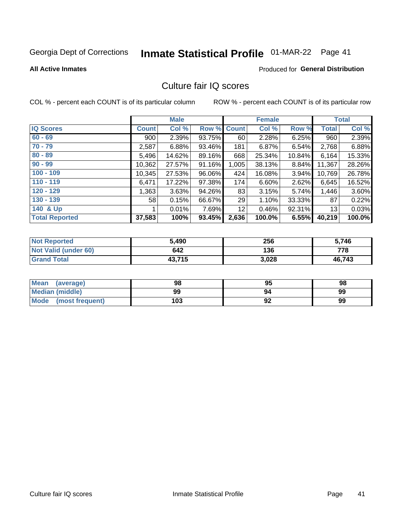# Inmate Statistical Profile 01-MAR-22 Page 41

**All Active Inmates** 

### **Produced for General Distribution**

### Culture fair IQ scores

COL % - percent each COUNT is of its particular column

|                       |              | <b>Male</b> |             |       | <b>Female</b>             |        |              | <b>Total</b> |
|-----------------------|--------------|-------------|-------------|-------|---------------------------|--------|--------------|--------------|
| <b>IQ Scores</b>      | <b>Count</b> | Col %       | Row % Count |       | $\overline{\text{Col}}$ % | Row %  | <b>Total</b> | Col %        |
| $60 - 69$             | 900          | 2.39%       | 93.75%      | 60    | 2.28%                     | 6.25%  | 960          | 2.39%        |
| $70 - 79$             | 2,587        | 6.88%       | 93.46%      | 181   | 6.87%                     | 6.54%  | 2,768        | 6.88%        |
| $80 - 89$             | 5,496        | 14.62%      | 89.16%      | 668   | 25.34%                    | 10.84% | 6,164        | 15.33%       |
| $90 - 99$             | 10,362       | 27.57%      | 91.16%      | 1,005 | 38.13%                    | 8.84%  | 11,367       | 28.26%       |
| $100 - 109$           | 10,345       | 27.53%      | 96.06%      | 424   | 16.08%                    | 3.94%  | 10,769       | 26.78%       |
| $110 - 119$           | 6,471        | 17.22%      | 97.38%      | 174   | 6.60%                     | 2.62%  | 6,645        | 16.52%       |
| $120 - 129$           | 1,363        | 3.63%       | 94.26%      | 83    | 3.15%                     | 5.74%  | 1,446        | 3.60%        |
| $130 - 139$           | 58           | 0.15%       | 66.67%      | 29    | 1.10%                     | 33.33% | 87           | 0.22%        |
| 140 & Up              |              | 0.01%       | 7.69%       | 12    | 0.46%                     | 92.31% | 13           | 0.03%        |
| <b>Total Reported</b> | 37,583       | 100%        | 93.45%      | 2,636 | 100.0%                    | 6.55%  | 40,219       | 100.0%       |

| <b>Not Reported</b>         | 5,490  | 256   | 5,746  |
|-----------------------------|--------|-------|--------|
| <b>Not Valid (under 60)</b> | 642    | 136   | 778    |
| <b>Grand Total</b>          | 43,715 | 3,028 | 46,743 |

| <b>Mean</b><br>(average) | 98  | 95 | 98 |
|--------------------------|-----|----|----|
| Median (middle)          | 99  | 94 | 99 |
| Mode<br>(most frequent)  | 103 | 92 | 99 |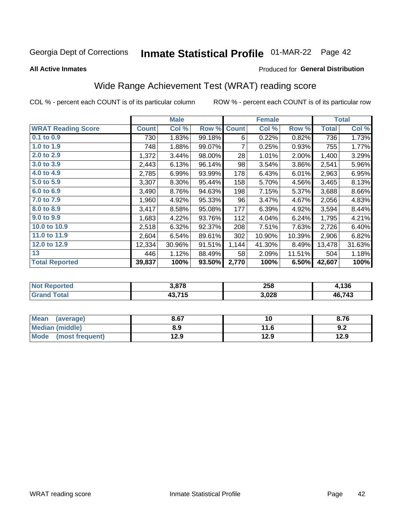# Inmate Statistical Profile 01-MAR-22 Page 42

**All Active Inmates** 

### Produced for General Distribution

## Wide Range Achievement Test (WRAT) reading score

COL % - percent each COUNT is of its particular column

|                           |              | <b>Male</b> |        |              | <b>Female</b> |        |              | <b>Total</b> |
|---------------------------|--------------|-------------|--------|--------------|---------------|--------|--------------|--------------|
| <b>WRAT Reading Score</b> | <b>Count</b> | Col %       | Row %  | <b>Count</b> | Col %         | Row %  | <b>Total</b> | Col %        |
| 0.1 to 0.9                | 730          | 1.83%       | 99.18% | 6            | 0.22%         | 0.82%  | 736          | 1.73%        |
| 1.0 to 1.9                | 748          | 1.88%       | 99.07% | 7            | 0.25%         | 0.93%  | 755          | 1.77%        |
| 2.0 to 2.9                | 1,372        | 3.44%       | 98.00% | 28           | 1.01%         | 2.00%  | 1,400        | 3.29%        |
| 3.0 to 3.9                | 2,443        | 6.13%       | 96.14% | 98           | 3.54%         | 3.86%  | 2,541        | 5.96%        |
| 4.0 to 4.9                | 2,785        | 6.99%       | 93.99% | 178          | 6.43%         | 6.01%  | 2,963        | 6.95%        |
| 5.0 to 5.9                | 3,307        | 8.30%       | 95.44% | 158          | 5.70%         | 4.56%  | 3,465        | 8.13%        |
| 6.0 to 6.9                | 3,490        | 8.76%       | 94.63% | 198          | 7.15%         | 5.37%  | 3,688        | 8.66%        |
| 7.0 to 7.9                | 1,960        | 4.92%       | 95.33% | 96           | 3.47%         | 4.67%  | 2,056        | 4.83%        |
| 8.0 to 8.9                | 3,417        | 8.58%       | 95.08% | 177          | 6.39%         | 4.92%  | 3,594        | 8.44%        |
| 9.0 to 9.9                | 1,683        | 4.22%       | 93.76% | 112          | 4.04%         | 6.24%  | 1,795        | 4.21%        |
| 10.0 to 10.9              | 2,518        | 6.32%       | 92.37% | 208          | 7.51%         | 7.63%  | 2,726        | 6.40%        |
| 11.0 to 11.9              | 2,604        | 6.54%       | 89.61% | 302          | 10.90%        | 10.39% | 2,906        | 6.82%        |
| 12.0 to 12.9              | 12,334       | 30.96%      | 91.51% | 1,144        | 41.30%        | 8.49%  | 13,478       | 31.63%       |
| 13                        | 446          | 1.12%       | 88.49% | 58           | 2.09%         | 11.51% | 504          | 1.18%        |
| <b>Total Reported</b>     | 39,837       | 100%        | 93.50% | 2,770        | 100%          | 6.50%  | 42,607       | 100%         |

| ortea<br>NO | 3.878  | 258   | ,136   |
|-------------|--------|-------|--------|
|             | 43,715 | 3,028 | 46,743 |

| Mean<br>(average)    | 8.67 | 10   | 8.76 |
|----------------------|------|------|------|
| Median (middle)      | 8.9  | 11.6 | 9.2  |
| Mode (most frequent) | 12.9 | 12.9 | 12.9 |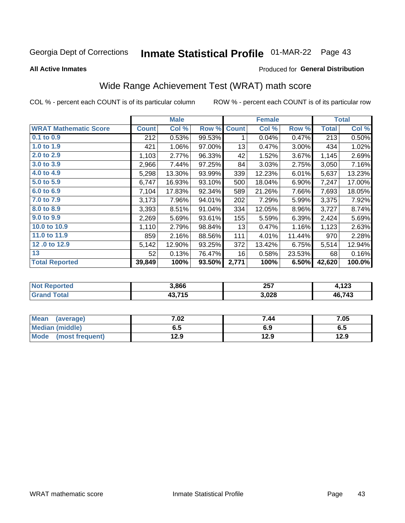# Inmate Statistical Profile 01-MAR-22 Page 43

**All Active Inmates** 

#### Produced for General Distribution

## Wide Range Achievement Test (WRAT) math score

COL % - percent each COUNT is of its particular column

|                              |              | <b>Male</b> |        |              | <b>Female</b> |        |              | <b>Total</b> |
|------------------------------|--------------|-------------|--------|--------------|---------------|--------|--------------|--------------|
| <b>WRAT Mathematic Score</b> | <b>Count</b> | Col %       | Row %  | <b>Count</b> | Col %         | Row %  | <b>Total</b> | Col %        |
| $0.1$ to $0.9$               | 212          | 0.53%       | 99.53% | 1            | 0.04%         | 0.47%  | 213          | 0.50%        |
| 1.0 to 1.9                   | 421          | 1.06%       | 97.00% | 13           | 0.47%         | 3.00%  | 434          | 1.02%        |
| 2.0 to 2.9                   | 1,103        | 2.77%       | 96.33% | 42           | 1.52%         | 3.67%  | 1,145        | 2.69%        |
| 3.0 to 3.9                   | 2,966        | 7.44%       | 97.25% | 84           | 3.03%         | 2.75%  | 3,050        | 7.16%        |
| 4.0 to 4.9                   | 5,298        | 13.30%      | 93.99% | 339          | 12.23%        | 6.01%  | 5,637        | 13.23%       |
| 5.0 to 5.9                   | 6,747        | 16.93%      | 93.10% | 500          | 18.04%        | 6.90%  | 7,247        | 17.00%       |
| 6.0 to 6.9                   | 7,104        | 17.83%      | 92.34% | 589          | 21.26%        | 7.66%  | 7,693        | 18.05%       |
| 7.0 to 7.9                   | 3,173        | 7.96%       | 94.01% | 202          | 7.29%         | 5.99%  | 3,375        | 7.92%        |
| 8.0 to 8.9                   | 3,393        | 8.51%       | 91.04% | 334          | 12.05%        | 8.96%  | 3,727        | 8.74%        |
| 9.0 to 9.9                   | 2,269        | 5.69%       | 93.61% | 155          | 5.59%         | 6.39%  | 2,424        | 5.69%        |
| 10.0 to 10.9                 | 1,110        | 2.79%       | 98.84% | 13           | 0.47%         | 1.16%  | 1,123        | 2.63%        |
| 11.0 to 11.9                 | 859          | 2.16%       | 88.56% | 111          | 4.01%         | 11.44% | 970          | 2.28%        |
| 12.0 to 12.9                 | 5,142        | 12.90%      | 93.25% | 372          | 13.42%        | 6.75%  | 5,514        | 12.94%       |
| 13                           | 52           | 0.13%       | 76.47% | 16           | 0.58%         | 23.53% | 68           | 0.16%        |
| <b>Total Reported</b>        | 39,849       | 100%        | 93.50% | 2,771        | 100%          | 6.50%  | 42,620       | 100.0%       |

| Reported<br>' N∩t | 3,866  | 257   | 100<br>1. IZJ |
|-------------------|--------|-------|---------------|
| <b>cotal</b>      | 43.715 | 3,028 | 6,743<br>4F   |

| <b>Mean</b><br>(average) | 7.02 | 7.44 | 7.05 |
|--------------------------|------|------|------|
| Median (middle)          | כ.ס  | 6.9  | ხ.მ  |
| Mode<br>(most frequent)  | 12.9 | 12.9 | 12.9 |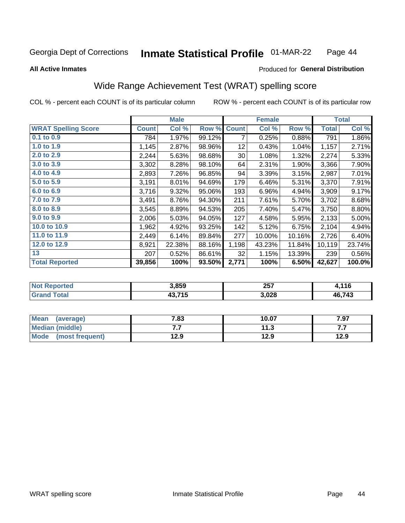#### **Inmate Statistical Profile 01-MAR-22** Page 44

#### **All Active Inmates**

### Produced for General Distribution

### Wide Range Achievement Test (WRAT) spelling score

COL % - percent each COUNT is of its particular column

|                            |              | <b>Male</b> |        |              | <b>Female</b> |        |                  | <b>Total</b> |
|----------------------------|--------------|-------------|--------|--------------|---------------|--------|------------------|--------------|
| <b>WRAT Spelling Score</b> | <b>Count</b> | Col %       | Row %  | <b>Count</b> | Col %         | Row %  | <b>Total</b>     | Col %        |
| 0.1 to 0.9                 | 784          | 1.97%       | 99.12% | 7            | 0.25%         | 0.88%  | $\overline{791}$ | 1.86%        |
| 1.0 to 1.9                 | 1,145        | 2.87%       | 98.96% | 12           | 0.43%         | 1.04%  | 1,157            | 2.71%        |
| 2.0 to 2.9                 | 2,244        | 5.63%       | 98.68% | 30           | 1.08%         | 1.32%  | 2,274            | 5.33%        |
| 3.0 to 3.9                 | 3,302        | 8.28%       | 98.10% | 64           | 2.31%         | 1.90%  | 3,366            | 7.90%        |
| 4.0 to 4.9                 | 2,893        | 7.26%       | 96.85% | 94           | 3.39%         | 3.15%  | 2,987            | 7.01%        |
| 5.0 to 5.9                 | 3,191        | 8.01%       | 94.69% | 179          | 6.46%         | 5.31%  | 3,370            | 7.91%        |
| 6.0 to 6.9                 | 3,716        | 9.32%       | 95.06% | 193          | 6.96%         | 4.94%  | 3,909            | 9.17%        |
| 7.0 to 7.9                 | 3,491        | 8.76%       | 94.30% | 211          | 7.61%         | 5.70%  | 3,702            | 8.68%        |
| 8.0 to 8.9                 | 3,545        | 8.89%       | 94.53% | 205          | 7.40%         | 5.47%  | 3,750            | 8.80%        |
| 9.0 to 9.9                 | 2,006        | 5.03%       | 94.05% | 127          | 4.58%         | 5.95%  | 2,133            | 5.00%        |
| 10.0 to 10.9               | 1,962        | 4.92%       | 93.25% | 142          | 5.12%         | 6.75%  | 2,104            | 4.94%        |
| 11.0 to 11.9               | 2,449        | 6.14%       | 89.84% | 277          | 10.00%        | 10.16% | 2,726            | 6.40%        |
| 12.0 to 12.9               | 8,921        | 22.38%      | 88.16% | 1,198        | 43.23%        | 11.84% | 10,119           | 23.74%       |
| 13                         | 207          | 0.52%       | 86.61% | 32           | 1.15%         | 13.39% | 239              | 0.56%        |
| <b>Total Reported</b>      | 39,856       | 100%        | 93.50% | 2,771        | 100%          | 6.50%  | 42,627           | 100.0%       |

| ortea<br>NO | 3,859  | 257<br>___ | ,116   |
|-------------|--------|------------|--------|
| int         | 43,715 | 3,028      | 46,743 |

| <b>Mean</b><br>(average) | 7.83 | 10.07 | 7.97 |
|--------------------------|------|-------|------|
| Median (middle)          | .    | 11.3  | .    |
| Mode (most frequent)     | 12.9 | 12.9  | 12.9 |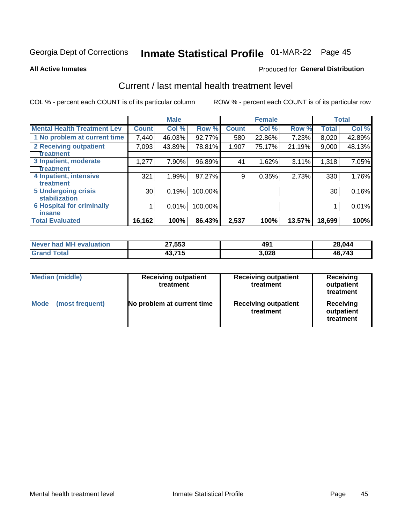# Inmate Statistical Profile 01-MAR-22 Page 45

**All Active Inmates** 

#### **Produced for General Distribution**

### Current / last mental health treatment level

COL % - percent each COUNT is of its particular column

|                                    |              | <b>Male</b> |         |              | <b>Female</b> |        |              | <b>Total</b> |
|------------------------------------|--------------|-------------|---------|--------------|---------------|--------|--------------|--------------|
| <b>Mental Health Treatment Lev</b> | <b>Count</b> | Col %       | Row %   | <b>Count</b> | Col %         | Row %  | <b>Total</b> | Col %        |
| 1 No problem at current time       | 7,440        | 46.03%      | 92.77%  | 580          | 22.86%        | 7.23%  | 8,020        | 42.89%       |
| 2 Receiving outpatient             | 7,093        | 43.89%      | 78.81%  | 1,907        | 75.17%        | 21.19% | 9,000        | 48.13%       |
| <b>Treatment</b>                   |              |             |         |              |               |        |              |              |
| 3 Inpatient, moderate              | 1,277        | 7.90%       | 96.89%  | 41           | 1.62%         | 3.11%  | 1,318        | 7.05%        |
| <b>Treatment</b>                   |              |             |         |              |               |        |              |              |
| 4 Inpatient, intensive             | 321          | 1.99%       | 97.27%  | 9            | 0.35%         | 2.73%  | 330          | 1.76%        |
| Treatment                          |              |             |         |              |               |        |              |              |
| <b>5 Undergoing crisis</b>         | 30           | 0.19%       | 100.00% |              |               |        | 30           | 0.16%        |
| <b>Stabilization</b>               |              |             |         |              |               |        |              |              |
| <b>6 Hospital for criminally</b>   |              | 0.01%       | 100.00% |              |               |        |              | 0.01%        |
| <b>Tinsane</b>                     |              |             |         |              |               |        |              |              |
| <b>Total Evaluated</b>             | 16,162       | 100%        | 86.43%  | 2,537        | 100%          | 13.57% | 18,699       | 100%         |

| Never had MH evaluation | 27,553                 | 491   | 28,044 |
|-------------------------|------------------------|-------|--------|
| $\tau$ otal             | 19 71 E<br>40.,<br>. . | 3,028 | 46,743 |

| <b>Median (middle)</b>         | <b>Receiving outpatient</b><br>treatment | <b>Receiving outpatient</b><br>treatment | <b>Receiving</b><br>outpatient<br>treatment |  |
|--------------------------------|------------------------------------------|------------------------------------------|---------------------------------------------|--|
| <b>Mode</b><br>(most frequent) | No problem at current time               | <b>Receiving outpatient</b><br>treatment | Receiving<br>outpatient<br>treatment        |  |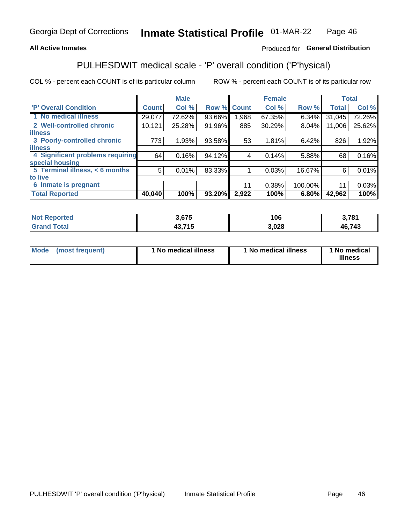#### **All Active Inmates**

### Produced for General Distribution

## PULHESDWIT medical scale - 'P' overall condition ('P'hysical)

COL % - percent each COUNT is of its particular column

|                                  |              | <b>Male</b> |        |              | <b>Female</b> |         |              | <b>Total</b> |
|----------------------------------|--------------|-------------|--------|--------------|---------------|---------|--------------|--------------|
| 'P' Overall Condition            | <b>Count</b> | Col %       | Row %  | <b>Count</b> | Col %         | Row %   | <b>Total</b> | Col %        |
| 1 No medical illness             | 29,077       | 72.62%      | 93.66% | .968         | 67.35%        | 6.34%   | 31,045       | 72.26%       |
| 2 Well-controlled chronic        | 10,121       | 25.28%      | 91.96% | 885          | 30.29%        | 8.04%   | 11,006       | 25.62%       |
| <b>illness</b>                   |              |             |        |              |               |         |              |              |
| 3 Poorly-controlled chronic      | 773          | 1.93%       | 93.58% | 53           | 1.81%         | 6.42%   | 826          | 1.92%        |
| <b>illness</b>                   |              |             |        |              |               |         |              |              |
| 4 Significant problems requiring | 64           | 0.16%       | 94.12% | 4            | 0.14%         | 5.88%   | 68           | 0.16%        |
| special housing                  |              |             |        |              |               |         |              |              |
| 5 Terminal illness, < 6 months   | 5            | 0.01%       | 83.33% |              | 0.03%         | 16.67%  | 6            | 0.01%        |
| to live                          |              |             |        |              |               |         |              |              |
| 6 Inmate is pregnant             |              |             |        | 11           | 0.38%         | 100.00% | 11           | 0.03%        |
| <b>Total Reported</b>            | 40,040       | 100%        | 93.20% | 2,922        | 100%          | 6.80%   | 42,962       | 100%         |

| тео | 075   | 1 N C<br>ט י | <b>2 704</b> |
|-----|-------|--------------|--------------|
|     | - - - | .028         | 46,743       |

| Mode<br>(most frequent) |  | <sup>1</sup> No medical illness | 1 No medical illness | 1 No medical<br>illness |
|-------------------------|--|---------------------------------|----------------------|-------------------------|
|-------------------------|--|---------------------------------|----------------------|-------------------------|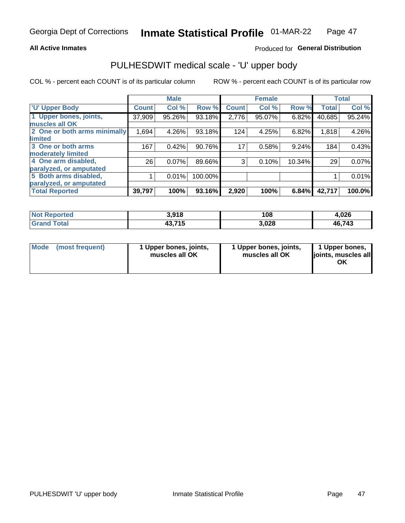#### **All Active Inmates**

### Produced for General Distribution

## PULHESDWIT medical scale - 'U' upper body

COL % - percent each COUNT is of its particular column

|                              |              | <b>Male</b> |         |              | <b>Female</b> |        |              | <b>Total</b> |
|------------------------------|--------------|-------------|---------|--------------|---------------|--------|--------------|--------------|
| <b>U' Upper Body</b>         | <b>Count</b> | Col %       | Row %   | <b>Count</b> | Col %         | Row %  | <b>Total</b> | Col %        |
| 1 Upper bones, joints,       | 37,909       | 95.26%      | 93.18%  | 2,776        | 95.07%        | 6.82%  | 40,685       | 95.24%       |
| muscles all OK               |              |             |         |              |               |        |              |              |
| 2 One or both arms minimally | 1,694        | 4.26%       | 93.18%  | 124          | 4.25%         | 6.82%  | 1,818        | 4.26%        |
| limited                      |              |             |         |              |               |        |              |              |
| 3 One or both arms           | 167          | 0.42%       | 90.76%  | 17           | 0.58%         | 9.24%  | 184          | 0.43%        |
| <b>moderately limited</b>    |              |             |         |              |               |        |              |              |
| 4 One arm disabled,          | 26           | 0.07%       | 89.66%  | 3            | 0.10%         | 10.34% | 29           | 0.07%        |
| paralyzed, or amputated      |              |             |         |              |               |        |              |              |
| 5 Both arms disabled,        |              | 0.01%       | 100.00% |              |               |        |              | 0.01%        |
| paralyzed, or amputated      |              |             |         |              |               |        |              |              |
| <b>Total Reported</b>        | 39,797       | 100%        | 93.16%  | 2,920        | 100%          | 6.84%  | 42,717       | 100.0%       |

| <b>Not Reported</b> | 3,918  | 108   | 4,026  |
|---------------------|--------|-------|--------|
| <b>Grand Total</b>  | 43,715 | 3,028 | 46,743 |

| Mode | (most frequent) | 1 Upper bones, joints,<br>muscles all OK | 1 Upper bones, joints,<br>muscles all OK | 1 Upper bones,<br>joints, muscles all<br>ΟK |
|------|-----------------|------------------------------------------|------------------------------------------|---------------------------------------------|
|------|-----------------|------------------------------------------|------------------------------------------|---------------------------------------------|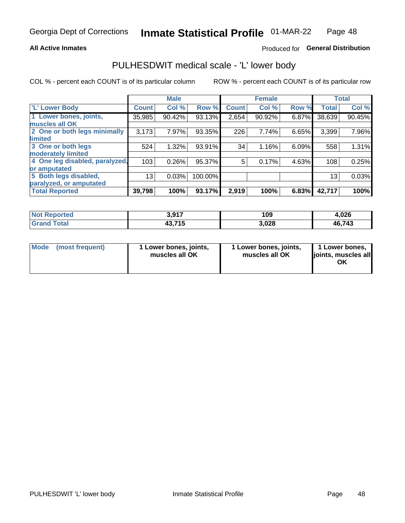#### **All Active Inmates**

### Produced for General Distribution

### PULHESDWIT medical scale - 'L' lower body

COL % - percent each COUNT is of its particular column

|                                |              | <b>Male</b> |         |              | <b>Female</b> |       |                 | <b>Total</b> |
|--------------------------------|--------------|-------------|---------|--------------|---------------|-------|-----------------|--------------|
| 'L' Lower Body                 | <b>Count</b> | Col %       | Row %   | <b>Count</b> | Col %         | Row % | <b>Total</b>    | Col %        |
| 1 Lower bones, joints,         | 35,985       | 90.42%      | 93.13%  | 2,654        | 90.92%        | 6.87% | 38,639          | 90.45%       |
| muscles all OK                 |              |             |         |              |               |       |                 |              |
| 2 One or both legs minimally   | 3,173        | 7.97%       | 93.35%  | 226          | 7.74%         | 6.65% | 3,399           | 7.96%        |
| limited                        |              |             |         |              |               |       |                 |              |
| 3 One or both legs             | 524          | 1.32%       | 93.91%  | 34           | 1.16%         | 6.09% | 558             | 1.31%        |
| moderately limited             |              |             |         |              |               |       |                 |              |
| 4 One leg disabled, paralyzed, | 103          | 0.26%       | 95.37%  | 5            | 0.17%         | 4.63% | 108             | 0.25%        |
| or amputated                   |              |             |         |              |               |       |                 |              |
| 5 Both legs disabled,          | 13           | 0.03%       | 100.00% |              |               |       | 13 <sub>1</sub> | 0.03%        |
| paralyzed, or amputated        |              |             |         |              |               |       |                 |              |
| <b>Total Reported</b>          | 39,798       | 100%        | 93.17%  | 2,919        | 100%          | 6.83% | 42,717          | 100%         |

| <b>Not Reported</b> | 2 Q17<br><b>U.JI.</b> | 109   | 4,026  |
|---------------------|-----------------------|-------|--------|
| <b>Grand Total</b>  | 43,715                | 3,028 | 46,743 |

| Mode | (most frequent) | 1 Lower bones, joints,<br>muscles all OK | I Lower bones, joints,<br>muscles all OK | 1 Lower bones,<br>joints, muscles all<br>ΟK |
|------|-----------------|------------------------------------------|------------------------------------------|---------------------------------------------|
|------|-----------------|------------------------------------------|------------------------------------------|---------------------------------------------|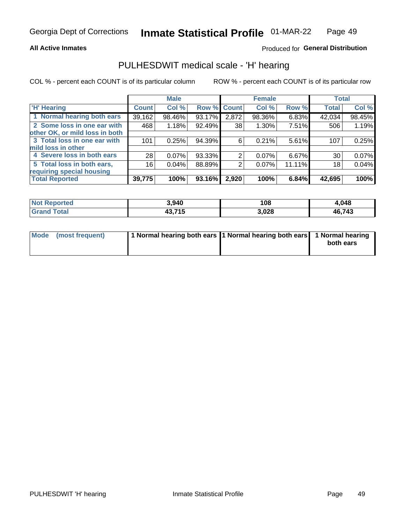#### **All Active Inmates**

### Produced for General Distribution

### PULHESDWIT medical scale - 'H' hearing

COL % - percent each COUNT is of its particular column

|                                |              | <b>Male</b> |             |       | <b>Female</b> |          | <b>Total</b> |        |
|--------------------------------|--------------|-------------|-------------|-------|---------------|----------|--------------|--------|
| <b>'H' Hearing</b>             | <b>Count</b> | Col %       | Row % Count |       | Col %         | Row %    | <b>Total</b> | Col %  |
| 1 Normal hearing both ears     | 39,162       | 98.46%      | 93.17%      | 2,872 | 98.36%        | 6.83%    | 42,034       | 98.45% |
| 2 Some loss in one ear with    | 468          | 1.18%       | 92.49%      | 38    | 1.30%         | 7.51%    | 506          | 1.19%  |
| other OK, or mild loss in both |              |             |             |       |               |          |              |        |
| 3 Total loss in one ear with   | 101          | 0.25%       | 94.39%      | 6     | 0.21%         | $5.61\%$ | 107          | 0.25%  |
| mild loss in other             |              |             |             |       |               |          |              |        |
| 4 Severe loss in both ears     | 28           | 0.07%       | 93.33%      | 2     | $0.07\%$      | 6.67%    | 30           | 0.07%  |
| 5 Total loss in both ears,     | 16           | 0.04%       | 88.89%      | 2     | 0.07%         | 11.11%   | 18           | 0.04%  |
| requiring special housing      |              |             |             |       |               |          |              |        |
| <b>Total Reported</b>          | 39,775       | 100%        | 93.16%      | 2,920 | 100%          | 6.84%    | 42,695       | 100%   |

| <b>Not Reported</b> | 3,940           | 108   | 048،   |
|---------------------|-----------------|-------|--------|
| Total<br>Grand      | 12 71 L<br>TV.I | 3,028 | 46,743 |

| Mode (most frequent) | 1 Normal hearing both ears 11 Normal hearing both ears 1 Normal hearing | both ears |
|----------------------|-------------------------------------------------------------------------|-----------|
|                      |                                                                         |           |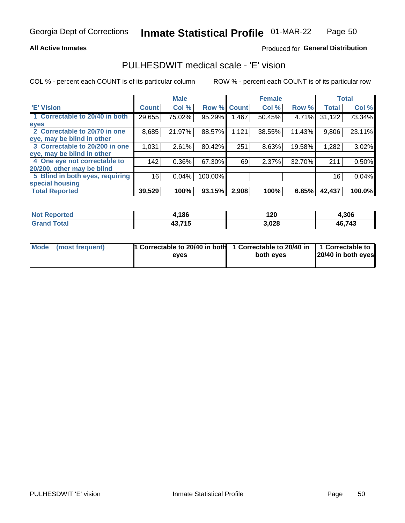#### **All Active Inmates**

### Produced for General Distribution

### PULHESDWIT medical scale - 'E' vision

COL % - percent each COUNT is of its particular column

|                                 |              | <b>Male</b> |         |              | <b>Female</b> |        |              | <b>Total</b> |
|---------------------------------|--------------|-------------|---------|--------------|---------------|--------|--------------|--------------|
| <b>E' Vision</b>                | <b>Count</b> | Col %       | Row %   | <b>Count</b> | Col %         | Row %  | <b>Total</b> | Col %        |
| 1 Correctable to 20/40 in both  | 29,655       | 75.02%      | 95.29%  | .467         | 50.45%        | 4.71%  | 31,122       | 73.34%       |
| eyes                            |              |             |         |              |               |        |              |              |
| 2 Correctable to 20/70 in one   | 8,685        | 21.97%      | 88.57%  | 1,121        | 38.55%        | 11.43% | 9,806        | 23.11%       |
| eye, may be blind in other      |              |             |         |              |               |        |              |              |
| 3 Correctable to 20/200 in one  | 1,031        | 2.61%       | 80.42%  | 251          | 8.63%         | 19.58% | 1,282        | 3.02%        |
| eye, may be blind in other      |              |             |         |              |               |        |              |              |
| 4 One eye not correctable to    | 142          | $0.36\%$    | 67.30%  | 69           | 2.37%         | 32.70% | 211          | 0.50%        |
| 20/200, other may be blind      |              |             |         |              |               |        |              |              |
| 5 Blind in both eyes, requiring | 16           | 0.04%       | 100.00% |              |               |        | 16           | 0.04%        |
| special housing                 |              |             |         |              |               |        |              |              |
| <b>Total Reported</b>           | 39,529       | 100%        | 93.15%  | 2,908        | 100%          | 6.85%  | 42,437       | 100.0%       |

| <b>Not Reported</b> | Ⅰ,186          | 120   | 4,306  |
|---------------------|----------------|-------|--------|
| Total               | 43,715<br>49,7 | 3,028 | 46,743 |

| Mode (most frequent) | 1 Correctable to 20/40 in both | 1 Correctable to 20/40 in   1 Correctable to |                    |
|----------------------|--------------------------------|----------------------------------------------|--------------------|
|                      | eves                           | both eves                                    | 20/40 in both eyes |
|                      |                                |                                              |                    |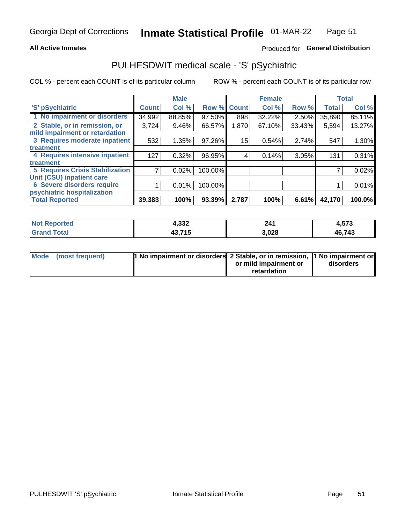#### **All Active Inmates**

### Produced for General Distribution

## PULHESDWIT medical scale - 'S' pSychiatric

COL % - percent each COUNT is of its particular column

|                                        |              | <b>Male</b> |         |              | <b>Female</b> |        |              | <b>Total</b> |
|----------------------------------------|--------------|-------------|---------|--------------|---------------|--------|--------------|--------------|
| 'S' pSychiatric                        | <b>Count</b> | Col %       | Row %   | <b>Count</b> | Col %         | Row %  | <b>Total</b> | Col %        |
| 1 No impairment or disorders           | 34,992       | 88.85%      | 97.50%  | 898          | 32.22%        | 2.50%  | 35,890       | 85.11%       |
| 2 Stable, or in remission, or          | 3,724        | $9.46\%$    | 66.57%  | 1,870        | 67.10%        | 33.43% | 5,594        | 13.27%       |
| mild impairment or retardation         |              |             |         |              |               |        |              |              |
| 3 Requires moderate inpatient          | 532          | 1.35%       | 97.26%  | 15           | 0.54%         | 2.74%  | 547          | 1.30%        |
| treatment                              |              |             |         |              |               |        |              |              |
| 4 Requires intensive inpatient         | 127          | 0.32%       | 96.95%  | 4            | 0.14%         | 3.05%  | 131          | 0.31%        |
| treatment                              |              |             |         |              |               |        |              |              |
| <b>5 Requires Crisis Stabilization</b> |              | 0.02%       | 100.00% |              |               |        |              | 0.02%        |
| Unit (CSU) inpatient care              |              |             |         |              |               |        |              |              |
| <b>6 Severe disorders require</b>      |              | 0.01%       | 100.00% |              |               |        |              | 0.01%        |
| psychiatric hospitalization            |              |             |         |              |               |        |              |              |
| <b>Total Reported</b>                  | 39,383       | 100%        | 93.39%  | 2,787        | 100%          | 6.61%  | 42,170       | 100.0%       |

| <b>Not Reported</b>   | 4,332  | 241   | 4,573  |
|-----------------------|--------|-------|--------|
| Total<br><b>Grand</b> | 43,715 | 3,028 | 46,743 |

| Mode | (most frequent) | 1 No impairment or disorders 2 Stable, or in remission, 1 No impairment or |                       |           |
|------|-----------------|----------------------------------------------------------------------------|-----------------------|-----------|
|      |                 |                                                                            | or mild impairment or | disorders |
|      |                 |                                                                            | retardation           |           |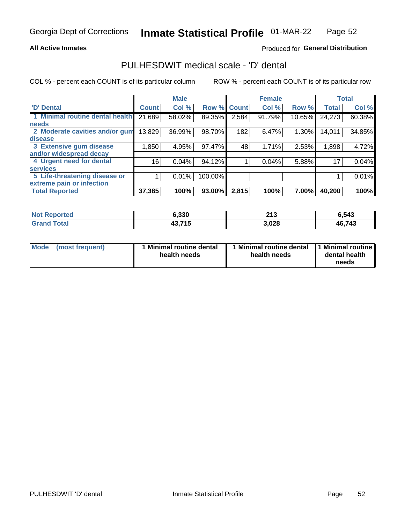#### **All Active Inmates**

### Produced for General Distribution

### PULHESDWIT medical scale - 'D' dental

COL % - percent each COUNT is of its particular column

|                                 |              | <b>Male</b> |         |              | <b>Female</b> |          |              | <b>Total</b> |
|---------------------------------|--------------|-------------|---------|--------------|---------------|----------|--------------|--------------|
| <b>D'</b> Dental                | <b>Count</b> | Col %       | Row %   | <b>Count</b> | Col %         | Row %    | <b>Total</b> | Col %        |
| 1 Minimal routine dental health | 21,689       | 58.02%      | 89.35%  | 2,584        | 91.79%        | 10.65%   | 24,273       | 60.38%       |
| <b>needs</b>                    |              |             |         |              |               |          |              |              |
| 2 Moderate cavities and/or gum  | 13,829       | 36.99%      | 98.70%  | 182          | 6.47%         | 1.30%    | 14,011       | 34.85%       |
| disease                         |              |             |         |              |               |          |              |              |
| 3 Extensive gum disease         | 1,850        | 4.95%       | 97.47%  | 48           | 1.71%         | 2.53%    | 1,898        | 4.72%        |
| and/or widespread decay         |              |             |         |              |               |          |              |              |
| 4 Urgent need for dental        | 16           | 0.04%       | 94.12%  |              | 0.04%         | 5.88%    | 17           | 0.04%        |
| <b>services</b>                 |              |             |         |              |               |          |              |              |
| 5 Life-threatening disease or   |              | 0.01%       | 100.00% |              |               |          |              | 0.01%        |
| extreme pain or infection       |              |             |         |              |               |          |              |              |
| <b>Total Reported</b>           | 37,385       | 100%        | 93.00%  | 2,815        | 100%          | $7.00\%$ | 40,200       | 100%         |

| <b>Not Reported</b>             | 6,330  | 242<br>4 I J | 6.543  |
|---------------------------------|--------|--------------|--------|
| <b>Total</b><br><b>'Grand</b> . | 43,715 | 3,028        | 46,743 |

| 1 Minimal routine dental<br>Mode<br>(most frequent)<br>health needs | 1 Minimal routine dental 1 Minimal routine<br>health needs | dental health<br>needs |
|---------------------------------------------------------------------|------------------------------------------------------------|------------------------|
|---------------------------------------------------------------------|------------------------------------------------------------|------------------------|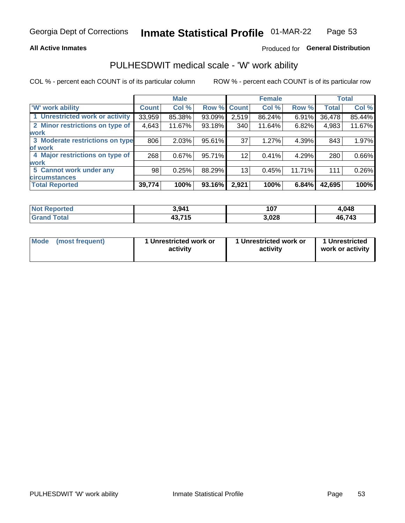#### **All Active Inmates**

### Produced for General Distribution

### PULHESDWIT medical scale - 'W' work ability

COL % - percent each COUNT is of its particular column

|                                 |                    | <b>Male</b> |        |             | <b>Female</b> |        |              | <b>Total</b> |
|---------------------------------|--------------------|-------------|--------|-------------|---------------|--------|--------------|--------------|
| 'W' work ability                | Count <sup>1</sup> | Col %       |        | Row % Count | Col %         | Row %  | <b>Total</b> | Col %        |
| 1 Unrestricted work or activity | 33,959             | 85.38%      | 93.09% | 2,519       | 86.24%        | 6.91%  | 36,478       | 85.44%       |
| 2 Minor restrictions on type of | 4,643              | 11.67%      | 93.18% | 340         | 11.64%        | 6.82%  | 4,983        | 11.67%       |
| <b>work</b>                     |                    |             |        |             |               |        |              |              |
| 3 Moderate restrictions on type | 806                | 2.03%       | 95.61% | 37          | 1.27%         | 4.39%  | 843          | 1.97%        |
| lof work                        |                    |             |        |             |               |        |              |              |
| 4 Major restrictions on type of | 268                | 0.67%       | 95.71% | 12          | 0.41%         | 4.29%  | 280          | 0.66%        |
| <b>work</b>                     |                    |             |        |             |               |        |              |              |
| 5 Cannot work under any         | 98                 | 0.25%       | 88.29% | 13          | 0.45%         | 11.71% | 111          | 0.26%        |
| <b>circumstances</b>            |                    |             |        |             |               |        |              |              |
| <b>Total Reported</b>           | 39,774             | 100%        | 93.16% | 2,921       | 100%          | 6.84%  | 42,695       | 100%         |

| <b>Not Reported</b>     | 3,941                      | 107   | 4,048  |
|-------------------------|----------------------------|-------|--------|
| <b>Total</b><br>'Grand. | .715<br>$\sqrt{2}$<br>43.7 | 3,028 | 46,743 |

| Mode            | 1 Unrestricted work or | 1 Unrestricted work or | 1 Unrestricted   |
|-----------------|------------------------|------------------------|------------------|
| (most frequent) | activity               | activity               | work or activity |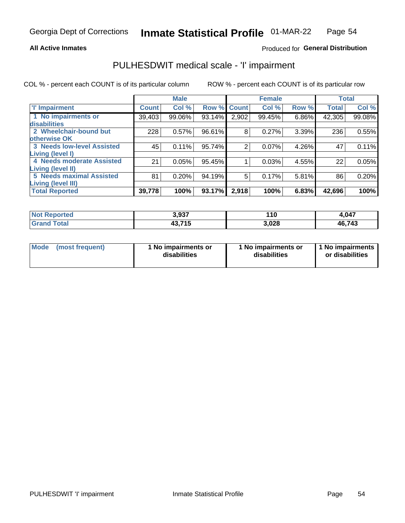#### **All Active Inmates**

### Produced for General Distribution

## PULHESDWIT medical scale - 'I' impairment

COL % - percent each COUNT is of its particular column

|                                                      |              | <b>Male</b> |        |             | <b>Female</b> |       |              | <b>Total</b> |
|------------------------------------------------------|--------------|-------------|--------|-------------|---------------|-------|--------------|--------------|
| <b>T' Impairment</b>                                 | <b>Count</b> | Col %       |        | Row % Count | Col %         | Row % | <b>Total</b> | Col %        |
| 1 No impairments or<br>disabilities                  | 39,403       | 99.06%      | 93.14% | 2,902       | 99.45%        | 6.86% | 42,305       | 99.08%       |
| 2 Wheelchair-bound but<br>otherwise OK               | 228          | 0.57%       | 96.61% | 8           | 0.27%         | 3.39% | 236          | 0.55%        |
| <b>3 Needs low-level Assisted</b>                    | 45           | 0.11%       | 95.74% | 2           | 0.07%         | 4.26% | 47           | 0.11%        |
| Living (level I)<br>4 Needs moderate Assisted        | 21           | 0.05%       | 95.45% |             | 0.03%         | 4.55% | 22           | 0.05%        |
| Living (level II)<br><b>5 Needs maximal Assisted</b> | 81           | 0.20%       | 94.19% | 5           | 0.17%         | 5.81% | 86           | 0.20%        |
| <b>Living (level III)</b><br><b>Total Reported</b>   | 39,778       | 100%        | 93.17% | 2,918       | 100%          | 6.83% | 42,696       | 100%         |

| Not F<br>Reported            | 3,937         | 110   | 4,047  |
|------------------------------|---------------|-------|--------|
| <b>Total</b><br><b>Grand</b> | 43.715<br>יט+ | 3,028 | 46,743 |

| Mode | (most frequent) | 1 No impairments or<br>disabilities | 1 No impairments or<br>disabilities | 1 No impairments<br>or disabilities |
|------|-----------------|-------------------------------------|-------------------------------------|-------------------------------------|
|------|-----------------|-------------------------------------|-------------------------------------|-------------------------------------|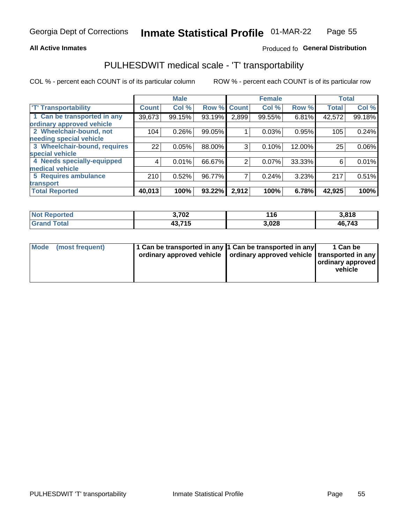#### **All Active Inmates**

### Produced fo General Distribution

### PULHESDWIT medical scale - 'T' transportability

COL % - percent each COUNT is of its particular column

|                              |              | <b>Male</b> |        |              | <b>Female</b> |        | <b>Total</b> |        |
|------------------------------|--------------|-------------|--------|--------------|---------------|--------|--------------|--------|
| <b>T' Transportability</b>   | <b>Count</b> | Col %       | Row %  | <b>Count</b> | Col %         | Row %  | <b>Total</b> | Col %  |
| 1 Can be transported in any  | 39,673       | 99.15%      | 93.19% | 2,899        | 99.55%        | 6.81%  | 42,572       | 99.18% |
| ordinary approved vehicle    |              |             |        |              |               |        |              |        |
| 2 Wheelchair-bound, not      | 104          | 0.26%       | 99.05% |              | 0.03%         | 0.95%  | 105          | 0.24%  |
| needing special vehicle      |              |             |        |              |               |        |              |        |
| 3 Wheelchair-bound, requires | 22           | 0.05%       | 88.00% | 3            | 0.10%         | 12.00% | 25           | 0.06%  |
| special vehicle              |              |             |        |              |               |        |              |        |
| 4 Needs specially-equipped   | 4            | 0.01%       | 66.67% | 2            | 0.07%         | 33.33% | 6            | 0.01%  |
| medical vehicle              |              |             |        |              |               |        |              |        |
| 5 Requires ambulance         | 210          | 0.52%       | 96.77% | 7            | 0.24%         | 3.23%  | 217          | 0.51%  |
| transport                    |              |             |        |              |               |        |              |        |
| <b>Total Reported</b>        | 40,013       | 100%        | 93.22% | 2,912        | 100%          | 6.78%  | 42,925       | 100%   |

| Not i<br>Reported | 3,702            | 116   | 3,818  |
|-------------------|------------------|-------|--------|
| <b>Total</b>      | 43.715<br>- 10.1 | 3,028 | 46,743 |

|  | Mode (most frequent) | 1 Can be transported in any 1 Can be transported in any<br>ordinary approved vehicle   ordinary approved vehicle   transported in any |  | 1 Can be<br>  ordinary approved  <br>vehicle |
|--|----------------------|---------------------------------------------------------------------------------------------------------------------------------------|--|----------------------------------------------|
|--|----------------------|---------------------------------------------------------------------------------------------------------------------------------------|--|----------------------------------------------|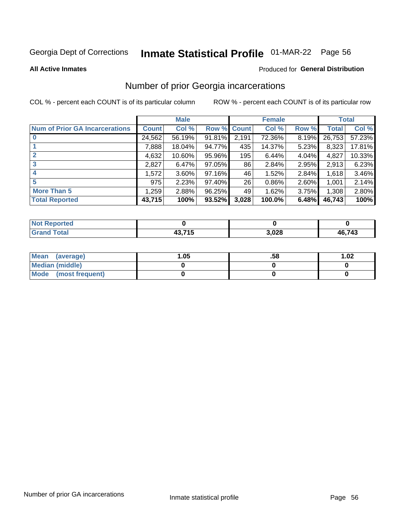# Inmate Statistical Profile 01-MAR-22 Page 56

**All Active Inmates** 

#### **Produced for General Distribution**

### Number of prior Georgia incarcerations

COL % - percent each COUNT is of its particular column

|                                       |              | <b>Male</b> |             |       | <b>Female</b> |       |        | <b>Total</b> |
|---------------------------------------|--------------|-------------|-------------|-------|---------------|-------|--------|--------------|
| <b>Num of Prior GA Incarcerations</b> | <b>Count</b> | Col %       | Row % Count |       | Col %         | Row % | Total  | Col %        |
|                                       | 24,562       | 56.19%      | 91.81%      | 2,191 | 72.36%        | 8.19% | 26,753 | 57.23%       |
|                                       | 7,888        | 18.04%      | 94.77%      | 435   | 14.37%        | 5.23% | 8,323  | 17.81%       |
| $\overline{2}$                        | 4,632        | 10.60%      | 95.96%      | 195   | 6.44%         | 4.04% | 4,827  | 10.33%       |
| 3                                     | 2,827        | 6.47%       | 97.05%      | 86    | 2.84%         | 2.95% | 2,913  | 6.23%        |
| $\boldsymbol{4}$                      | 1,572        | 3.60%       | 97.16%      | 46    | 1.52%         | 2.84% | 1,618  | 3.46%        |
| 5                                     | 975          | 2.23%       | 97.40%      | 26    | 0.86%         | 2.60% | 1,001  | 2.14%        |
| <b>More Than 5</b>                    | 1,259        | 2.88%       | 96.25%      | 49    | 1.62%         | 3.75% | 1,308  | 2.80%        |
| <b>Total Reported</b>                 | 43,715       | 100%        | 93.52%      | 3,028 | 100.0%        | 6.48% | 46,743 | 100%         |

| <b>Not</b><br>Reported        |        |       |        |
|-------------------------------|--------|-------|--------|
| <b>Total</b><br><b>Scranu</b> | 12.71E | 3,028 | 46,743 |

| Mean (average)       | .05 | .58 | 1.02 |
|----------------------|-----|-----|------|
| Median (middle)      |     |     |      |
| Mode (most frequent) |     |     |      |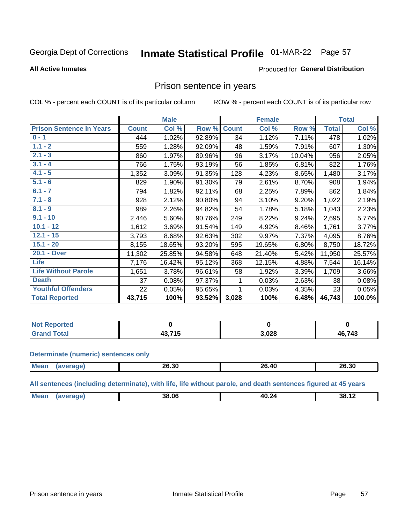## Inmate Statistical Profile 01-MAR-22 Page 57

#### **All Active Inmates**

### Produced for General Distribution

### Prison sentence in years

COL % - percent each COUNT is of its particular column

ROW % - percent each COUNT is of its particular row

|                                 |              | <b>Male</b> |        |              | <b>Female</b> |        |              | <b>Total</b> |
|---------------------------------|--------------|-------------|--------|--------------|---------------|--------|--------------|--------------|
| <b>Prison Sentence In Years</b> | <b>Count</b> | Col %       | Row %  | <b>Count</b> | Col %         | Row %  | <b>Total</b> | Col %        |
| $0 - 1$                         | 444          | 1.02%       | 92.89% | 34           | 1.12%         | 7.11%  | 478          | 1.02%        |
| $1.1 - 2$                       | 559          | 1.28%       | 92.09% | 48           | 1.59%         | 7.91%  | 607          | 1.30%        |
| $2.1 - 3$                       | 860          | 1.97%       | 89.96% | 96           | 3.17%         | 10.04% | 956          | 2.05%        |
| $3.1 - 4$                       | 766          | 1.75%       | 93.19% | 56           | 1.85%         | 6.81%  | 822          | 1.76%        |
| $4.1 - 5$                       | 1,352        | 3.09%       | 91.35% | 128          | 4.23%         | 8.65%  | 1,480        | 3.17%        |
| $5.1 - 6$                       | 829          | 1.90%       | 91.30% | 79           | 2.61%         | 8.70%  | 908          | 1.94%        |
| $6.1 - 7$                       | 794          | 1.82%       | 92.11% | 68           | 2.25%         | 7.89%  | 862          | 1.84%        |
| $7.1 - 8$                       | 928          | 2.12%       | 90.80% | 94           | 3.10%         | 9.20%  | 1,022        | 2.19%        |
| $8.1 - 9$                       | 989          | 2.26%       | 94.82% | 54           | 1.78%         | 5.18%  | 1,043        | 2.23%        |
| $9.1 - 10$                      | 2,446        | 5.60%       | 90.76% | 249          | 8.22%         | 9.24%  | 2,695        | 5.77%        |
| $10.1 - 12$                     | 1,612        | 3.69%       | 91.54% | 149          | 4.92%         | 8.46%  | 1,761        | 3.77%        |
| $12.1 - 15$                     | 3,793        | 8.68%       | 92.63% | 302          | 9.97%         | 7.37%  | 4,095        | 8.76%        |
| $15.1 - 20$                     | 8,155        | 18.65%      | 93.20% | 595          | 19.65%        | 6.80%  | 8,750        | 18.72%       |
| 20.1 - Over                     | 11,302       | 25.85%      | 94.58% | 648          | 21.40%        | 5.42%  | 11,950       | 25.57%       |
| <b>Life</b>                     | 7,176        | 16.42%      | 95.12% | 368          | 12.15%        | 4.88%  | 7,544        | 16.14%       |
| <b>Life Without Parole</b>      | 1,651        | 3.78%       | 96.61% | 58           | 1.92%         | 3.39%  | 1,709        | 3.66%        |
| <b>Death</b>                    | 37           | 0.08%       | 97.37% |              | 0.03%         | 2.63%  | 38           | 0.08%        |
| <b>Youthful Offenders</b>       | 22           | 0.05%       | 95.65% |              | 0.03%         | 4.35%  | 23           | 0.05%        |
| <b>Total Reported</b>           | 43,715       | 100%        | 93.52% | 3,028        | 100%          | 6.48%  | 46,743       | 100.0%       |

| <b>Not Reported</b> |         |       |        |
|---------------------|---------|-------|--------|
| 'otal<br>Crr        | 19 74 E | 3,028 | 46,743 |

#### **Determinate (numeric) sentences only**

| <b>Mean</b> | מה מה<br>20.3U | $\overline{\phantom{a}}$<br>26<br><u>л</u><br>20.TU | 26.30 |
|-------------|----------------|-----------------------------------------------------|-------|
|             |                |                                                     |       |

All sentences (including determinate), with life, life without parole, and death sentences figured at 45 years

| <b>Me</b> | 38.06 | 40<br>77<br>_____ | . .<br>38.<br>.<br>. .<br>$ -$ |
|-----------|-------|-------------------|--------------------------------|
|           |       |                   |                                |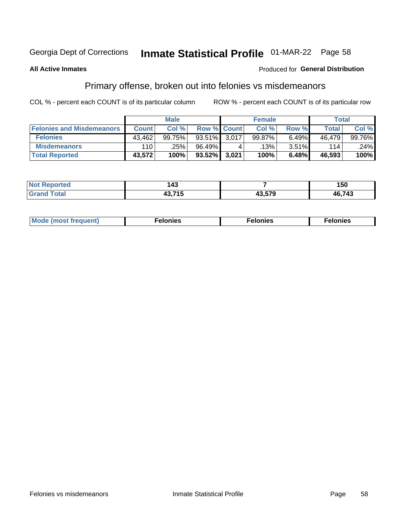## Inmate Statistical Profile 01-MAR-22 Page 58

#### **All Active Inmates**

#### **Produced for General Distribution**

### Primary offense, broken out into felonies vs misdemeanors

COL % - percent each COUNT is of its particular column

|                                  |              | <b>Male</b> |             |       | <b>Female</b> |       | Total  |        |
|----------------------------------|--------------|-------------|-------------|-------|---------------|-------|--------|--------|
| <b>Felonies and Misdemeanors</b> | <b>Count</b> | Col %       | Row % Count |       | Col %         | Row % | Total  | Col%   |
| <b>Felonies</b>                  | 43.462       | 99.75%      | $93.51\%$   | 3,017 | 99.87%        | 6.49% | 46.479 | 99.76% |
| <b>Misdemeanors</b>              | 110          | .25%        | 96.49%      |       | .13%          | 3.51% | 114    | .24%   |
| <b>Total Reported</b>            | 43,572       | 100%        | $93.52\%$   | 3,021 | 100%          | 6.48% | 46,593 | 100%   |

| 'ted<br><b>Not</b><br>eno | - - -<br>−∾ |                               | 50     |
|---------------------------|-------------|-------------------------------|--------|
| <b>Total</b><br>.Grar     | $\cdots -$  | $\lambda$ $\lambda$ $\lambda$ | 46,743 |

| M      | .    | nes | onies |
|--------|------|-----|-------|
| nuenti | ____ | .   | .     |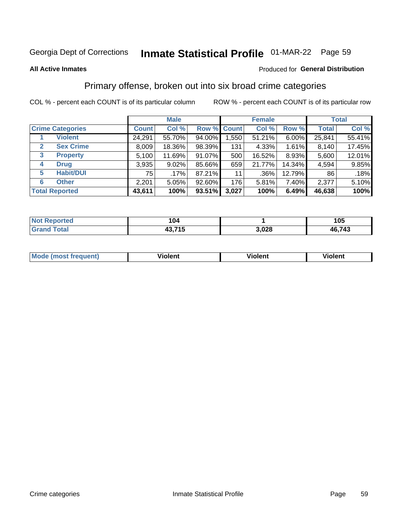## Inmate Statistical Profile 01-MAR-22 Page 59

#### **All Active Inmates**

#### Produced for General Distribution

### Primary offense, broken out into six broad crime categories

COL % - percent each COUNT is of its particular column

|                                 |              | <b>Male</b> |        |             | <b>Female</b> |          |              | <b>Total</b> |  |
|---------------------------------|--------------|-------------|--------|-------------|---------------|----------|--------------|--------------|--|
| <b>Crime Categories</b>         | <b>Count</b> | Col %       |        | Row % Count | Col %         | Row %    | <b>Total</b> | Col %        |  |
| <b>Violent</b>                  | 24,291       | 55.70%      | 94.00% | 1,550       | 51.21%        | $6.00\%$ | 25,841       | 55.41%       |  |
| <b>Sex Crime</b><br>2           | 8,009        | 18.36%      | 98.39% | 131         | 4.33%         | 1.61%    | 8,140        | 17.45%       |  |
| $\mathbf{3}$<br><b>Property</b> | 5,100        | 11.69%      | 91.07% | 500         | 16.52%        | 8.93%    | 5,600        | 12.01%       |  |
| <b>Drug</b><br>4                | 3,935        | 9.02%       | 85.66% | 659         | 21.77%        | 14.34%   | 4,594        | 9.85%        |  |
| <b>Habit/DUI</b><br>5           | 751          | $.17\%$     | 87.21% | 11          | .36%          | 12.79%   | 86           | .18%         |  |
| <b>Other</b><br>6               | 2,201        | 5.05%       | 92.60% | 176         | 5.81%         | 7.40%    | 2,377        | 5.10%        |  |
| <b>Total Reported</b>           | 43,611       | 100%        | 93.51% | 3,027       | 100%          | 6.49%    | 46,638       | 100%         |  |

| <b>Not Reported</b>    | 104            |       | 105    |
|------------------------|----------------|-------|--------|
| <b>Total</b><br>'Grano | 43,715<br>49.7 | 3,028 | 46,743 |

| M | - --<br>1010111 | .<br><b>VIOIGIIL</b> | 1.91311 |
|---|-----------------|----------------------|---------|
|   |                 |                      |         |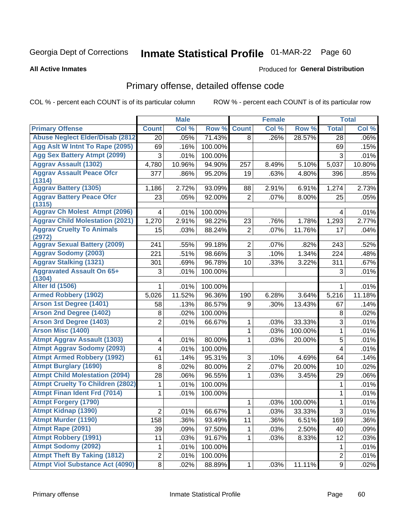# Inmate Statistical Profile 01-MAR-22 Page 60

**All Active Inmates** 

### **Produced for General Distribution**

### Primary offense, detailed offense code

COL % - percent each COUNT is of its particular column

|                                            |                | <b>Male</b> |         |                | <b>Female</b> |         |                  | <b>Total</b> |
|--------------------------------------------|----------------|-------------|---------|----------------|---------------|---------|------------------|--------------|
| <b>Primary Offense</b>                     | <b>Count</b>   | Col %       | Row %   | <b>Count</b>   | Col %         | Row %   | <b>Total</b>     | Col %        |
| <b>Abuse Neglect Elder/Disab (2812)</b>    | 20             | .05%        | 71.43%  | 8              | .26%          | 28.57%  | 28               | .06%         |
| Agg Aslt W Intnt To Rape (2095)            | 69             | .16%        | 100.00% |                |               |         | 69               | .15%         |
| <b>Agg Sex Battery Atmpt (2099)</b>        | 3              | .01%        | 100.00% |                |               |         | 3                | .01%         |
| <b>Aggrav Assault (1302)</b>               | 4,780          | 10.96%      | 94.90%  | 257            | 8.49%         | 5.10%   | 5,037            | 10.80%       |
| <b>Aggrav Assault Peace Ofcr</b>           | 377            | .86%        | 95.20%  | 19             | .63%          | 4.80%   | 396              | .85%         |
| (1314)                                     |                |             |         |                |               |         |                  |              |
| <b>Aggrav Battery (1305)</b>               | 1,186          | 2.72%       | 93.09%  | 88             | 2.91%         | 6.91%   | 1,274            | 2.73%        |
| <b>Aggrav Battery Peace Ofcr</b><br>(1315) | 23             | .05%        | 92.00%  | $\overline{2}$ | .07%          | 8.00%   | 25               | .05%         |
| <b>Aggrav Ch Molest Atmpt (2096)</b>       | $\overline{4}$ | .01%        | 100.00% |                |               |         | 4                | .01%         |
| <b>Aggrav Child Molestation (2021)</b>     | 1,270          | 2.91%       | 98.22%  | 23             | .76%          | 1.78%   | 1,293            | 2.77%        |
| <b>Aggrav Cruelty To Animals</b><br>(2972) | 15             | .03%        | 88.24%  | $\overline{2}$ | .07%          | 11.76%  | 17               | .04%         |
| <b>Aggrav Sexual Battery (2009)</b>        | 241            | .55%        | 99.18%  | $\overline{2}$ | .07%          | .82%    | 243              | .52%         |
| <b>Aggrav Sodomy (2003)</b>                | 221            | .51%        | 98.66%  | $\overline{3}$ | .10%          | 1.34%   | 224              | .48%         |
| <b>Aggrav Stalking (1321)</b>              | 301            | .69%        | 96.78%  | 10             | .33%          | 3.22%   | 311              | .67%         |
| <b>Aggravated Assault On 65+</b><br>(1304) | 3              | .01%        | 100.00% |                |               |         | 3                | .01%         |
| <b>Alter Id (1506)</b>                     | 1              | .01%        | 100.00% |                |               |         | 1                | .01%         |
| <b>Armed Robbery (1902)</b>                | 5,026          | 11.52%      | 96.36%  | 190            | 6.28%         | 3.64%   | 5,216            | 11.18%       |
| Arson 1st Degree (1401)                    | 58             | .13%        | 86.57%  | 9              | .30%          | 13.43%  | 67               | .14%         |
| <b>Arson 2nd Degree (1402)</b>             | 8              | .02%        | 100.00% |                |               |         | 8                | .02%         |
| <b>Arson 3rd Degree (1403)</b>             | $\overline{2}$ | .01%        | 66.67%  | 1              | .03%          | 33.33%  | 3                | .01%         |
| <b>Arson Misc (1400)</b>                   |                |             |         | 1              | .03%          | 100.00% | 1                | .01%         |
| <b>Atmpt Aggrav Assault (1303)</b>         | 4              | .01%        | 80.00%  | 1              | .03%          | 20.00%  | 5                | .01%         |
| <b>Atmpt Aggrav Sodomy (2093)</b>          | 4              | .01%        | 100.00% |                |               |         | 4                | .01%         |
| <b>Atmpt Armed Robbery (1992)</b>          | 61             | .14%        | 95.31%  | 3              | .10%          | 4.69%   | 64               | .14%         |
| <b>Atmpt Burglary (1690)</b>               | $\,8\,$        | .02%        | 80.00%  | $\overline{2}$ | .07%          | 20.00%  | 10               | .02%         |
| <b>Atmpt Child Molestation (2094)</b>      | 28             | .06%        | 96.55%  | 1              | .03%          | 3.45%   | 29               | .06%         |
| <b>Atmpt Cruelty To Children (2802)</b>    | 1              | .01%        | 100.00% |                |               |         | 1                | .01%         |
| <b>Atmpt Finan Ident Frd (7014)</b>        | 1              | .01%        | 100.00% |                |               |         | 1                | .01%         |
| <b>Atmpt Forgery (1790)</b>                |                |             |         | 1              | .03%          | 100.00% | $\mathbf{1}$     | .01%         |
| <b>Atmpt Kidnap (1390)</b>                 | $\overline{2}$ | .01%        | 66.67%  | 1              | .03%          | 33.33%  | $\overline{3}$   | .01%         |
| <b>Atmpt Murder (1190)</b>                 | 158            | .36%        | 93.49%  | 11             | .36%          | 6.51%   | 169              | .36%         |
| Atmpt Rape (2091)                          | 39             | .09%        | 97.50%  | 1              | .03%          | 2.50%   | 40               | .09%         |
| <b>Atmpt Robbery (1991)</b>                | 11             | .03%        | 91.67%  | 1              | .03%          | 8.33%   | 12               | .03%         |
| <b>Atmpt Sodomy (2092)</b>                 | 1              | .01%        | 100.00% |                |               |         | 1                | .01%         |
| <b>Atmpt Theft By Taking (1812)</b>        | $\overline{c}$ | .01%        | 100.00% |                |               |         | $\overline{c}$   | .01%         |
| <b>Atmpt Viol Substance Act (4090)</b>     | 8 <sup>1</sup> | .02%        | 88.89%  | $\mathbf{1}$   | .03%          | 11.11%  | $\boldsymbol{9}$ | .02%         |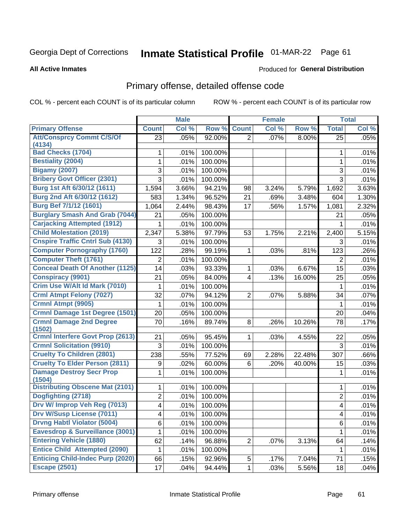# Inmate Statistical Profile 01-MAR-22 Page 61

#### **All Active Inmates**

### **Produced for General Distribution**

### Primary offense, detailed offense code

COL % - percent each COUNT is of its particular column

|                                            |                | <b>Male</b> |            | <b>Female</b>  |       |        |                  | <b>Total</b> |
|--------------------------------------------|----------------|-------------|------------|----------------|-------|--------|------------------|--------------|
| <b>Primary Offense</b>                     | <b>Count</b>   | Col %       | Row %      | <b>Count</b>   | Col % | Row %  | <b>Total</b>     | Col %        |
| <b>Att/Consprcy Commt C/S/Of</b>           | 23             | .05%        | 92.00%     | $\overline{2}$ | .07%  | 8.00%  | $\overline{25}$  | .05%         |
| (4134)                                     |                |             |            |                |       |        |                  |              |
| <b>Bad Checks (1704)</b>                   | 1              | .01%        | 100.00%    |                |       |        | 1                | .01%         |
| <b>Bestiality (2004)</b>                   | 1              | .01%        | 100.00%    |                |       |        | 1                | .01%         |
| <b>Bigamy (2007)</b>                       | 3              | .01%        | 100.00%    |                |       |        | 3                | .01%         |
| <b>Bribery Govt Officer (2301)</b>         | 3              | .01%        | 100.00%    |                |       |        | $\overline{3}$   | .01%         |
| Burg 1st Aft 6/30/12 (1611)                | 1,594          | 3.66%       | 94.21%     | 98             | 3.24% | 5.79%  | 1,692            | 3.63%        |
| Burg 2nd Aft 6/30/12 (1612)                | 583            | 1.34%       | 96.52%     | 21             | .69%  | 3.48%  | 604              | 1.30%        |
| <b>Burg Bef 7/1/12 (1601)</b>              | 1,064          | 2.44%       | 98.43%     | 17             | .56%  | 1.57%  | 1,081            | 2.32%        |
| <b>Burglary Smash And Grab (7044)</b>      | 21             | .05%        | 100.00%    |                |       |        | 21               | .05%         |
| <b>Carjacking Attempted (1912)</b>         | 1              | .01%        | 100.00%    |                |       |        | 1                | .01%         |
| <b>Child Molestation (2019)</b>            | 2,347          | 5.38%       | 97.79%     | 53             | 1.75% | 2.21%  | 2,400            | 5.15%        |
| <b>Cnspire Traffic Cntrl Sub (4130)</b>    | 3              | .01%        | 100.00%    |                |       |        | 3                | .01%         |
| <b>Computer Pornography (1760)</b>         | 122            | .28%        | 99.19%     | 1              | .03%  | .81%   | 123              | .26%         |
| <b>Computer Theft (1761)</b>               | $\overline{2}$ | .01%        | 100.00%    |                |       |        | $\overline{2}$   | .01%         |
| <b>Conceal Death Of Another (1125)</b>     | 14             | .03%        | 93.33%     | 1              | .03%  | 6.67%  | 15               | .03%         |
| <b>Conspiracy (9901)</b>                   | 21             | .05%        | 84.00%     | 4              | .13%  | 16.00% | 25               | .05%         |
| Crim Use W/Alt Id Mark (7010)              | 1              | .01%        | 100.00%    |                |       |        | $\mathbf 1$      | .01%         |
| <b>Crml Atmpt Felony (7027)</b>            | 32             | .07%        | 94.12%     | 2              | .07%  | 5.88%  | 34               | .07%         |
| Crmnl Atmpt (9905)                         | 1              | .01%        | 100.00%    |                |       |        | $\mathbf 1$      | .01%         |
| Crmnl Damage 1st Degree (1501)             | 20             | .05%        | 100.00%    |                |       |        | 20               | .04%         |
| <b>Crmnl Damage 2nd Degree</b><br>(1502)   | 70             | .16%        | 89.74%     | 8              | .26%  | 10.26% | 78               | .17%         |
| <b>Crmnl Interfere Govt Prop (2613)</b>    | 21             | .05%        | 95.45%     | 1              | .03%  | 4.55%  | 22               | .05%         |
| <b>Crmnl Solicitation (9910)</b>           | 3              | .01%        | 100.00%    |                |       |        | $\mathbf{3}$     | .01%         |
| <b>Cruelty To Children (2801)</b>          | 238            | .55%        | 77.52%     | 69             | 2.28% | 22.48% | 307              | .66%         |
| <b>Cruelty To Elder Person (2811)</b>      | 9              | .02%        | 60.00%     | 6              | .20%  | 40.00% | 15               | .03%         |
| <b>Damage Destroy Secr Prop</b><br>(1504)  | 1              | .01%        | 100.00%    |                |       |        | 1                | .01%         |
| <b>Distributing Obscene Mat (2101)</b>     | 1              | .01%        | 100.00%    |                |       |        | 1                | .01%         |
| Dogfighting (2718)                         | $\overline{2}$ | .01%        | 100.00%    |                |       |        | $\boldsymbol{2}$ | .01%         |
| Drv W/ Improp Veh Reg (7013)               | 4              | .01%        | 100.00%    |                |       |        | 4                | .01%         |
| <b>Drv W/Susp License (7011)</b>           | 4              | .01%        | $100.00\%$ |                |       |        | 4                | $.01\%$      |
| <b>Drvng Habtl Violator (5004)</b>         | $\,6$          | .01%        | 100.00%    |                |       |        | $6\phantom{1}$   | .01%         |
| <b>Eavesdrop &amp; Surveillance (3001)</b> | 1              | .01%        | 100.00%    |                |       |        | 1                | .01%         |
| <b>Entering Vehicle (1880)</b>             | 62             | .14%        | 96.88%     | $\overline{2}$ | .07%  | 3.13%  | 64               | .14%         |
| <b>Entice Child Attempted (2090)</b>       | 1              | .01%        | 100.00%    |                |       |        | 1                | .01%         |
| <b>Enticing Child-Indec Purp (2020)</b>    | 66             | .15%        | 92.96%     | 5              | .17%  | 7.04%  | 71               | .15%         |
| <b>Escape (2501)</b>                       | 17             | .04%        | 94.44%     | $\mathbf 1$    | .03%  | 5.56%  | 18               | .04%         |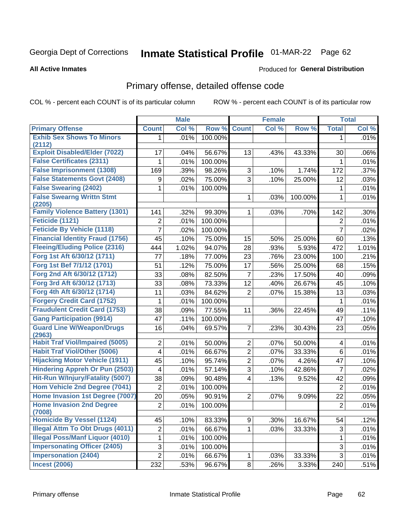# Inmate Statistical Profile 01-MAR-22 Page 62

**All Active Inmates** 

#### **Produced for General Distribution**

## Primary offense, detailed offense code

COL % - percent each COUNT is of its particular column

|                                            |                         | <b>Male</b> |         | <b>Female</b>           |       |                     | <b>Total</b>    |       |
|--------------------------------------------|-------------------------|-------------|---------|-------------------------|-------|---------------------|-----------------|-------|
| <b>Primary Offense</b>                     | <b>Count</b>            | Col %       | Row %   | <b>Count</b>            | Col % | Row %               | <b>Total</b>    | Col % |
| <b>Exhib Sex Shows To Minors</b>           | 1.                      | .01%        | 100.00% |                         |       |                     | 1               | .01%  |
| (2112)                                     |                         |             |         |                         |       |                     |                 |       |
| <b>Exploit Disabled/Elder (7022)</b>       | 17                      | .04%        | 56.67%  | 13                      | .43%  | 43.33%              | 30              | .06%  |
| <b>False Certificates (2311)</b>           | 1                       | .01%        | 100.00% |                         |       |                     | 1               | .01%  |
| <b>False Imprisonment (1308)</b>           | 169                     | .39%        | 98.26%  | 3                       | .10%  | $\overline{1.74\%}$ | 172             | .37%  |
| <b>False Statements Govt (2408)</b>        | 9                       | .02%        | 75.00%  | $\overline{3}$          | .10%  | 25.00%              | 12              | .03%  |
| <b>False Swearing (2402)</b>               | 1                       | .01%        | 100.00% |                         |       |                     | 1               | .01%  |
| <b>False Swearng Writtn Stmt</b><br>(2205) |                         |             |         | 1                       | .03%  | 100.00%             | $\mathbf{1}$    | .01%  |
| <b>Family Violence Battery (1301)</b>      | 141                     | .32%        | 99.30%  | $\mathbf{1}$            | .03%  | .70%                | 142             | .30%  |
| Feticide (1121)                            | 2                       | .01%        | 100.00% |                         |       |                     | $\overline{2}$  | .01%  |
| <b>Feticide By Vehicle (1118)</b>          | 7                       | .02%        | 100.00% |                         |       |                     | $\overline{7}$  | .02%  |
| <b>Financial Identity Fraud (1756)</b>     | 45                      | .10%        | 75.00%  | 15                      | .50%  | 25.00%              | 60              | .13%  |
| <b>Fleeing/Eluding Police (2316)</b>       | 444                     | 1.02%       | 94.07%  | 28                      | .93%  | 5.93%               | 472             | 1.01% |
| Forg 1st Aft 6/30/12 (1711)                | 77                      | .18%        | 77.00%  | 23                      | .76%  | 23.00%              | 100             | .21%  |
| Forg 1st Bef 7/1/12 (1701)                 | 51                      | .12%        | 75.00%  | 17                      | .56%  | 25.00%              | 68              | .15%  |
| Forg 2nd Aft 6/30/12 (1712)                | 33                      | .08%        | 82.50%  | $\overline{7}$          | .23%  | 17.50%              | 40              | .09%  |
| Forg 3rd Aft 6/30/12 (1713)                | 33                      | .08%        | 73.33%  | 12                      | .40%  | 26.67%              | 45              | .10%  |
| Forg 4th Aft 6/30/12 (1714)                | 11                      | .03%        | 84.62%  | $\overline{2}$          | .07%  | 15.38%              | 13              | .03%  |
| <b>Forgery Credit Card (1752)</b>          | 1                       | .01%        | 100.00% |                         |       |                     | 1               | .01%  |
| <b>Fraudulent Credit Card (1753)</b>       | 38                      | .09%        | 77.55%  | 11                      | .36%  | 22.45%              | 49              | .11%  |
| <b>Gang Participation (9914)</b>           | 47                      | .11%        | 100.00% |                         |       |                     | 47              | .10%  |
| <b>Guard Line W/Weapon/Drugs</b><br>(2963) | 16                      | .04%        | 69.57%  | $\overline{7}$          | .23%  | 30.43%              | 23              | .05%  |
| <b>Habit Traf Viol/Impaired (5005)</b>     | $\overline{2}$          | .01%        | 50.00%  | $\overline{2}$          | .07%  | 50.00%              | 4               | .01%  |
| <b>Habit Traf Viol/Other (5006)</b>        | $\overline{\mathbf{4}}$ | .01%        | 66.67%  | $\overline{2}$          | .07%  | 33.33%              | $6\phantom{1}6$ | .01%  |
| <b>Hijacking Motor Vehicle (1911)</b>      | 45                      | .10%        | 95.74%  | $\overline{2}$          | .07%  | 4.26%               | 47              | .10%  |
| <b>Hindering Appreh Or Pun (2503)</b>      | 4                       | .01%        | 57.14%  | 3                       | .10%  | 42.86%              | $\overline{7}$  | .02%  |
| Hit-Run W/Injury/Fatality (5007)           | 38                      | .09%        | 90.48%  | $\overline{\mathbf{4}}$ | .13%  | 9.52%               | 42              | .09%  |
| Hom Vehicle 2nd Degree (7041)              | $\overline{2}$          | .01%        | 100.00% |                         |       |                     | $\overline{2}$  | .01%  |
| Home Invasion 1st Degree (7007)            | 20                      | .05%        | 90.91%  | $\overline{2}$          | .07%  | 9.09%               | 22              | .05%  |
| <b>Home Invasion 2nd Degree</b><br>(7008)  | $\overline{2}$          | .01%        | 100.00% |                         |       |                     | $\overline{2}$  | .01%  |
| <b>Homicide By Vessel (1124)</b>           | 45                      | .10%        | 83.33%  | 9 <sup>1</sup>          | .30%  | 16.67%              | 54              | .12%  |
| <b>Illegal Attm To Obt Drugs (4011)</b>    | $\overline{\mathbf{c}}$ | .01%        | 66.67%  | 1                       | .03%  | 33.33%              | 3               | .01%  |
| <b>Illegal Poss/Manf Liquor (4010)</b>     | 1                       | .01%        | 100.00% |                         |       |                     | 1               | .01%  |
| <b>Impersonating Officer (2405)</b>        | 3                       | .01%        | 100.00% |                         |       |                     | 3               | .01%  |
| <b>Impersonation (2404)</b>                | $\overline{2}$          | .01%        | 66.67%  | $\mathbf{1}$            | .03%  | 33.33%              | 3               | .01%  |
| <b>Incest (2006)</b>                       | 232                     | .53%        | 96.67%  | 8 <sup>1</sup>          | .26%  | 3.33%               | 240             | .51%  |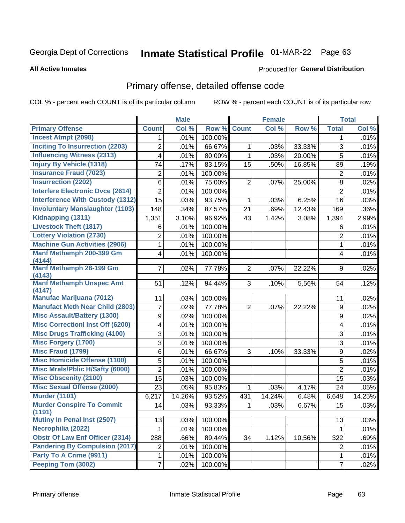# Inmate Statistical Profile 01-MAR-22 Page 63

#### **All Active Inmates**

#### **Produced for General Distribution**

## Primary offense, detailed offense code

COL % - percent each COUNT is of its particular column

|                                         |                | <b>Male</b> |         |                | <b>Female</b> |        |                         | <b>Total</b> |
|-----------------------------------------|----------------|-------------|---------|----------------|---------------|--------|-------------------------|--------------|
| <b>Primary Offense</b>                  | <b>Count</b>   | Col %       | Row %   | <b>Count</b>   | Col %         | Row %  | <b>Total</b>            | Col %        |
| <b>Incest Atmpt (2098)</b>              | 1.             | .01%        | 100.00% |                |               |        | 1                       | .01%         |
| <b>Inciting To Insurrection (2203)</b>  | 2              | .01%        | 66.67%  | 1              | .03%          | 33.33% | 3                       | .01%         |
| <b>Influencing Witness (2313)</b>       | 4              | .01%        | 80.00%  | $\mathbf{1}$   | .03%          | 20.00% | 5                       | .01%         |
| <b>Injury By Vehicle (1318)</b>         | 74             | .17%        | 83.15%  | 15             | .50%          | 16.85% | 89                      | .19%         |
| <b>Insurance Fraud (7023)</b>           | 2              | .01%        | 100.00% |                |               |        | $\overline{2}$          | .01%         |
| <b>Insurrection (2202)</b>              | 6              | .01%        | 75.00%  | $\overline{2}$ | .07%          | 25.00% | 8                       | .02%         |
| <b>Interfere Electronic Dvce (2614)</b> | $\overline{2}$ | .01%        | 100.00% |                |               |        | $\overline{2}$          | .01%         |
| <b>Interference With Custody (1312)</b> | 15             | .03%        | 93.75%  | $\mathbf{1}$   | .03%          | 6.25%  | 16                      | .03%         |
| <b>Involuntary Manslaughter (1103)</b>  | 148            | .34%        | 87.57%  | 21             | .69%          | 12.43% | 169                     | .36%         |
| Kidnapping (1311)                       | 1,351          | 3.10%       | 96.92%  | 43             | 1.42%         | 3.08%  | 1,394                   | 2.99%        |
| <b>Livestock Theft (1817)</b>           | 6              | .01%        | 100.00% |                |               |        | 6                       | .01%         |
| <b>Lottery Violation (2730)</b>         | 2              | .01%        | 100.00% |                |               |        | $\overline{2}$          | .01%         |
| <b>Machine Gun Activities (2906)</b>    | $\mathbf{1}$   | .01%        | 100.00% |                |               |        | $\mathbf{1}$            | .01%         |
| Manf Methamph 200-399 Gm                | 4              | .01%        | 100.00% |                |               |        | $\overline{\mathbf{4}}$ | .01%         |
| (4144)<br>Manf Methamph 28-199 Gm       |                |             |         |                |               |        |                         |              |
| (4143)                                  | $\overline{7}$ | .02%        | 77.78%  | $\overline{2}$ | $.07\%$       | 22.22% | 9                       | .02%         |
| <b>Manf Methamph Unspec Amt</b>         | 51             | .12%        | 94.44%  | 3              | .10%          | 5.56%  | 54                      | .12%         |
| (4147)                                  |                |             |         |                |               |        |                         |              |
| <b>Manufac Marijuana (7012)</b>         | 11             | .03%        | 100.00% |                |               |        | 11                      | .02%         |
| <b>Manufact Meth Near Child (2803)</b>  | 7              | .02%        | 77.78%  | $\overline{2}$ | .07%          | 22.22% | 9                       | .02%         |
| <b>Misc Assault/Battery (1300)</b>      | 9              | .02%        | 100.00% |                |               |        | 9                       | .02%         |
| <b>Misc Correctionl Inst Off (6200)</b> | 4              | .01%        | 100.00% |                |               |        | 4                       | .01%         |
| <b>Misc Drugs Trafficking (4100)</b>    | 3              | .01%        | 100.00% |                |               |        | 3                       | .01%         |
| <b>Misc Forgery (1700)</b>              | 3              | .01%        | 100.00% |                |               |        | 3                       | .01%         |
| <b>Misc Fraud (1799)</b>                | 6              | .01%        | 66.67%  | 3              | .10%          | 33.33% | 9                       | .02%         |
| <b>Misc Homicide Offense (1100)</b>     | 5              | .01%        | 100.00% |                |               |        | 5                       | .01%         |
| <b>Misc Mrals/Pblic H/Safty (6000)</b>  | $\overline{2}$ | .01%        | 100.00% |                |               |        | $\overline{2}$          | .01%         |
| <b>Misc Obscenity (2100)</b>            | 15             | .03%        | 100.00% |                |               |        | 15                      | .03%         |
| <b>Misc Sexual Offense (2000)</b>       | 23             | .05%        | 95.83%  | $\mathbf 1$    | .03%          | 4.17%  | 24                      | .05%         |
| <b>Murder (1101)</b>                    | 6,217          | 14.26%      | 93.52%  | 431            | 14.24%        | 6.48%  | 6,648                   | 14.25%       |
| <b>Murder Conspire To Commit</b>        | 14             | .03%        | 93.33%  | $\mathbf{1}$   | .03%          | 6.67%  | 15                      | .03%         |
| (1191)<br>Mutiny In Penal Inst (2507)   |                |             |         |                |               |        |                         |              |
| Necrophilia (2022)                      | 13             | .03%        | 100.00% |                |               |        | 13                      | .03%         |
| <b>Obstr Of Law Enf Officer (2314)</b>  | 1              | .01%        | 100.00% |                |               |        | 1                       | .01%         |
| <b>Pandering By Compulsion (2017)</b>   | 288            | .66%        | 89.44%  | 34             | 1.12%         | 10.56% | 322                     | .69%         |
| Party To A Crime (9911)                 | $\overline{c}$ | .01%        | 100.00% |                |               |        | $\overline{2}$          | .01%         |
|                                         | 1              | .01%        | 100.00% |                |               |        | $\mathbf{1}$            | .01%         |
| Peeping Tom (3002)                      | $\overline{7}$ | .02%        | 100.00% |                |               |        | $\overline{7}$          | .02%         |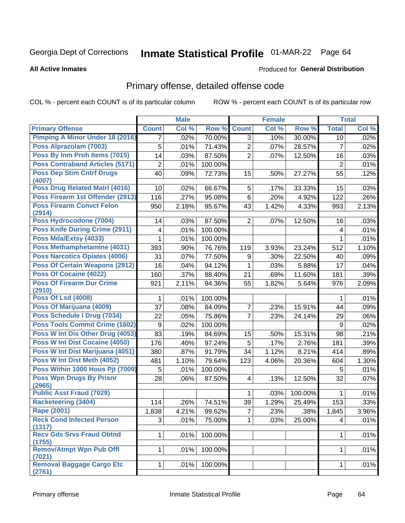# Inmate Statistical Profile 01-MAR-22 Page 64

#### **All Active Inmates**

#### **Produced for General Distribution**

## Primary offense, detailed offense code

COL % - percent each COUNT is of its particular column

|                                            |                | <b>Male</b> |         |                | <b>Female</b> |         |                | <b>Total</b> |
|--------------------------------------------|----------------|-------------|---------|----------------|---------------|---------|----------------|--------------|
| <b>Primary Offense</b>                     | <b>Count</b>   | Col %       | Row %   | <b>Count</b>   | Col %         | Row %   | <b>Total</b>   | Col %        |
| <b>Pimping A Minor Under 18 (2016)</b>     | $\overline{7}$ | .02%        | 70.00%  | $\overline{3}$ | .10%          | 30.00%  | 10             | .02%         |
| Poss Alprazolam (7003)                     | 5              | .01%        | 71.43%  | $\overline{2}$ | .07%          | 28.57%  | $\overline{7}$ | .02%         |
| Poss By Inm Proh Items (7015)              | 14             | .03%        | 87.50%  | $\overline{2}$ | .07%          | 12.50%  | 16             | .03%         |
| <b>Poss Contraband Articles (5171)</b>     | $\overline{2}$ | .01%        | 100.00% |                |               |         | $\overline{2}$ | .01%         |
| <b>Poss Dep Stim Cntrf Drugs</b>           | 40             | .09%        | 72.73%  | 15             | .50%          | 27.27%  | 55             | .12%         |
| (4007)                                     |                |             |         |                |               |         |                |              |
| Poss Drug Related Matrl (4016)             | 10             | .02%        | 66.67%  | 5              | .17%          | 33.33%  | 15             | .03%         |
| Poss Firearm 1st Offender (2913)           | 116            | .27%        | 95.08%  | $6\phantom{a}$ | .20%          | 4.92%   | 122            | .26%         |
| <b>Poss Firearm Convct Felon</b>           | 950            | 2.18%       | 95.67%  | 43             | 1.42%         | 4.33%   | 993            | 2.13%        |
| (2914)<br>Poss Hydrocodone (7004)          | 14             | .03%        | 87.50%  | $\overline{2}$ | .07%          | 12.50%  | 16             | .03%         |
| <b>Poss Knife During Crime (2911)</b>      |                |             | 100.00% |                |               |         |                | .01%         |
| Poss Mda/Extsy (4033)                      | 4              | .01%        |         |                |               |         | 4              |              |
|                                            | 1              | .01%        | 100.00% |                |               |         | 1              | .01%         |
| Poss Methamphetamine (4031)                | 393            | .90%        | 76.76%  | 119            | 3.93%         | 23.24%  | 512            | 1.10%        |
| <b>Poss Narcotics Opiates (4006)</b>       | 31             | .07%        | 77.50%  | 9              | .30%          | 22.50%  | 40             | .09%         |
| <b>Poss Of Certain Weapons (2912)</b>      | 16             | .04%        | 94.12%  | 1              | .03%          | 5.88%   | 17             | .04%         |
| <b>Poss Of Cocaine (4022)</b>              | 160            | .37%        | 88.40%  | 21             | .69%          | 11.60%  | 181            | .39%         |
| <b>Poss Of Firearm Dur Crime</b><br>(2910) | 921            | 2.11%       | 94.36%  | 55             | 1.82%         | 5.64%   | 976            | 2.09%        |
| <b>Poss Of Lsd (4008)</b>                  | 1              | .01%        | 100.00% |                |               |         | 1              | .01%         |
| Poss Of Marijuana (4009)                   | 37             | .08%        | 84.09%  | 7              | .23%          | 15.91%  | 44             | .09%         |
| Poss Schedule I Drug (7034)                | 22             | .05%        | 75.86%  | $\overline{7}$ | .23%          | 24.14%  | 29             | .06%         |
| <b>Poss Tools Commit Crime (1602)</b>      | 9              | .02%        | 100.00% |                |               |         | 9              | .02%         |
| Poss W Int Dis Other Drug (4053)           | 83             | .19%        | 84.69%  | 15             | .50%          | 15.31%  | 98             | .21%         |
| <b>Poss W Int Dist Cocaine (4050)</b>      | 176            | .40%        | 97.24%  | 5              | .17%          | 2.76%   | 181            | .39%         |
| Poss W Int Dist Marijuana (4051)           | 380            | .87%        | 91.79%  | 34             | 1.12%         | 8.21%   | 414            | .89%         |
| Poss W Int Dist Meth (4052)                | 481            | 1.10%       | 79.64%  | 123            | 4.06%         | 20.36%  | 604            | 1.30%        |
| Poss Within 1000 Hous Pjt (7009)           | 5              | .01%        | 100.00% |                |               |         | 5              | .01%         |
| <b>Poss Wpn Drugs By Prisnr</b>            | 28             | .06%        | 87.50%  | $\overline{4}$ | .13%          | 12.50%  | 32             | .07%         |
| (2965)                                     |                |             |         |                |               |         |                |              |
| <b>Public Asst Fraud (7029)</b>            |                |             |         | 1              | .03%          | 100.00% | 1              | .01%         |
| <b>Racketeering (3404)</b>                 | 114            | .26%        | 74.51%  | 39             | 1.29%         | 25.49%  | 153            | .33%         |
| <b>Rape (2001)</b>                         | 1,838          | 4.21%       | 99.62%  | 7              | .23%          | .38%    | 1,845          | 3.96%        |
| <b>Reck Cond Infected Person</b><br>(1317) | 3              | .01%        | 75.00%  | 1              | .03%          | 25.00%  | 4              | .01%         |
| <b>Recv Gds Srvs Fraud Obtnd</b><br>(1755) | $\mathbf{1}$   | .01%        | 100.00% |                |               |         | 1              | .01%         |
| <b>Remov/Atmpt Wpn Pub Offl</b><br>(7021)  | 1              | .01%        | 100.00% |                |               |         | 1              | .01%         |
| <b>Removal Baggage Cargo Etc</b><br>(2761) | 1              | $.01\%$     | 100.00% |                |               |         | 1              | .01%         |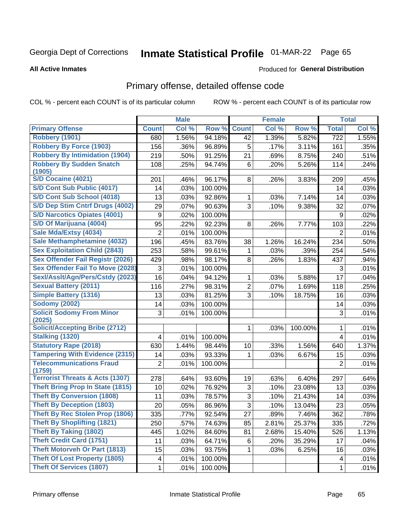# Inmate Statistical Profile 01-MAR-22 Page 65

#### **All Active Inmates**

#### **Produced for General Distribution**

## Primary offense, detailed offense code

COL % - percent each COUNT is of its particular column

|                                                                                                                                                    |                    | <b>Male</b>                  |                                        |                | <b>Female</b> |                 |                    | <b>Total</b>                 |
|----------------------------------------------------------------------------------------------------------------------------------------------------|--------------------|------------------------------|----------------------------------------|----------------|---------------|-----------------|--------------------|------------------------------|
| <b>Primary Offense</b>                                                                                                                             | <b>Count</b>       | Col %                        | Row %                                  | <b>Count</b>   | Col %         | Row %           | <b>Total</b>       | Col %                        |
| <b>Robbery (1901)</b>                                                                                                                              | 680                | 1.56%                        | 94.18%                                 | 42             | 1.39%         | 5.82%           | $\overline{722}$   | 1.55%                        |
| <b>Robbery By Force (1903)</b>                                                                                                                     | 156                | .36%                         | 96.89%                                 | 5              | .17%          | 3.11%           | 161                | .35%                         |
| <b>Robbery By Intimidation (1904)</b>                                                                                                              | 219                | .50%                         | 91.25%                                 | 21             | .69%          | 8.75%           | 240                | .51%                         |
| <b>Robbery By Sudden Snatch</b>                                                                                                                    | 108                | .25%                         | 94.74%                                 | 6              | .20%          | 5.26%           | 114                | .24%                         |
| (1905)                                                                                                                                             |                    |                              |                                        |                |               |                 |                    |                              |
| <b>S/D Cocaine (4021)</b>                                                                                                                          | 201                | .46%                         | 96.17%                                 | 8              | .26%          | 3.83%           | 209                | .45%                         |
| S/D Cont Sub Public (4017)                                                                                                                         | 14                 | .03%                         | 100.00%                                |                |               |                 | 14                 | .03%                         |
| S/D Cont Sub School (4018)                                                                                                                         | 13                 | .03%                         | 92.86%                                 | 1              | .03%          | 7.14%           | 14                 | .03%                         |
| S/D Dep Stim Cntrf Drugs (4002)                                                                                                                    | 29                 | .07%                         | 90.63%                                 | 3              | .10%          | 9.38%           | 32                 | .07%                         |
| <b>S/D Narcotics Opiates (4001)</b>                                                                                                                | 9                  | .02%                         | 100.00%                                |                |               |                 | 9                  | .02%                         |
| S/D Of Marijuana (4004)                                                                                                                            | 95                 | .22%                         | 92.23%                                 | 8              | .26%          | 7.77%           | 103                | .22%                         |
| Sale Mda/Extsy (4034)                                                                                                                              | $\overline{2}$     | .01%                         | 100.00%                                |                |               |                 | $\overline{2}$     | .01%                         |
| Sale Methamphetamine (4032)                                                                                                                        | 196                | .45%                         | 83.76%                                 | 38             | 1.26%         | 16.24%          | 234                | .50%                         |
| <b>Sex Exploitation Child (2843)</b>                                                                                                               | 253                | .58%                         | 99.61%                                 | 1              | .03%          | .39%            | 254                | .54%                         |
| <b>Sex Offender Fail Registr (2026)</b>                                                                                                            | 429                | .98%                         | 98.17%                                 | 8              | .26%          | 1.83%           | 437                | .94%                         |
| <b>Sex Offender Fail To Move (2028)</b>                                                                                                            | 3                  | .01%                         | 100.00%                                |                |               |                 | 3                  | .01%                         |
| Sexl/Asslt/Agn/Pers/Cstdy (2023)                                                                                                                   | 16                 | .04%                         | 94.12%                                 | 1              | .03%          | 5.88%           | 17                 | .04%                         |
| <b>Sexual Battery (2011)</b>                                                                                                                       | 116                | .27%                         | 98.31%                                 | $\overline{2}$ | .07%          | 1.69%           | 118                | .25%                         |
| <b>Simple Battery (1316)</b>                                                                                                                       | 13                 | .03%                         | 81.25%                                 | 3              | .10%          | 18.75%          | 16                 | .03%                         |
| <b>Sodomy (2002)</b>                                                                                                                               | 14                 | .03%                         | 100.00%                                |                |               |                 | 14                 | .03%                         |
| <b>Solicit Sodomy From Minor</b><br>(2025)                                                                                                         | 3                  | .01%                         | 100.00%                                |                |               |                 | 3                  | .01%                         |
| <b>Solicit/Accepting Bribe (2712)</b>                                                                                                              |                    |                              |                                        | 1              | .03%          | 100.00%         | 1                  | .01%                         |
| <b>Stalking (1320)</b>                                                                                                                             | 4                  | .01%                         | 100.00%                                |                |               |                 | $\overline{4}$     | .01%                         |
| <b>Statutory Rape (2018)</b>                                                                                                                       | 630                | 1.44%                        | 98.44%                                 | 10             | .33%          | 1.56%           | 640                | 1.37%                        |
| <b>Tampering With Evidence (2315)</b>                                                                                                              | 14                 | .03%                         | 93.33%                                 | 1              | .03%          | 6.67%           | 15                 | .03%                         |
| <b>Telecommunications Fraud</b><br>(1759)                                                                                                          | $\overline{2}$     | .01%                         | 100.00%                                |                |               |                 | $\overline{2}$     | .01%                         |
| <b>Terrorist Threats &amp; Acts (1307)</b>                                                                                                         | 278                | .64%                         | 93.60%                                 | 19             | .63%          | 6.40%           | 297                | .64%                         |
| <b>Theft Bring Prop In State (1815)</b>                                                                                                            | 10                 | .02%                         | 76.92%                                 | 3              | .10%          | 23.08%          | 13                 | .03%                         |
| <b>Theft By Conversion (1808)</b>                                                                                                                  | 11                 | .03%                         | 78.57%                                 | 3              | .10%          | 21.43%          | 14                 | .03%                         |
| <b>Theft By Deception (1803)</b>                                                                                                                   | 20                 | .05%                         | 86.96%                                 | 3              | .10%          | 13.04%          | 23                 | .05%                         |
| Theft By Rec Stolen Prop (1806)                                                                                                                    | 335                | .77%                         | 92.54%                                 | 27             | .89%          | 7.46%           | 362                | .78%                         |
| <b>Theft By Shoplifting (1821)</b>                                                                                                                 | 250                | .57%                         | 74.63%                                 | 85             | 2.81%         | 25.37%          | 335                | .72%                         |
| <b>Theft By Taking (1802)</b>                                                                                                                      | 445                | 1.02%                        | 84.60%                                 | 81             | 2.68%         | 15.40%          | 526                | 1.13%                        |
|                                                                                                                                                    |                    |                              |                                        |                |               |                 |                    |                              |
|                                                                                                                                                    |                    |                              |                                        |                |               |                 |                    |                              |
|                                                                                                                                                    |                    |                              |                                        |                |               |                 |                    |                              |
|                                                                                                                                                    |                    |                              |                                        |                |               |                 |                    |                              |
| <b>Theft Credit Card (1751)</b><br><b>Theft Motorveh Or Part (1813)</b><br><b>Theft Of Lost Property (1805)</b><br><b>Theft Of Services (1807)</b> | 11<br>15<br>4<br>1 | .03%<br>.03%<br>.01%<br>.01% | 64.71%<br>93.75%<br>100.00%<br>100.00% | 6<br>1         | .20%<br>.03%  | 35.29%<br>6.25% | 17<br>16<br>4<br>1 | .04%<br>.03%<br>.01%<br>.01% |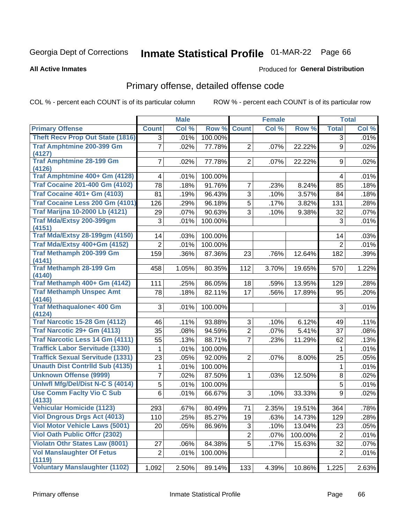# Inmate Statistical Profile 01-MAR-22 Page 66

**All Active Inmates** 

#### **Produced for General Distribution**

## Primary offense, detailed offense code

COL % - percent each COUNT is of its particular column

|                                               |                         | <b>Male</b> |         |                | <b>Female</b> |         |                | <b>Total</b> |
|-----------------------------------------------|-------------------------|-------------|---------|----------------|---------------|---------|----------------|--------------|
| <b>Primary Offense</b>                        | <b>Count</b>            | Col %       | Row %   | <b>Count</b>   | Col %         | Row %   | <b>Total</b>   | Col %        |
| <b>Theft Recv Prop Out State (1816)</b>       | $\overline{3}$          | .01%        | 100.00% |                |               |         | $\overline{3}$ | .01%         |
| Traf Amphtmine 200-399 Gm<br>(4127)           | $\overline{7}$          | .02%        | 77.78%  | $\overline{2}$ | .07%          | 22.22%  | 9              | .02%         |
| <b>Traf Amphtmine 28-199 Gm</b><br>(4126)     | $\overline{7}$          | .02%        | 77.78%  | $\overline{2}$ | .07%          | 22.22%  | 9              | .02%         |
| Traf Amphtmine 400+ Gm (4128)                 | $\overline{\mathbf{4}}$ | .01%        | 100.00% |                |               |         | 4              | .01%         |
| <b>Traf Cocaine 201-400 Gm (4102)</b>         | 78                      | .18%        | 91.76%  | $\overline{7}$ | .23%          | 8.24%   | 85             | .18%         |
| <b>Traf Cocaine 401+ Gm (4103)</b>            | 81                      | .19%        | 96.43%  | 3              | .10%          | 3.57%   | 84             | .18%         |
| Traf Cocaine Less 200 Gm (4101)               | 126                     | .29%        | 96.18%  | 5              | .17%          | 3.82%   | 131            | .28%         |
| <b>Traf Marijna 10-2000 Lb (4121)</b>         | 29                      | .07%        | 90.63%  | 3              | .10%          | 9.38%   | 32             | .07%         |
| Traf Mda/Extsy 200-399gm<br>(4151)            | 3                       | .01%        | 100.00% |                |               |         | 3              | .01%         |
| <b>Traf Mda/Extsy 28-199gm (4150)</b>         | 14                      | .03%        | 100.00% |                |               |         | 14             | .03%         |
| Traf Mda/Extsy 400+Gm (4152)                  | $\overline{2}$          | .01%        | 100.00% |                |               |         | $\overline{2}$ | .01%         |
| Traf Methamph 200-399 Gm                      | 159                     | .36%        | 87.36%  | 23             | .76%          | 12.64%  | 182            | .39%         |
| (4141)                                        |                         |             |         |                |               |         |                |              |
| <b>Traf Methamph 28-199 Gm</b><br>(4140)      | 458                     | 1.05%       | 80.35%  | 112            | 3.70%         | 19.65%  | 570            | 1.22%        |
| Traf Methamph 400+ Gm (4142)                  | 111                     | .25%        | 86.05%  | 18             | .59%          | 13.95%  | 129            | .28%         |
| <b>Traf Methamph Unspec Amt</b>               | 78                      | .18%        | 82.11%  | 17             | .56%          | 17.89%  | 95             | .20%         |
| (4146)<br><b>Traf Methaqualone&lt; 400 Gm</b> | 3                       | .01%        | 100.00% |                |               |         | 3              | .01%         |
| (4124)                                        |                         |             |         |                |               |         |                |              |
| <b>Traf Narcotic 15-28 Gm (4112)</b>          | 46                      | .11%        | 93.88%  | 3              | .10%          | 6.12%   | 49             | .11%         |
| Traf Narcotic 29+ Gm (4113)                   | 35                      | .08%        | 94.59%  | $\overline{2}$ | .07%          | 5.41%   | 37             | .08%         |
| Traf Narcotic Less 14 Gm (4111)               | 55                      | .13%        | 88.71%  | $\overline{7}$ | .23%          | 11.29%  | 62             | .13%         |
| <b>Traffick Labor Servitude (1330)</b>        | 1                       | .01%        | 100.00% |                |               |         | $\mathbf 1$    | .01%         |
| <b>Traffick Sexual Servitude (1331)</b>       | 23                      | .05%        | 92.00%  | $\overline{2}$ | .07%          | 8.00%   | 25             | .05%         |
| <b>Unauth Dist Contrild Sub (4135)</b>        | 1                       | .01%        | 100.00% |                |               |         | $\mathbf 1$    | .01%         |
| <b>Unknown Offense (9999)</b>                 | $\overline{7}$          | .02%        | 87.50%  | 1              | .03%          | 12.50%  | 8              | .02%         |
| Uniwfl Mfg/Del/Dist N-C S (4014)              | $\overline{5}$          | .01%        | 100.00% |                |               |         | 5              | .01%         |
| <b>Use Comm Facity Vio C Sub</b><br>(4133)    | 6                       | .01%        | 66.67%  | 3              | .10%          | 33.33%  | 9              | .02%         |
| <b>Vehicular Homicide (1123)</b>              | 293                     | .67%        | 80.49%  | 71             | 2.35%         | 19.51%  | 364            | .78%         |
| <b>Viol Dngrous Drgs Act (4013)</b>           | 110                     | .25%        | 85.27%  | 19             | .63%          | 14.73%  | 129            | .28%         |
| <b>Viol Motor Vehicle Laws (5001)</b>         | 20                      | .05%        | 86.96%  | 3              | .10%          | 13.04%  | 23             | .05%         |
| <b>Viol Oath Public Offcr (2302)</b>          |                         |             |         | $\overline{2}$ | .07%          | 100.00% | $\overline{2}$ | .01%         |
| <b>Violatn Othr States Law (8001)</b>         | 27                      | .06%        | 84.38%  | 5              | .17%          | 15.63%  | 32             | .07%         |
| <b>Vol Manslaughter Of Fetus</b><br>(1119)    | $\overline{c}$          | .01%        | 100.00% |                |               |         | $\overline{2}$ | .01%         |
| <b>Voluntary Manslaughter (1102)</b>          | 1,092                   | 2.50%       | 89.14%  | 133            | 4.39%         | 10.86%  | 1,225          | 2.63%        |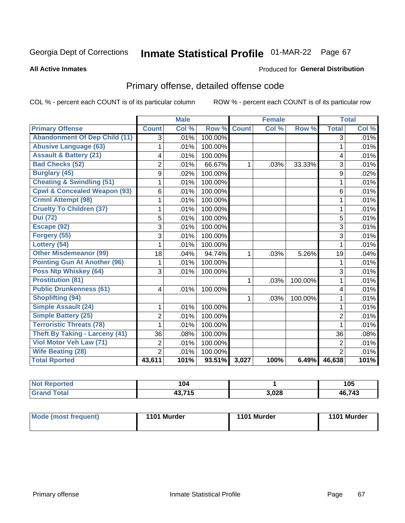# Inmate Statistical Profile 01-MAR-22 Page 67

**All Active Inmates** 

#### **Produced for General Distribution**

## Primary offense, detailed offense code

COL % - percent each COUNT is of its particular column

|                                         |                | <b>Male</b> |         |              | <b>Female</b> |         |                | <b>Total</b> |
|-----------------------------------------|----------------|-------------|---------|--------------|---------------|---------|----------------|--------------|
| <b>Primary Offense</b>                  | <b>Count</b>   | Col %       | Row %   | <b>Count</b> | Col %         | Row %   | <b>Total</b>   | Col %        |
| <b>Abandonment Of Dep Child (11)</b>    | $\overline{3}$ | .01%        | 100.00% |              |               |         | $\overline{3}$ | .01%         |
| <b>Abusive Language (63)</b>            | 1              | .01%        | 100.00% |              |               |         | 1              | .01%         |
| <b>Assault &amp; Battery (21)</b>       | 4              | .01%        | 100.00% |              |               |         | 4              | .01%         |
| <b>Bad Checks (52)</b>                  | $\overline{2}$ | .01%        | 66.67%  | 1            | .03%          | 33.33%  | 3              | .01%         |
| <b>Burglary (45)</b>                    | 9              | .02%        | 100.00% |              |               |         | 9              | .02%         |
| <b>Cheating &amp; Swindling (51)</b>    |                | .01%        | 100.00% |              |               |         | 1              | .01%         |
| <b>Cpwl &amp; Concealed Weapon (93)</b> | 6              | .01%        | 100.00% |              |               |         | 6              | .01%         |
| <b>Crmnl Attempt (98)</b>               | 1              | .01%        | 100.00% |              |               |         | 1              | .01%         |
| <b>Cruelty To Children (37)</b>         | 1              | .01%        | 100.00% |              |               |         | 1              | .01%         |
| <b>Dui</b> (72)                         | 5              | .01%        | 100.00% |              |               |         | 5              | .01%         |
| Escape (92)                             | 3              | .01%        | 100.00% |              |               |         | 3              | .01%         |
| Forgery (55)                            | 3              | .01%        | 100.00% |              |               |         | 3              | .01%         |
| Lottery (54)                            | 1              | .01%        | 100.00% |              |               |         | $\mathbf{1}$   | .01%         |
| <b>Other Misdemeanor (99)</b>           | 18             | .04%        | 94.74%  | 1            | .03%          | 5.26%   | 19             | .04%         |
| <b>Pointing Gun At Another (96)</b>     | 1              | .01%        | 100.00% |              |               |         | 1              | .01%         |
| <b>Poss Ntp Whiskey (64)</b>            | 3              | .01%        | 100.00% |              |               |         | 3              | .01%         |
| <b>Prostitution (81)</b>                |                |             |         | 1            | .03%          | 100.00% | 1              | .01%         |
| <b>Public Drunkenness (61)</b>          | $\overline{4}$ | .01%        | 100.00% |              |               |         | 4              | .01%         |
| <b>Shoplifting (94)</b>                 |                |             |         | 1            | .03%          | 100.00% | 1              | .01%         |
| <b>Simple Assault (24)</b>              | 1              | .01%        | 100.00% |              |               |         | 1              | .01%         |
| <b>Simple Battery (25)</b>              | $\overline{2}$ | .01%        | 100.00% |              |               |         | $\overline{2}$ | .01%         |
| <b>Terroristic Threats (78)</b>         | 1              | .01%        | 100.00% |              |               |         | 1              | .01%         |
| <b>Theft By Taking - Larceny (41)</b>   | 36             | .08%        | 100.00% |              |               |         | 36             | .08%         |
| Viol Motor Veh Law (71)                 | $\overline{2}$ | .01%        | 100.00% |              |               |         | $\overline{2}$ | .01%         |
| <b>Wife Beating (28)</b>                | $\overline{2}$ | .01%        | 100.00% |              |               |         | $\overline{2}$ | .01%         |
| <b>Total Rported</b>                    | 43,611         | 101%        | 93.51%  | 3,027        | 100%          | 6.49%   | 46,638         | 101%         |

| 'N<br>prted<br>. | 104   |       | 105        |
|------------------|-------|-------|------------|
| $-1$             | 0.74E | 3,028 | ,743<br>46 |

| Mode (most frequent)<br>1101 Murder |  | 1101 Murder | 1101 Murder |
|-------------------------------------|--|-------------|-------------|
|                                     |  |             |             |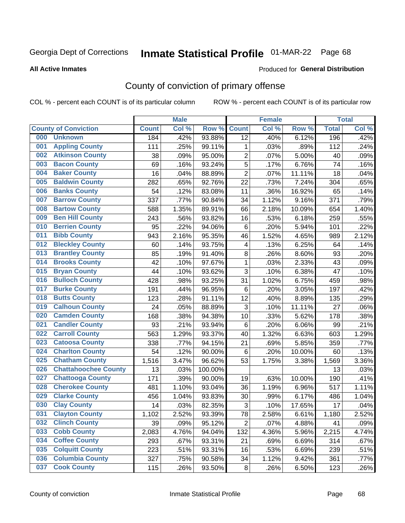# Inmate Statistical Profile 01-MAR-22 Page 68

**Produced for General Distribution** 

#### **All Active Inmates**

## County of conviction of primary offense

COL % - percent each COUNT is of its particular column

|     |                             |              | <b>Male</b> |         |                           | <b>Female</b> |        |              | <b>Total</b> |
|-----|-----------------------------|--------------|-------------|---------|---------------------------|---------------|--------|--------------|--------------|
|     | <b>County of Conviction</b> | <b>Count</b> | Col %       | Row %   | <b>Count</b>              | Col %         | Row %  | <b>Total</b> | Col %        |
| 000 | <b>Unknown</b>              | 184          | .42%        | 93.88%  | $\overline{12}$           | .40%          | 6.12%  | 196          | .42%         |
| 001 | <b>Appling County</b>       | 111          | .25%        | 99.11%  | 1                         | .03%          | .89%   | 112          | .24%         |
| 002 | <b>Atkinson County</b>      | 38           | .09%        | 95.00%  | $\overline{2}$            | .07%          | 5.00%  | 40           | .09%         |
| 003 | <b>Bacon County</b>         | 69           | .16%        | 93.24%  | 5                         | .17%          | 6.76%  | 74           | .16%         |
| 004 | <b>Baker County</b>         | 16           | .04%        | 88.89%  | $\overline{2}$            | .07%          | 11.11% | 18           | .04%         |
| 005 | <b>Baldwin County</b>       | 282          | .65%        | 92.76%  | 22                        | .73%          | 7.24%  | 304          | .65%         |
| 006 | <b>Banks County</b>         | 54           | .12%        | 83.08%  | 11                        | .36%          | 16.92% | 65           | .14%         |
| 007 | <b>Barrow County</b>        | 337          | .77%        | 90.84%  | 34                        | 1.12%         | 9.16%  | 371          | .79%         |
| 008 | <b>Bartow County</b>        | 588          | 1.35%       | 89.91%  | 66                        | 2.18%         | 10.09% | 654          | 1.40%        |
| 009 | <b>Ben Hill County</b>      | 243          | .56%        | 93.82%  | 16                        | .53%          | 6.18%  | 259          | .55%         |
| 010 | <b>Berrien County</b>       | 95           | .22%        | 94.06%  | 6                         | .20%          | 5.94%  | 101          | .22%         |
| 011 | <b>Bibb County</b>          | 943          | 2.16%       | 95.35%  | 46                        | 1.52%         | 4.65%  | 989          | 2.12%        |
| 012 | <b>Bleckley County</b>      | 60           | .14%        | 93.75%  | 4                         | .13%          | 6.25%  | 64           | .14%         |
| 013 | <b>Brantley County</b>      | 85           | .19%        | 91.40%  | 8                         | .26%          | 8.60%  | 93           | .20%         |
| 014 | <b>Brooks County</b>        | 42           | .10%        | 97.67%  | $\mathbf{1}$              | .03%          | 2.33%  | 43           | .09%         |
| 015 | <b>Bryan County</b>         | 44           | .10%        | 93.62%  | 3                         | .10%          | 6.38%  | 47           | .10%         |
| 016 | <b>Bulloch County</b>       | 428          | .98%        | 93.25%  | 31                        | 1.02%         | 6.75%  | 459          | .98%         |
| 017 | <b>Burke County</b>         | 191          | .44%        | 96.95%  | 6                         | .20%          | 3.05%  | 197          | .42%         |
| 018 | <b>Butts County</b>         | 123          | .28%        | 91.11%  | 12                        | .40%          | 8.89%  | 135          | .29%         |
| 019 | <b>Calhoun County</b>       | 24           | .05%        | 88.89%  | $\ensuremath{\mathsf{3}}$ | .10%          | 11.11% | 27           | .06%         |
| 020 | <b>Camden County</b>        | 168          | .38%        | 94.38%  | 10                        | .33%          | 5.62%  | 178          | .38%         |
| 021 | <b>Candler County</b>       | 93           | .21%        | 93.94%  | 6                         | .20%          | 6.06%  | 99           | .21%         |
| 022 | <b>Carroll County</b>       | 563          | 1.29%       | 93.37%  | 40                        | 1.32%         | 6.63%  | 603          | 1.29%        |
| 023 | <b>Catoosa County</b>       | 338          | .77%        | 94.15%  | 21                        | .69%          | 5.85%  | 359          | .77%         |
| 024 | <b>Charlton County</b>      | 54           | .12%        | 90.00%  | 6                         | .20%          | 10.00% | 60           | .13%         |
| 025 | <b>Chatham County</b>       | 1,516        | 3.47%       | 96.62%  | 53                        | 1.75%         | 3.38%  | 1,569        | 3.36%        |
| 026 | <b>Chattahoochee County</b> | 13           | .03%        | 100.00% |                           |               |        | 13           | .03%         |
| 027 | <b>Chattooga County</b>     | 171          | .39%        | 90.00%  | 19                        | .63%          | 10.00% | 190          | .41%         |
| 028 | <b>Cherokee County</b>      | 481          | 1.10%       | 93.04%  | 36                        | 1.19%         | 6.96%  | 517          | 1.11%        |
| 029 | <b>Clarke County</b>        | 456          | 1.04%       | 93.83%  | 30                        | .99%          | 6.17%  | 486          | 1.04%        |
| 030 | <b>Clay County</b>          | 14           | .03%        | 82.35%  | 3                         | .10%          | 17.65% | 17           | .04%         |
| 031 | <b>Clayton County</b>       | 1,102        | 2.52%       | 93.39%  | 78                        | 2.58%         | 6.61%  | 1,180        | 2.52%        |
| 032 | <b>Clinch County</b>        | 39           | .09%        | 95.12%  | $\overline{2}$            | .07%          | 4.88%  | 41           | .09%         |
| 033 | <b>Cobb County</b>          | 2,083        | 4.76%       | 94.04%  | 132                       | 4.36%         | 5.96%  | 2,215        | 4.74%        |
| 034 | <b>Coffee County</b>        | 293          | .67%        | 93.31%  | 21                        | .69%          | 6.69%  | 314          | .67%         |
| 035 | <b>Colquitt County</b>      | 223          | .51%        | 93.31%  | 16                        | .53%          | 6.69%  | 239          | .51%         |
| 036 | <b>Columbia County</b>      | 327          | .75%        | 90.58%  | 34                        | 1.12%         | 9.42%  | 361          | .77%         |
| 037 | <b>Cook County</b>          | 115          | .26%        | 93.50%  | 8                         | .26%          | 6.50%  | 123          | .26%         |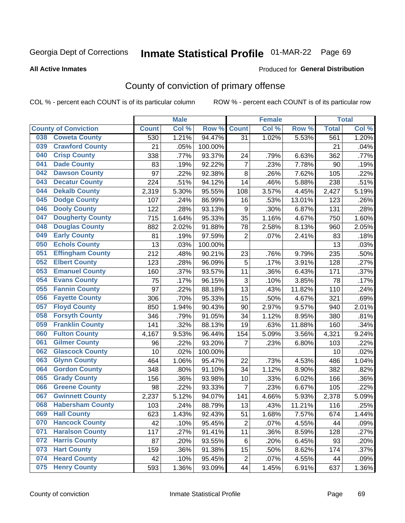## Inmate Statistical Profile 01-MAR-22 Page 69

**Produced for General Distribution** 

#### **All Active Inmates**

## County of conviction of primary offense

COL % - percent each COUNT is of its particular column

|                             |                         |              | <b>Male</b> |         |                | <b>Female</b> |        |              | <b>Total</b> |
|-----------------------------|-------------------------|--------------|-------------|---------|----------------|---------------|--------|--------------|--------------|
| <b>County of Conviction</b> |                         | <b>Count</b> | Col %       | Row %   | <b>Count</b>   | Col %         | Row %  | <b>Total</b> | Col %        |
| 038                         | <b>Coweta County</b>    | 530          | 1.21%       | 94.47%  | 31             | 1.02%         | 5.53%  | 561          | 1.20%        |
| 039                         | <b>Crawford County</b>  | 21           | .05%        | 100.00% |                |               |        | 21           | .04%         |
| 040                         | <b>Crisp County</b>     | 338          | .77%        | 93.37%  | 24             | .79%          | 6.63%  | 362          | .77%         |
| 041                         | <b>Dade County</b>      | 83           | .19%        | 92.22%  | $\overline{7}$ | .23%          | 7.78%  | 90           | .19%         |
| 042                         | <b>Dawson County</b>    | 97           | .22%        | 92.38%  | 8              | .26%          | 7.62%  | 105          | .22%         |
| 043                         | <b>Decatur County</b>   | 224          | .51%        | 94.12%  | 14             | .46%          | 5.88%  | 238          | .51%         |
| 044                         | <b>Dekalb County</b>    | 2,319        | 5.30%       | 95.55%  | 108            | 3.57%         | 4.45%  | 2,427        | 5.19%        |
| 045                         | <b>Dodge County</b>     | 107          | .24%        | 86.99%  | 16             | .53%          | 13.01% | 123          | .26%         |
| 046                         | <b>Dooly County</b>     | 122          | .28%        | 93.13%  | 9              | .30%          | 6.87%  | 131          | .28%         |
| 047                         | <b>Dougherty County</b> | 715          | 1.64%       | 95.33%  | 35             | 1.16%         | 4.67%  | 750          | 1.60%        |
| 048                         | <b>Douglas County</b>   | 882          | 2.02%       | 91.88%  | 78             | 2.58%         | 8.13%  | 960          | 2.05%        |
| 049                         | <b>Early County</b>     | 81           | .19%        | 97.59%  | $\overline{2}$ | .07%          | 2.41%  | 83           | .18%         |
| 050                         | <b>Echols County</b>    | 13           | .03%        | 100.00% |                |               |        | 13           | .03%         |
| 051                         | <b>Effingham County</b> | 212          | .48%        | 90.21%  | 23             | .76%          | 9.79%  | 235          | .50%         |
| 052                         | <b>Elbert County</b>    | 123          | .28%        | 96.09%  | 5              | .17%          | 3.91%  | 128          | .27%         |
| 053                         | <b>Emanuel County</b>   | 160          | .37%        | 93.57%  | 11             | .36%          | 6.43%  | 171          | .37%         |
| 054                         | <b>Evans County</b>     | 75           | .17%        | 96.15%  | $\mathfrak{S}$ | .10%          | 3.85%  | 78           | .17%         |
| 055                         | <b>Fannin County</b>    | 97           | .22%        | 88.18%  | 13             | .43%          | 11.82% | 110          | .24%         |
| 056                         | <b>Fayette County</b>   | 306          | .70%        | 95.33%  | 15             | .50%          | 4.67%  | 321          | .69%         |
| 057                         | <b>Floyd County</b>     | 850          | 1.94%       | 90.43%  | 90             | 2.97%         | 9.57%  | 940          | 2.01%        |
| 058                         | <b>Forsyth County</b>   | 346          | .79%        | 91.05%  | 34             | 1.12%         | 8.95%  | 380          | .81%         |
| 059                         | <b>Franklin County</b>  | 141          | .32%        | 88.13%  | 19             | .63%          | 11.88% | 160          | .34%         |
| 060                         | <b>Fulton County</b>    | 4,167        | 9.53%       | 96.44%  | 154            | 5.09%         | 3.56%  | 4,321        | 9.24%        |
| 061                         | <b>Gilmer County</b>    | 96           | .22%        | 93.20%  | $\overline{7}$ | .23%          | 6.80%  | 103          | .22%         |
| 062                         | <b>Glascock County</b>  | 10           | .02%        | 100.00% |                |               |        | 10           | .02%         |
| 063                         | <b>Glynn County</b>     | 464          | 1.06%       | 95.47%  | 22             | .73%          | 4.53%  | 486          | 1.04%        |
| 064                         | <b>Gordon County</b>    | 348          | .80%        | 91.10%  | 34             | 1.12%         | 8.90%  | 382          | .82%         |
| 065                         | <b>Grady County</b>     | 156          | .36%        | 93.98%  | 10             | .33%          | 6.02%  | 166          | .36%         |
| 066                         | <b>Greene County</b>    | 98           | .22%        | 93.33%  | $\overline{7}$ | .23%          | 6.67%  | 105          | .22%         |
| 067                         | <b>Gwinnett County</b>  | 2,237        | 5.12%       | 94.07%  | 141            | 4.66%         | 5.93%  | 2,378        | 5.09%        |
| 068                         | <b>Habersham County</b> | 103          | .24%        | 88.79%  | 13             | .43%          | 11.21% | 116          | .25%         |
| 069                         | <b>Hall County</b>      | 623          | 1.43%       | 92.43%  | 51             | 1.68%         | 7.57%  | 674          | 1.44%        |
| 070                         | <b>Hancock County</b>   | 42           | .10%        | 95.45%  | $\overline{2}$ | .07%          | 4.55%  | 44           | .09%         |
| 071                         | <b>Haralson County</b>  | 117          | .27%        | 91.41%  | 11             | .36%          | 8.59%  | 128          | .27%         |
| 072                         | <b>Harris County</b>    | 87           | .20%        | 93.55%  | 6              | .20%          | 6.45%  | 93           | .20%         |
| 073                         | <b>Hart County</b>      | 159          | .36%        | 91.38%  | 15             | .50%          | 8.62%  | 174          | .37%         |
| 074                         | <b>Heard County</b>     | 42           | .10%        | 95.45%  | $\overline{2}$ | .07%          | 4.55%  | 44           | .09%         |
| 075                         | <b>Henry County</b>     | 593          | 1.36%       | 93.09%  | 44             | 1.45%         | 6.91%  | 637          | 1.36%        |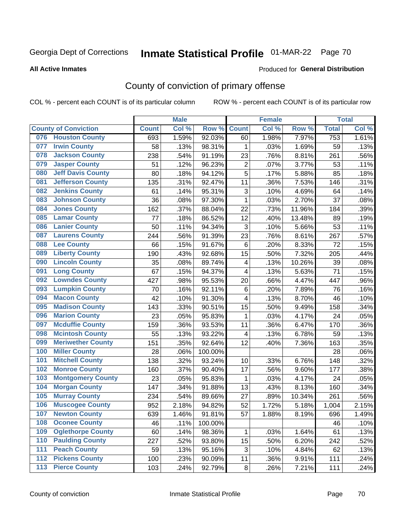# Inmate Statistical Profile 01-MAR-22 Page 70

#### **All Active Inmates**

#### **Produced for General Distribution**

## County of conviction of primary offense

COL % - percent each COUNT is of its particular column

|                                 |              | <b>Male</b> |         |                         | <b>Female</b> |        |                  | <b>Total</b> |
|---------------------------------|--------------|-------------|---------|-------------------------|---------------|--------|------------------|--------------|
| <b>County of Conviction</b>     | <b>Count</b> | Col %       | Row %   | <b>Count</b>            | Col %         | Row %  | <b>Total</b>     | Col %        |
| <b>Houston County</b><br>076    | 693          | 1.59%       | 92.03%  | 60                      | 1.98%         | 7.97%  | $\overline{753}$ | 1.61%        |
| <b>Irwin County</b><br>077      | 58           | .13%        | 98.31%  | 1                       | .03%          | 1.69%  | 59               | .13%         |
| <b>Jackson County</b><br>078    | 238          | .54%        | 91.19%  | 23                      | .76%          | 8.81%  | 261              | .56%         |
| <b>Jasper County</b><br>079     | 51           | .12%        | 96.23%  | $\overline{2}$          | .07%          | 3.77%  | 53               | .11%         |
| <b>Jeff Davis County</b><br>080 | 80           | .18%        | 94.12%  | $\overline{5}$          | .17%          | 5.88%  | 85               | .18%         |
| 081<br><b>Jefferson County</b>  | 135          | .31%        | 92.47%  | 11                      | .36%          | 7.53%  | 146              | .31%         |
| <b>Jenkins County</b><br>082    | 61           | .14%        | 95.31%  | 3                       | .10%          | 4.69%  | 64               | .14%         |
| <b>Johnson County</b><br>083    | 36           | .08%        | 97.30%  | 1                       | .03%          | 2.70%  | 37               | .08%         |
| <b>Jones County</b><br>084      | 162          | .37%        | 88.04%  | 22                      | .73%          | 11.96% | 184              | .39%         |
| <b>Lamar County</b><br>085      | 77           | .18%        | 86.52%  | 12                      | .40%          | 13.48% | 89               | .19%         |
| <b>Lanier County</b><br>086     | 50           | .11%        | 94.34%  | 3                       | .10%          | 5.66%  | 53               | .11%         |
| <b>Laurens County</b><br>087    | 244          | .56%        | 91.39%  | 23                      | .76%          | 8.61%  | 267              | .57%         |
| <b>Lee County</b><br>088        | 66           | .15%        | 91.67%  | 6                       | .20%          | 8.33%  | 72               | .15%         |
| <b>Liberty County</b><br>089    | 190          | .43%        | 92.68%  | 15                      | .50%          | 7.32%  | 205              | .44%         |
| <b>Lincoln County</b><br>090    | 35           | .08%        | 89.74%  | $\overline{\mathbf{4}}$ | .13%          | 10.26% | 39               | .08%         |
| <b>Long County</b><br>091       | 67           | .15%        | 94.37%  | 4                       | .13%          | 5.63%  | 71               | .15%         |
| <b>Lowndes County</b><br>092    | 427          | .98%        | 95.53%  | 20                      | .66%          | 4.47%  | 447              | .96%         |
| <b>Lumpkin County</b><br>093    | 70           | .16%        | 92.11%  | 6                       | .20%          | 7.89%  | 76               | .16%         |
| <b>Macon County</b><br>094      | 42           | .10%        | 91.30%  | 4                       | .13%          | 8.70%  | 46               | .10%         |
| <b>Madison County</b><br>095    | 143          | .33%        | 90.51%  | 15                      | .50%          | 9.49%  | 158              | .34%         |
| <b>Marion County</b><br>096     | 23           | .05%        | 95.83%  | 1                       | .03%          | 4.17%  | 24               | .05%         |
| <b>Mcduffie County</b><br>097   | 159          | .36%        | 93.53%  | 11                      | .36%          | 6.47%  | 170              | .36%         |
| <b>Mcintosh County</b><br>098   | 55           | .13%        | 93.22%  | 4                       | .13%          | 6.78%  | 59               | .13%         |
| <b>Meriwether County</b><br>099 | 151          | .35%        | 92.64%  | 12                      | .40%          | 7.36%  | 163              | .35%         |
| <b>Miller County</b><br>100     | 28           | .06%        | 100.00% |                         |               |        | 28               | .06%         |
| <b>Mitchell County</b><br>101   | 138          | .32%        | 93.24%  | 10                      | .33%          | 6.76%  | 148              | .32%         |
| <b>Monroe County</b><br>102     | 160          | .37%        | 90.40%  | 17                      | .56%          | 9.60%  | 177              | .38%         |
| <b>Montgomery County</b><br>103 | 23           | .05%        | 95.83%  | 1                       | .03%          | 4.17%  | 24               | .05%         |
| <b>Morgan County</b><br>104     | 147          | .34%        | 91.88%  | 13                      | .43%          | 8.13%  | 160              | .34%         |
| <b>Murray County</b><br>105     | 234          | .54%        | 89.66%  | 27                      | .89%          | 10.34% | 261              | .56%         |
| <b>Muscogee County</b><br>106   | 952          | 2.18%       | 94.82%  | 52                      | 1.72%         | 5.18%  | 1,004            | 2.15%        |
| 107<br><b>Newton County</b>     | 639          | 1.46%       | 91.81%  | 57                      | 1.88%         | 8.19%  | 696              | 1.49%        |
| <b>Oconee County</b><br>108     | 46           | .11%        | 100.00% |                         |               |        | 46               | .10%         |
| 109<br><b>Oglethorpe County</b> | 60           | .14%        | 98.36%  | 1                       | .03%          | 1.64%  | 61               | .13%         |
| <b>Paulding County</b><br>110   | 227          | .52%        | 93.80%  | 15                      | .50%          | 6.20%  | 242              | .52%         |
| <b>Peach County</b><br>111      | 59           | .13%        | 95.16%  | 3                       | .10%          | 4.84%  | 62               | .13%         |
| <b>Pickens County</b><br>112    | 100          | .23%        | 90.09%  | 11                      | .36%          | 9.91%  | 111              | .24%         |
| <b>Pierce County</b><br>113     | 103          | .24%        | 92.79%  | 8                       | .26%          | 7.21%  | 111              | .24%         |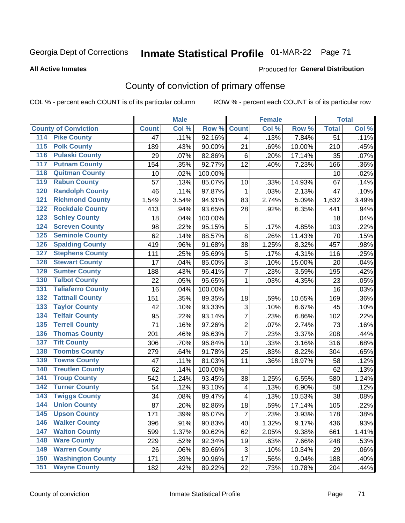# Inmate Statistical Profile 01-MAR-22 Page 71

**All Active Inmates** 

#### Produced for General Distribution

## County of conviction of primary offense

COL % - percent each COUNT is of its particular column

|                                          |              | <b>Male</b> |         |                         | <b>Female</b> |        |                  | <b>Total</b> |
|------------------------------------------|--------------|-------------|---------|-------------------------|---------------|--------|------------------|--------------|
| <b>County of Conviction</b>              | <b>Count</b> | Col %       | Row %   | <b>Count</b>            | Col %         | Row %  | <b>Total</b>     | Col %        |
| <b>Pike County</b><br>114                | 47           | .11%        | 92.16%  | $\overline{4}$          | .13%          | 7.84%  | $\overline{51}$  | .11%         |
| <b>Polk County</b><br>$\overline{115}$   | 189          | .43%        | 90.00%  | 21                      | .69%          | 10.00% | 210              | .45%         |
| <b>Pulaski County</b><br>116             | 29           | .07%        | 82.86%  | 6                       | .20%          | 17.14% | 35               | .07%         |
| <b>Putnam County</b><br>117              | 154          | .35%        | 92.77%  | 12                      | .40%          | 7.23%  | 166              | .36%         |
| <b>Quitman County</b><br>118             | 10           | .02%        | 100.00% |                         |               |        | 10               | .02%         |
| <b>Rabun County</b><br>119               | 57           | .13%        | 85.07%  | 10                      | .33%          | 14.93% | 67               | .14%         |
| <b>Randolph County</b><br>120            | 46           | .11%        | 97.87%  | 1                       | .03%          | 2.13%  | 47               | .10%         |
| <b>Richmond County</b><br>121            | 1,549        | 3.54%       | 94.91%  | 83                      | 2.74%         | 5.09%  | 1,632            | 3.49%        |
| <b>Rockdale County</b><br>122            | 413          | .94%        | 93.65%  | 28                      | .92%          | 6.35%  | 441              | .94%         |
| <b>Schley County</b><br>123              | 18           | .04%        | 100.00% |                         |               |        | 18               | .04%         |
| <b>Screven County</b><br>124             | 98           | .22%        | 95.15%  | $\mathbf 5$             | .17%          | 4.85%  | 103              | .22%         |
| <b>Seminole County</b><br>125            | 62           | .14%        | 88.57%  | 8                       | .26%          | 11.43% | 70               | .15%         |
| <b>Spalding County</b><br>126            | 419          | .96%        | 91.68%  | 38                      | 1.25%         | 8.32%  | 457              | .98%         |
| <b>Stephens County</b><br>127            | 111          | .25%        | 95.69%  | 5                       | .17%          | 4.31%  | 116              | .25%         |
| <b>Stewart County</b><br>128             | 17           | .04%        | 85.00%  | 3                       | .10%          | 15.00% | 20               | .04%         |
| <b>Sumter County</b><br>129              | 188          | .43%        | 96.41%  | $\overline{7}$          | .23%          | 3.59%  | 195              | .42%         |
| <b>Talbot County</b><br>130              | 22           | .05%        | 95.65%  | 1                       | .03%          | 4.35%  | 23               | .05%         |
| <b>Taliaferro County</b><br>131          | 16           | .04%        | 100.00% |                         |               |        | 16               | .03%         |
| <b>Tattnall County</b><br>132            | 151          | .35%        | 89.35%  | 18                      | .59%          | 10.65% | 169              | .36%         |
| <b>Taylor County</b><br>133              | 42           | .10%        | 93.33%  | 3                       | .10%          | 6.67%  | 45               | .10%         |
| <b>Telfair County</b><br>134             | 95           | .22%        | 93.14%  | $\overline{7}$          | .23%          | 6.86%  | $10\overline{2}$ | .22%         |
| <b>Terrell County</b><br>135             | 71           | .16%        | 97.26%  | $\boldsymbol{2}$        | .07%          | 2.74%  | 73               | .16%         |
| <b>Thomas County</b><br>136              | 201          | .46%        | 96.63%  | $\overline{7}$          | .23%          | 3.37%  | 208              | .44%         |
| <b>Tift County</b><br>137                | 306          | .70%        | 96.84%  | 10                      | .33%          | 3.16%  | 316              | .68%         |
| <b>Toombs County</b><br>138              | 279          | .64%        | 91.78%  | 25                      | .83%          | 8.22%  | 304              | .65%         |
| <b>Towns County</b><br>139               | 47           | .11%        | 81.03%  | 11                      | .36%          | 18.97% | 58               | .12%         |
| <b>Treutlen County</b><br>140            | 62           | .14%        | 100.00% |                         |               |        | 62               | .13%         |
| <b>Troup County</b><br>141               | 542          | 1.24%       | 93.45%  | 38                      | 1.25%         | 6.55%  | 580              | 1.24%        |
| <b>Turner County</b><br>142              | 54           | .12%        | 93.10%  | $\overline{\mathbf{4}}$ | .13%          | 6.90%  | 58               | .12%         |
| <b>Twiggs County</b><br>$\overline{143}$ | 34           | .08%        | 89.47%  | $\overline{\mathbf{4}}$ | .13%          | 10.53% | 38               | .08%         |
| <b>Union County</b><br>144               | 87           | .20%        | 82.86%  | 18                      | .59%          | 17.14% | 105              | .22%         |
| 145<br><b>Upson County</b>               | 171          | .39%        | 96.07%  | $\overline{7}$          | .23%          | 3.93%  | 178              | .38%         |
| <b>Walker County</b><br>146              | 396          | .91%        | 90.83%  | 40                      | 1.32%         | 9.17%  | 436              | .93%         |
| <b>Walton County</b><br>147              | 599          | 1.37%       | 90.62%  | 62                      | 2.05%         | 9.38%  | 661              | 1.41%        |
| <b>Ware County</b><br>148                | 229          | .52%        | 92.34%  | 19                      | .63%          | 7.66%  | 248              | .53%         |
| <b>Warren County</b><br>149              | 26           | .06%        | 89.66%  | 3                       | .10%          | 10.34% | 29               | .06%         |
| <b>Washington County</b><br>150          | 171          | .39%        | 90.96%  | 17                      | .56%          | 9.04%  | 188              | .40%         |
| <b>Wayne County</b><br>151               | 182          | .42%        | 89.22%  | 22                      | .73%          | 10.78% | 204              | .44%         |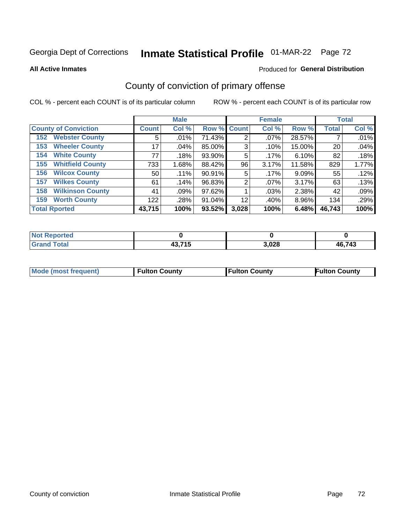# Inmate Statistical Profile 01-MAR-22 Page 72

**All Active Inmates** 

#### **Produced for General Distribution**

## County of conviction of primary offense

COL % - percent each COUNT is of its particular column

|                                |              | <b>Male</b> |             |       | <b>Female</b> |        |              | <b>Total</b> |
|--------------------------------|--------------|-------------|-------------|-------|---------------|--------|--------------|--------------|
| <b>County of Conviction</b>    | <b>Count</b> | Col %       | Row % Count |       | Col %         | Row %  | <b>Total</b> | Col %        |
| <b>Webster County</b><br>152   | 5            | .01%        | 71.43%      | 2     | $.07\%$       | 28.57% |              | .01%         |
| <b>Wheeler County</b><br>153   | 17           | $.04\%$     | 85.00%      | 3     | .10%          | 15.00% | 20           | .04%         |
| <b>White County</b><br>154     | 77           | .18%        | 93.90%      | 5     | .17%          | 6.10%  | 82           | .18%         |
| <b>Whitfield County</b><br>155 | 733          | 1.68%       | 88.42%      | 96    | 3.17%         | 11.58% | 829          | 1.77%        |
| <b>Wilcox County</b><br>156    | 50           | $.11\%$     | 90.91%      | 5     | .17%          | 9.09%  | 55           | .12%         |
| <b>Wilkes County</b><br>157    | 61           | .14%        | 96.83%      | 2     | $.07\%$       | 3.17%  | 63           | .13%         |
| <b>Wilkinson County</b><br>158 | 41           | .09%        | 97.62%      |       | .03%          | 2.38%  | 42           | .09%         |
| <b>Worth County</b><br>159     | 122          | .28%        | 91.04%      | 12    | .40%          | 8.96%  | 134          | .29%         |
| <b>Total Rported</b>           | 43,715       | 100%        | 93.52%      | 3,028 | 100%          | 6.48%  | 46,743       | 100%         |

| <b>Not Reported</b> |        |       |        |
|---------------------|--------|-------|--------|
| <b>Grand Total</b>  | 43,715 | 3,028 | 46,743 |

| <b>Mode (most frequent)</b> | <b>Fulton County</b> | <b>Fulton County</b> | <b>Fulton County</b> |
|-----------------------------|----------------------|----------------------|----------------------|
|                             |                      |                      |                      |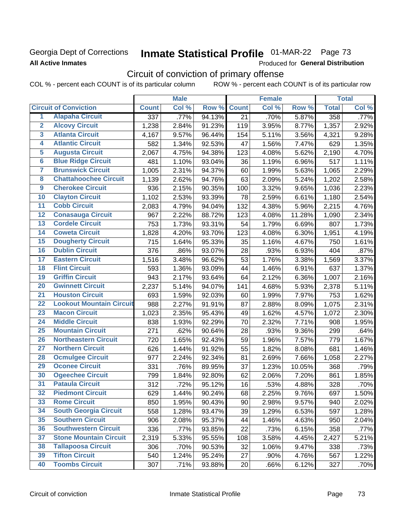### **Georgia Dept of Corrections All Active Inmates**

# Inmate Statistical Profile 01-MAR-22 Page 73

Produced for General Distribution

## Circuit of conviction of primary offense

COL % - percent each COUNT is of its particular column ROW % - percent each COUNT is of its particular row

|                         |                                 | <b>Male</b>      |       |        | <b>Female</b> |       |        | <b>Total</b> |       |
|-------------------------|---------------------------------|------------------|-------|--------|---------------|-------|--------|--------------|-------|
|                         | <b>Circuit of Conviction</b>    | <b>Count</b>     | Col % | Row %  | <b>Count</b>  | Col % | Row %  | <b>Total</b> | Col % |
| 1                       | <b>Alapaha Circuit</b>          | $\overline{337}$ | .77%  | 94.13% | 21            | .70%  | 5.87%  | 358          | .77%  |
| $\overline{2}$          | <b>Alcovy Circuit</b>           | 1,238            | 2.84% | 91.23% | 119           | 3.95% | 8.77%  | 1,357        | 2.92% |
| $\overline{\mathbf{3}}$ | <b>Atlanta Circuit</b>          | 4,167            | 9.57% | 96.44% | 154           | 5.11% | 3.56%  | 4,321        | 9.28% |
| 4                       | <b>Atlantic Circuit</b>         | 582              | 1.34% | 92.53% | 47            | 1.56% | 7.47%  | 629          | 1.35% |
| $\overline{5}$          | <b>Augusta Circuit</b>          | 2,067            | 4.75% | 94.38% | 123           | 4.08% | 5.62%  | 2,190        | 4.70% |
| $\overline{\bf{6}}$     | <b>Blue Ridge Circuit</b>       | 481              | 1.10% | 93.04% | 36            | 1.19% | 6.96%  | 517          | 1.11% |
| 7                       | <b>Brunswick Circuit</b>        | 1,005            | 2.31% | 94.37% | 60            | 1.99% | 5.63%  | 1,065        | 2.29% |
| $\overline{\mathbf{8}}$ | <b>Chattahoochee Circuit</b>    | 1,139            | 2.62% | 94.76% | 63            | 2.09% | 5.24%  | 1,202        | 2.58% |
| $\overline{9}$          | <b>Cherokee Circuit</b>         | 936              | 2.15% | 90.35% | 100           | 3.32% | 9.65%  | 1,036        | 2.23% |
| 10                      | <b>Clayton Circuit</b>          | 1,102            | 2.53% | 93.39% | 78            | 2.59% | 6.61%  | 1,180        | 2.54% |
| $\overline{11}$         | <b>Cobb Circuit</b>             | 2,083            | 4.79% | 94.04% | 132           | 4.38% | 5.96%  | 2,215        | 4.76% |
| $\overline{12}$         | <b>Conasauga Circuit</b>        | 967              | 2.22% | 88.72% | 123           | 4.08% | 11.28% | 1,090        | 2.34% |
| 13                      | <b>Cordele Circuit</b>          | 753              | 1.73% | 93.31% | 54            | 1.79% | 6.69%  | 807          | 1.73% |
| $\overline{14}$         | <b>Coweta Circuit</b>           | 1,828            | 4.20% | 93.70% | 123           | 4.08% | 6.30%  | 1,951        | 4.19% |
| 15                      | <b>Dougherty Circuit</b>        | 715              | 1.64% | 95.33% | 35            | 1.16% | 4.67%  | 750          | 1.61% |
| 16                      | <b>Dublin Circuit</b>           | 376              | .86%  | 93.07% | 28            | .93%  | 6.93%  | 404          | .87%  |
| 17                      | <b>Eastern Circuit</b>          | 1,516            | 3.48% | 96.62% | 53            | 1.76% | 3.38%  | 1,569        | 3.37% |
| $\overline{18}$         | <b>Flint Circuit</b>            | 593              | 1.36% | 93.09% | 44            | 1.46% | 6.91%  | 637          | 1.37% |
| 19                      | <b>Griffin Circuit</b>          | 943              | 2.17% | 93.64% | 64            | 2.12% | 6.36%  | 1,007        | 2.16% |
| $\overline{20}$         | <b>Gwinnett Circuit</b>         | 2,237            | 5.14% | 94.07% | 141           | 4.68% | 5.93%  | 2,378        | 5.11% |
| $\overline{21}$         | <b>Houston Circuit</b>          | 693              | 1.59% | 92.03% | 60            | 1.99% | 7.97%  | 753          | 1.62% |
| $\overline{22}$         | <b>Lookout Mountain Circuit</b> | 988              | 2.27% | 91.91% | 87            | 2.88% | 8.09%  | 1,075        | 2.31% |
| 23                      | <b>Macon Circuit</b>            | 1,023            | 2.35% | 95.43% | 49            | 1.62% | 4.57%  | 1,072        | 2.30% |
| $\overline{24}$         | <b>Middle Circuit</b>           | 838              | 1.93% | 92.29% | 70            | 2.32% | 7.71%  | 908          | 1.95% |
| $\overline{25}$         | <b>Mountain Circuit</b>         | 271              | .62%  | 90.64% | 28            | .93%  | 9.36%  | 299          | .64%  |
| 26                      | <b>Northeastern Circuit</b>     | 720              | 1.65% | 92.43% | 59            | 1.96% | 7.57%  | 779          | 1.67% |
| $\overline{27}$         | <b>Northern Circuit</b>         | 626              | 1.44% | 91.92% | 55            | 1.82% | 8.08%  | 681          | 1.46% |
| 28                      | <b>Ocmulgee Circuit</b>         | 977              | 2.24% | 92.34% | 81            | 2.69% | 7.66%  | 1,058        | 2.27% |
| 29                      | <b>Oconee Circuit</b>           | 331              | .76%  | 89.95% | 37            | 1.23% | 10.05% | 368          | .79%  |
| 30                      | <b>Ogeechee Circuit</b>         | 799              | 1.84% | 92.80% | 62            | 2.06% | 7.20%  | 861          | 1.85% |
| $\overline{31}$         | <b>Pataula Circuit</b>          | 312              | .72%  | 95.12% | 16            | .53%  | 4.88%  | 328          | .70%  |
| 32                      | <b>Piedmont Circuit</b>         | 629              | 1.44% | 90.24% | 68            | 2.25% | 9.76%  | 697          | 1.50% |
| 33                      | <b>Rome Circuit</b>             | 850              | 1.95% | 90.43% | 90            | 2.98% | 9.57%  | 940          | 2.02% |
| 34                      | <b>South Georgia Circuit</b>    | 558              | 1.28% | 93.47% | 39            | 1.29% | 6.53%  | 597          | 1.28% |
| 35                      | <b>Southern Circuit</b>         | 906              | 2.08% | 95.37% | 44            | 1.46% | 4.63%  | 950          | 2.04% |
| 36                      | <b>Southwestern Circuit</b>     | 336              | .77%  | 93.85% | 22            | .73%  | 6.15%  | 358          | .77%  |
| 37                      | <b>Stone Mountain Circuit</b>   | 2,319            | 5.33% | 95.55% | 108           | 3.58% | 4.45%  | 2,427        | 5.21% |
| 38                      | <b>Tallapoosa Circuit</b>       | 306              | .70%  | 90.53% | 32            | 1.06% | 9.47%  | 338          | .73%  |
| 39                      | <b>Tifton Circuit</b>           | 540              | 1.24% | 95.24% | 27            | .90%  | 4.76%  | 567          | 1.22% |
| 40                      | <b>Toombs Circuit</b>           | 307              | .71%  | 93.88% | 20            | .66%  | 6.12%  | 327          | .70%  |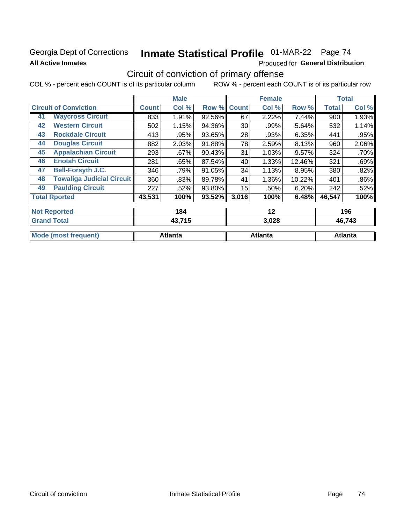### Georgia Dept of Corrections **All Active Inmates**

# Inmate Statistical Profile 01-MAR-22 Page 74

Produced for General Distribution

## Circuit of conviction of primary offense

|                                        | <b>Male</b>  |         |        | <b>Female</b> |       | <b>Total</b> |        |       |
|----------------------------------------|--------------|---------|--------|---------------|-------|--------------|--------|-------|
| <b>Circuit of Conviction</b>           | <b>Count</b> | Col %   | Row %  | <b>Count</b>  | Col % | Row %        | Total  | Col % |
| <b>Waycross Circuit</b><br>41          | 833          | 1.91%   | 92.56% | 67            | 2.22% | 7.44%        | 900    | 1.93% |
| <b>Western Circuit</b><br>42           | 502          | 1.15%   | 94.36% | 30            | .99%  | 5.64%        | 532    | 1.14% |
| <b>Rockdale Circuit</b><br>43          | 413          | .95%    | 93.65% | 28            | .93%  | 6.35%        | 441    | .95%  |
| <b>Douglas Circuit</b><br>44           | 882          | 2.03%   | 91.88% | 78            | 2.59% | 8.13%        | 960    | 2.06% |
| <b>Appalachian Circuit</b><br>45       | 293          | $.67\%$ | 90.43% | 31            | 1.03% | 9.57%        | 324    | .70%  |
| <b>Enotah Circuit</b><br>46            | 281          | .65%    | 87.54% | 40            | 1.33% | 12.46%       | 321    | .69%  |
| <b>Bell-Forsyth J.C.</b><br>47         | 346          | .79%    | 91.05% | 34            | 1.13% | 8.95%        | 380    | .82%  |
| <b>Towaliga Judicial Circuit</b><br>48 | 360          | .83%    | 89.78% | 41            | 1.36% | 10.22%       | 401    | .86%  |
| <b>Paulding Circuit</b><br>49          | 227          | .52%    | 93.80% | 15            | .50%  | 6.20%        | 242    | .52%  |
| <b>Total Rported</b>                   | 43,531       | 100%    | 93.52% | 3,016         | 100%  | 6.48%        | 46,547 | 100%  |
| <b>Not Reported</b>                    |              | 184     |        |               | 12    |              |        | 196   |
| <b>Crond Total</b>                     |              | 12.715  |        |               | פרח כ |              |        | ACZA2 |

| TOTANU TULAT                | 90.I IJ | J.VŁU   | 70.17J  |
|-----------------------------|---------|---------|---------|
|                             |         |         |         |
| <b>Mode (most frequent)</b> | Atlanta | Atlanta | Atlanta |
|                             |         |         |         |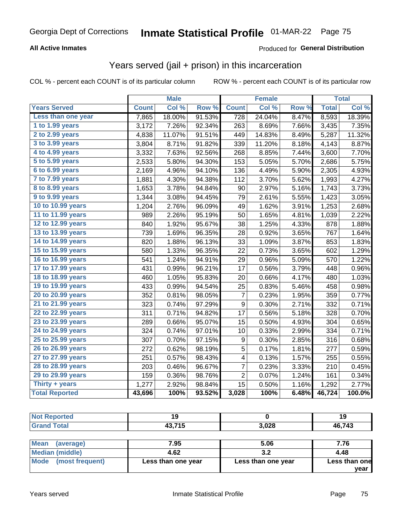#### **All Active Inmates**

### Produced for **General Distribution**

## Years served (jail + prison) in this incarceration

|                       |              | <b>Male</b> |        |                  | <b>Female</b> |                  |              | <b>Total</b> |
|-----------------------|--------------|-------------|--------|------------------|---------------|------------------|--------------|--------------|
| <b>Years Served</b>   | <b>Count</b> | Col %       | Row %  | <b>Count</b>     | Col %         | Row <sub>%</sub> | <b>Total</b> | Col%         |
| Less than one year    | 7,865        | 18.00%      | 91.53% | 728              | 24.04%        | 8.47%            | 8,593        | 18.39%       |
| 1 to 1.99 years       | 3,172        | 7.26%       | 92.34% | 263              | 8.69%         | 7.66%            | 3,435        | 7.35%        |
| 2 to 2.99 years       | 4,838        | 11.07%      | 91.51% | 449              | 14.83%        | 8.49%            | 5,287        | 11.32%       |
| 3 to 3.99 years       | 3,804        | 8.71%       | 91.82% | 339              | 11.20%        | 8.18%            | 4,143        | 8.87%        |
| 4 to 4.99 years       | 3,332        | 7.63%       | 92.56% | 268              | 8.85%         | 7.44%            | 3,600        | 7.70%        |
| 5 to 5.99 years       | 2,533        | 5.80%       | 94.30% | 153              | 5.05%         | 5.70%            | 2,686        | 5.75%        |
| 6 to 6.99 years       | 2,169        | 4.96%       | 94.10% | 136              | 4.49%         | 5.90%            | 2,305        | 4.93%        |
| 7 to 7.99 years       | 1,881        | 4.30%       | 94.38% | 112              | 3.70%         | 5.62%            | 1,993        | 4.27%        |
| 8 to 8.99 years       | 1,653        | 3.78%       | 94.84% | 90               | 2.97%         | 5.16%            | 1,743        | 3.73%        |
| 9 to 9.99 years       | 1,344        | 3.08%       | 94.45% | 79               | 2.61%         | 5.55%            | 1,423        | 3.05%        |
| 10 to 10.99 years     | 1,204        | 2.76%       | 96.09% | 49               | 1.62%         | 3.91%            | 1,253        | 2.68%        |
| 11 to 11.99 years     | 989          | 2.26%       | 95.19% | 50               | 1.65%         | 4.81%            | 1,039        | 2.22%        |
| 12 to 12.99 years     | 840          | 1.92%       | 95.67% | 38               | 1.25%         | 4.33%            | 878          | 1.88%        |
| 13 to 13.99 years     | 739          | 1.69%       | 96.35% | 28               | 0.92%         | 3.65%            | 767          | 1.64%        |
| 14 to 14.99 years     | 820          | 1.88%       | 96.13% | 33               | 1.09%         | 3.87%            | 853          | 1.83%        |
| 15 to 15.99 years     | 580          | 1.33%       | 96.35% | 22               | 0.73%         | 3.65%            | 602          | 1.29%        |
| 16 to 16.99 years     | 541          | 1.24%       | 94.91% | 29               | 0.96%         | 5.09%            | 570          | 1.22%        |
| 17 to 17.99 years     | 431          | 0.99%       | 96.21% | 17               | 0.56%         | 3.79%            | 448          | 0.96%        |
| 18 to 18.99 years     | 460          | 1.05%       | 95.83% | 20               | 0.66%         | 4.17%            | 480          | 1.03%        |
| 19 to 19.99 years     | 433          | 0.99%       | 94.54% | 25               | 0.83%         | 5.46%            | 458          | 0.98%        |
| 20 to 20.99 years     | 352          | 0.81%       | 98.05% | 7                | 0.23%         | 1.95%            | 359          | 0.77%        |
| 21 to 21.99 years     | 323          | 0.74%       | 97.29% | $\boldsymbol{9}$ | 0.30%         | 2.71%            | 332          | 0.71%        |
| 22 to 22.99 years     | 311          | 0.71%       | 94.82% | 17               | 0.56%         | 5.18%            | 328          | 0.70%        |
| 23 to 23.99 years     | 289          | 0.66%       | 95.07% | 15               | 0.50%         | 4.93%            | 304          | 0.65%        |
| 24 to 24.99 years     | 324          | 0.74%       | 97.01% | 10               | 0.33%         | 2.99%            | 334          | 0.71%        |
| 25 to 25.99 years     | 307          | 0.70%       | 97.15% | 9                | 0.30%         | 2.85%            | 316          | 0.68%        |
| 26 to 26.99 years     | 272          | 0.62%       | 98.19% | $\overline{5}$   | 0.17%         | 1.81%            | 277          | 0.59%        |
| 27 to 27.99 years     | 251          | 0.57%       | 98.43% | 4                | 0.13%         | 1.57%            | 255          | 0.55%        |
| 28 to 28.99 years     | 203          | 0.46%       | 96.67% | 7                | 0.23%         | 3.33%            | 210          | 0.45%        |
| 29 to 29.99 years     | 159          | 0.36%       | 98.76% | $\overline{2}$   | 0.07%         | 1.24%            | 161          | 0.34%        |
| Thirty + years        | 1,277        | 2.92%       | 98.84% | 15               | 0.50%         | 1.16%            | 1,292        | 2.77%        |
| <b>Total Reported</b> | 43,696       | 100%        | 93.52% | 3,028            | 100%          | 6.48%            | 46,724       | 100.0%       |

| <b>Not</b><br><b>Reported</b> | 4 A<br>u |       | 19     |
|-------------------------------|----------|-------|--------|
| <b>Grand Total</b>            | 43,715   | 3,028 | 46,743 |
|                               |          |       |        |

| Mean<br>(average)      | 7.95               | 5.06               | 7.76          |
|------------------------|--------------------|--------------------|---------------|
| <b>Median (middle)</b> | 4.62               | J.Z                | 4.48          |
| Mode (most frequent)   | Less than one year | Less than one year | Less than one |
|                        |                    |                    | vear          |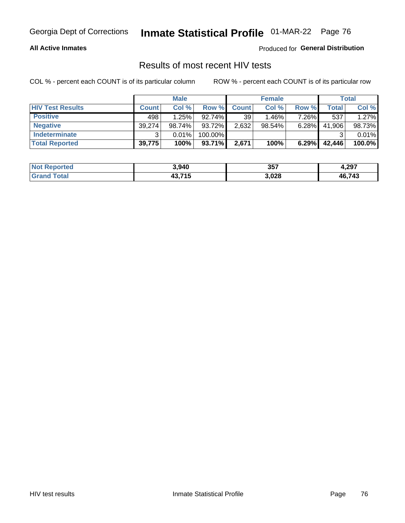#### **All Active Inmates**

Produced for **General Distribution**

## Results of most recent HIV tests

|                         | <b>Male</b>  |        |           |                 | <b>Female</b> | Total |              |        |
|-------------------------|--------------|--------|-----------|-----------------|---------------|-------|--------------|--------|
| <b>HIV Test Results</b> | <b>Count</b> | Col%   | Row %I    | <b>Count</b>    | Col %         | Row % | <b>Total</b> | Col %  |
| <b>Positive</b>         | 498          | 1.25%  | $92.74\%$ | 39 <sup>1</sup> | $1.46\%$      | 7.26% | 537          | 1.27%  |
| <b>Negative</b>         | 39,274       | 98.74% | 93.72%    | 2,632           | $98.54\%$     | 6.28% | 41,906       | 98.73% |
| Indeterminate           | ີ            | 0.01%  | 100.00%   |                 |               |       | ົ            | 0.01%  |
| <b>Total Reported</b>   | 39,775       | 100%   | 93.71%    | 2,671           | 100%          | 6.29% | 42,446       | 100.0% |

| <b>Not Reported</b> | 3,940          | 357   | 4,297  |
|---------------------|----------------|-------|--------|
| Total<br>Grand      | 43.715<br>. טד | 3,028 | 46,743 |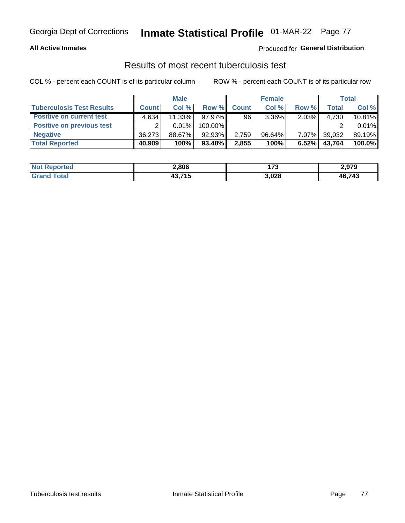#### **All Active Inmates**

#### Produced for **General Distribution**

### Results of most recent tuberculosis test

|                                  | <b>Male</b>  |          |           |              | <b>Female</b> | Total    |              |        |
|----------------------------------|--------------|----------|-----------|--------------|---------------|----------|--------------|--------|
| <b>Tuberculosis Test Results</b> | <b>Count</b> | Col%     | Row %     | <b>Count</b> | Col %         | Row %    | <b>Total</b> | Col %  |
| <b>Positive on current test</b>  | 4.634        | 11.33%   | $97.97\%$ | 96           | $3.36\%$      | $2.03\%$ | 4,730        | 10.81% |
| <b>Positive on previous test</b> | ົ            | $0.01\%$ | 100.00%   |              |               |          |              | 0.01%  |
| <b>Negative</b>                  | 36.273       | 88.67%   | 92.93%    | 2,759        | $96.64\%$     | $7.07\%$ | 39,032       | 89.19% |
| <b>Total Reported</b>            | 40,909       | 100%     | $93.48\%$ | 2,855        | 100%          | 6.52%    | 43,764       | 100.0% |

| <b>Not Reported</b> | 2,806          | ィラヘ<br>. | 2,979  |
|---------------------|----------------|----------|--------|
| Total<br>Grand      | 43.715<br>70.1 | 3,028    | 46,743 |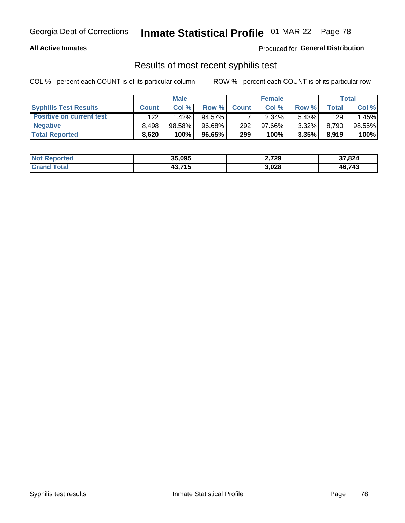#### **All Active Inmates**

Produced for **General Distribution**

### Results of most recent syphilis test

|                                 | <b>Male</b>  |           |           |              | <b>Female</b> | Total    |       |        |
|---------------------------------|--------------|-----------|-----------|--------------|---------------|----------|-------|--------|
| <b>Syphilis Test Results</b>    | <b>Count</b> | Col%      | Row %     | <b>Count</b> | Col %         | Row %I   | Total | Col %  |
| <b>Positive on current test</b> | 122          | 1.42%     | $94.57\%$ |              | $2.34\%$      | $5.43\%$ | 129   | .45%   |
| <b>Negative</b>                 | 8.498        | $98.58\%$ | 96.68%    | 292          | $97.66\%$     | $3.32\%$ | 8,790 | 98.55% |
| <b>Total Reported</b>           | 8,620        | 100%      | 96.65%    | 299          | 100%          | $3.35\%$ | 8,919 | 100%   |

| <b>Not Reported</b> | 35,095 | 2,729 | 37,824 |
|---------------------|--------|-------|--------|
| <b>Grand Total</b>  | 13,715 | 3,028 | 46,743 |